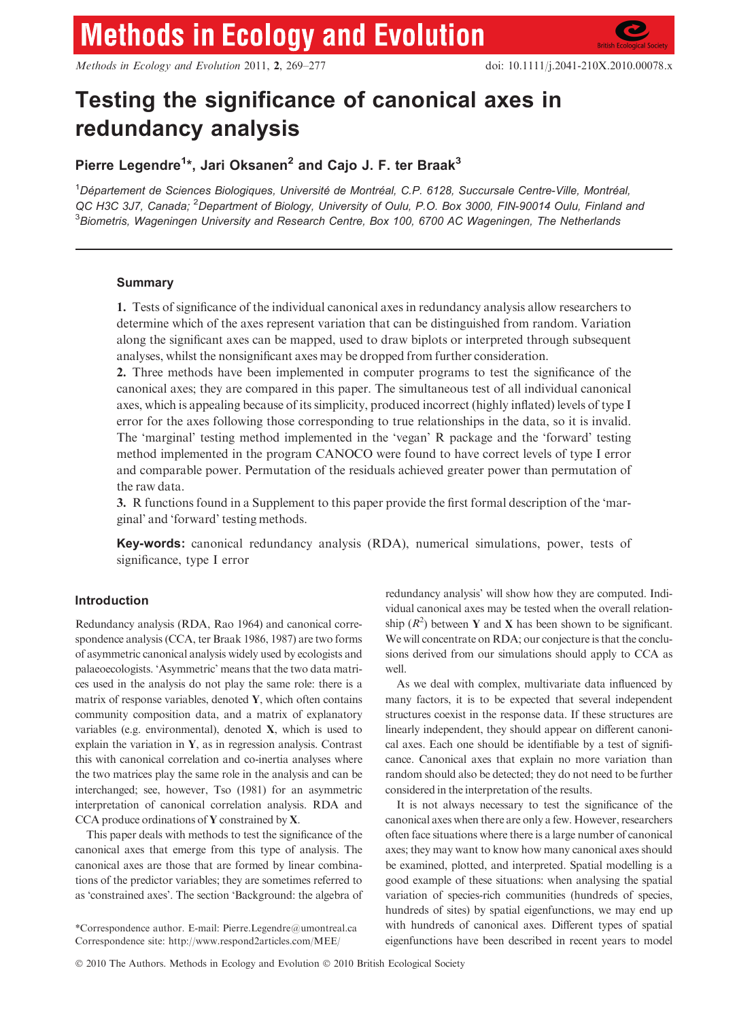Methods in Ecology and Evolution 2011, 2, 269-277 doi: 10.1111/j.2041-210X.2010.00078.x

# Testing the significance of canonical axes in redundancy analysis

Pierre Legendre<sup>1\*</sup>, Jari Oksanen<sup>2</sup> and Cajo J. F. ter Braak<sup>3</sup>

<sup>1</sup>Département de Sciences Biologiques, Université de Montréal, C.P. 6128, Succursale Centre-Ville, Montréal, QC H3C 3J7, Canada; <sup>2</sup>Department of Biology, University of Oulu, P.O. Box 3000, FIN-90014 Oulu, Finland and  ${}^{3}$ Biometris, Wageningen University and Research Centre, Box 100, 6700 AC Wageningen, The Netherlands

### **Summary**

1. Tests of significance of the individual canonical axes in redundancy analysis allow researchers to determine which of the axes represent variation that can be distinguished from random. Variation along the significant axes can be mapped, used to draw biplots or interpreted through subsequent analyses, whilst the nonsignificant axes may be dropped from further consideration.

2. Three methods have been implemented in computer programs to test the significance of the canonical axes; they are compared in this paper. The simultaneous test of all individual canonical axes, which is appealing because of its simplicity, produced incorrect (highly inflated) levels of type I error for the axes following those corresponding to true relationships in the data, so it is invalid. The 'marginal' testing method implemented in the 'vegan' R package and the 'forward' testing method implemented in the program CANOCO were found to have correct levels of type I error and comparable power. Permutation of the residuals achieved greater power than permutation of the raw data.

3. R functions found in a Supplement to this paper provide the first formal description of the 'marginal' and 'forward' testing methods.

Key-words: canonical redundancy analysis (RDA), numerical simulations, power, tests of significance, type I error

#### Introduction

Redundancy analysis (RDA, Rao 1964) and canonical correspondence analysis (CCA, ter Braak 1986, 1987) are two forms of asymmetric canonical analysis widely used by ecologists and palaeoecologists. 'Asymmetric' means that the two data matrices used in the analysis do not play the same role: there is a matrix of response variables, denoted Y, which often contains community composition data, and a matrix of explanatory variables (e.g. environmental), denoted X, which is used to explain the variation in Y, as in regression analysis. Contrast this with canonical correlation and co-inertia analyses where the two matrices play the same role in the analysis and can be interchanged; see, however, Tso (1981) for an asymmetric interpretation of canonical correlation analysis. RDA and CCA produce ordinations of Y constrained by X.

This paper deals with methods to test the significance of the canonical axes that emerge from this type of analysis. The canonical axes are those that are formed by linear combinations of the predictor variables; they are sometimes referred to as 'constrained axes'. The section 'Background: the algebra of

\*Correspondence author. E-mail: Pierre.Legendre@umontreal.ca Correspondence site: http://www.respond2articles.com/MEE/

redundancy analysis' will show how they are computed. Individual canonical axes may be tested when the overall relationship  $(R^2)$  between Y and X has been shown to be significant. We will concentrate on RDA; our conjecture is that the conclusions derived from our simulations should apply to CCA as well.

As we deal with complex, multivariate data influenced by many factors, it is to be expected that several independent structures coexist in the response data. If these structures are linearly independent, they should appear on different canonical axes. Each one should be identifiable by a test of significance. Canonical axes that explain no more variation than random should also be detected; they do not need to be further considered in the interpretation of the results.

It is not always necessary to test the significance of the canonical axes when there are only a few. However, researchers often face situations where there is a large number of canonical axes; they may want to know how many canonical axes should be examined, plotted, and interpreted. Spatial modelling is a good example of these situations: when analysing the spatial variation of species-rich communities (hundreds of species, hundreds of sites) by spatial eigenfunctions, we may end up with hundreds of canonical axes. Different types of spatial eigenfunctions have been described in recent years to model

<sup>© 2010</sup> The Authors. Methods in Ecology and Evolution © 2010 British Ecological Society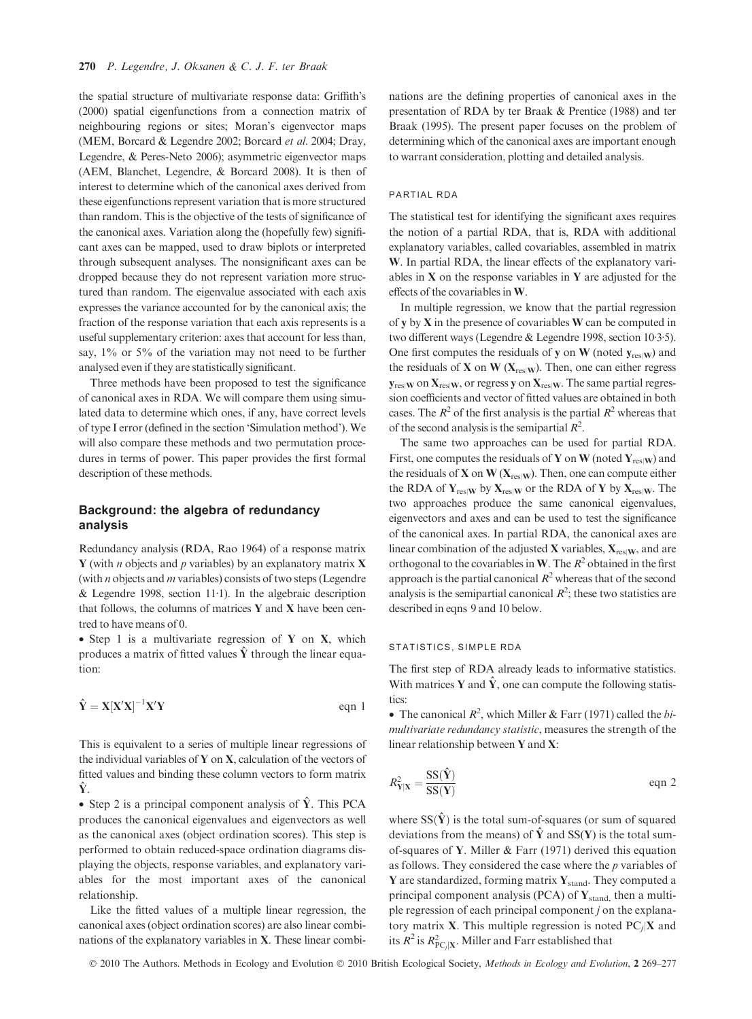the spatial structure of multivariate response data: Griffith's (2000) spatial eigenfunctions from a connection matrix of neighbouring regions or sites; Moran's eigenvector maps (MEM, Borcard & Legendre 2002; Borcard et al. 2004; Dray, Legendre, & Peres-Neto 2006); asymmetric eigenvector maps (AEM, Blanchet, Legendre, & Borcard 2008). It is then of interest to determine which of the canonical axes derived from these eigenfunctions represent variation that is more structured than random. This is the objective of the tests of significance of the canonical axes. Variation along the (hopefully few) significant axes can be mapped, used to draw biplots or interpreted through subsequent analyses. The nonsignificant axes can be dropped because they do not represent variation more structured than random. The eigenvalue associated with each axis expresses the variance accounted for by the canonical axis; the fraction of the response variation that each axis represents is a useful supplementary criterion: axes that account for less than, say, 1% or 5% of the variation may not need to be further analysed even if they are statistically significant.

Three methods have been proposed to test the significance of canonical axes in RDA. We will compare them using simulated data to determine which ones, if any, have correct levels of type I error (defined in the section 'Simulation method'). We will also compare these methods and two permutation procedures in terms of power. This paper provides the first formal description of these methods.

#### Background: the algebra of redundancy analysis

Redundancy analysis (RDA, Rao 1964) of a response matrix **Y** (with *n* objects and *p* variables) by an explanatory matrix **X** (with n objects and m variables) consists of two steps (Legendre & Legendre 1998, section 11 $\cdot$ 1). In the algebraic description that follows, the columns of matrices  $Y$  and  $X$  have been centred to have means of 0.

• Step 1 is a multivariate regression of Y on X, which produces a matrix of fitted values  $\hat{Y}$  through the linear equation:

$$
\hat{\mathbf{Y}} = \mathbf{X}[\mathbf{X}'\mathbf{X}]^{-1}\mathbf{X}'\mathbf{Y}
$$
eqn 1

This is equivalent to a series of multiple linear regressions of the individual variables of  $Y$  on  $X$ , calculation of the vectors of fitted values and binding these column vectors to form matrix  $\hat{\mathbf{Y}}$ .

• Step 2 is a principal component analysis of  $\hat{Y}$ . This PCA produces the canonical eigenvalues and eigenvectors as well as the canonical axes (object ordination scores). This step is performed to obtain reduced-space ordination diagrams displaying the objects, response variables, and explanatory variables for the most important axes of the canonical relationship.

Like the fitted values of a multiple linear regression, the canonical axes (object ordination scores) are also linear combinations of the explanatory variables in X. These linear combinations are the defining properties of canonical axes in the presentation of RDA by ter Braak & Prentice (1988) and ter Braak (1995). The present paper focuses on the problem of determining which of the canonical axes are important enough to warrant consideration, plotting and detailed analysis.

#### PARTIAL RDA

The statistical test for identifying the significant axes requires the notion of a partial RDA, that is, RDA with additional explanatory variables, called covariables, assembled in matrix W. In partial RDA, the linear effects of the explanatory variables in  $X$  on the response variables in  $Y$  are adjusted for the effects of the covariables in W.

In multiple regression, we know that the partial regression of y by X in the presence of covariables W can be computed in two different ways (Legendre & Legendre 1998, section  $10·3·5$ ). One first computes the residuals of y on W (noted  $y_{res}$ ) and the residuals of **X** on **W** ( $X_{res|W}$ ). Then, one can either regress  $y_{res|W}$  on  $X_{res|W}$ , or regress y on  $X_{res|W}$ . The same partial regression coefficients and vector of fitted values are obtained in both cases. The  $R^2$  of the first analysis is the partial  $R^2$  whereas that of the second analysis is the semipartial  $R^2$ .

The same two approaches can be used for partial RDA. First, one computes the residuals of Y on W (noted  $Y_{res}$ ) and the residuals of **X** on **W** ( $X_{res|W}$ ). Then, one can compute either the RDA of  $Y_{res|W}$  by  $X_{res|W}$  or the RDA of Y by  $X_{res|W}$ . The two approaches produce the same canonical eigenvalues, eigenvectors and axes and can be used to test the significance of the canonical axes. In partial RDA, the canonical axes are linear combination of the adjusted **X** variables,  $X_{res}$ <sub>res</sub><sub>w</sub>, and are orthogonal to the covariables in W. The  $R^2$  obtained in the first approach is the partial canonical  $R^2$  whereas that of the second analysis is the semipartial canonical  $R^2$ ; these two statistics are described in eqns 9 and 10 below.

#### STATISTICS, SIMPLE RDA

The first step of RDA already leads to informative statistics. With matrices Y and  $\hat{Y}$ , one can compute the following statistics:

• The canonical  $R^2$ , which Miller & Farr (1971) called the bimultivariate redundancy statistic, measures the strength of the linear relationship between Y and X:

$$
R_{\mathbf{Y}|\mathbf{X}}^2 = \frac{\mathbf{S}\mathbf{S}(\hat{\mathbf{Y}})}{\mathbf{S}\mathbf{S}(\mathbf{Y})}
$$
eqn 2

where  $SS(\hat{Y})$  is the total sum-of-squares (or sum of squared deviations from the means) of  $\hat{Y}$  and SS(Y) is the total sumof-squares of Y. Miller & Farr (1971) derived this equation as follows. They considered the case where the p variables of Y are standardized, forming matrix  $Y_{stand}$ . They computed a principal component analysis (PCA) of  $Y_{\text{stand}}$ , then a multiple regression of each principal component  $j$  on the explanatory matrix **X**. This multiple regression is noted  $PC_i|X$  and its  $R^2$  is  $R^2_{\text{PC}_j|X}$ . Miller and Farr established that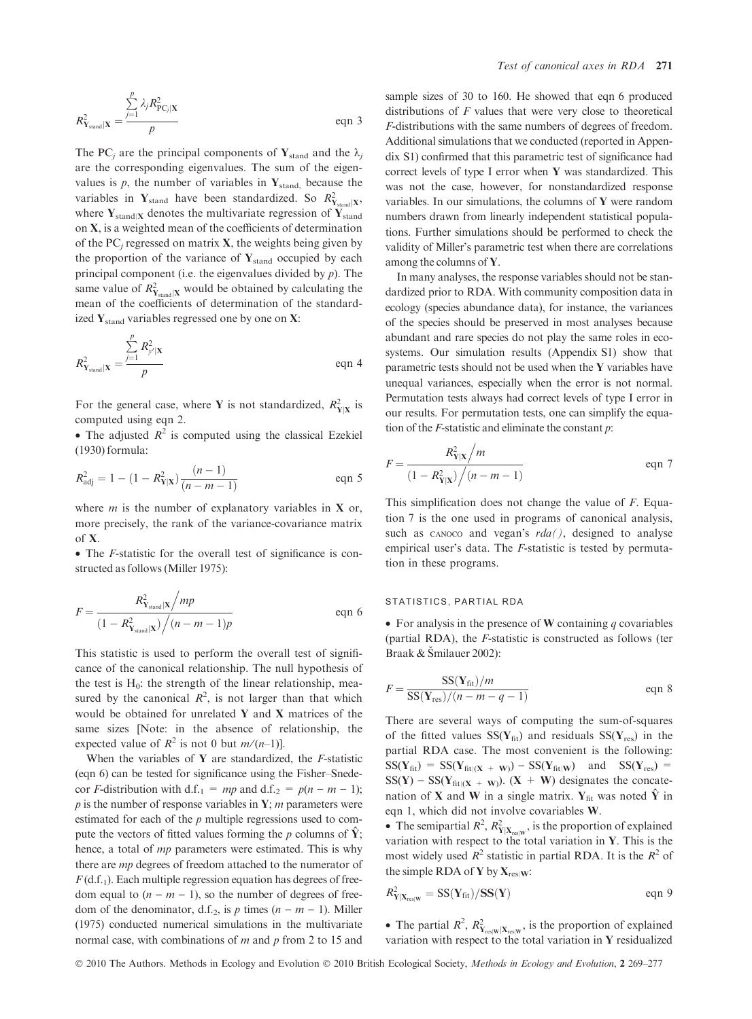$$
R_{\mathbf{Y}_{\text{stand}}|\mathbf{X}}^2 = \frac{\sum_{j=1}^p \lambda_j R_{\text{PC}_j|\mathbf{X}}^2}{p}
$$
 eqn 3

The PC<sub>i</sub> are the principal components of Y<sub>stand</sub> and the  $\lambda_i$ are the corresponding eigenvalues. The sum of the eigenvalues is  $p$ , the number of variables in  $Y_{\text{stand}}$ , because the variables in  $Y_{\text{stand}}$  have been standardized. So  $R_{Y_{\text{stand}}|X}^2$ , where  $Y_{\text{stand}|X}$  denotes the multivariate regression of  $Y_{\text{stand}}$ on X, is a weighted mean of the coefficients of determination of the PC<sub>i</sub> regressed on matrix **X**, the weights being given by the proportion of the variance of  $Y_{stand}$  occupied by each principal component (i.e. the eigenvalues divided by  $p$ ). The same value of  $R_{\text{Y}_{\text{stand}}|X}^2$  would be obtained by calculating the mean of the coefficients of determination of the standardized  $Y_{\text{stand}}$  variables regressed one by one on X:

$$
R_{Y_{\text{stand}}|X}^2 = \frac{\sum_{j=1}^p R_{y'|X}^2}{p}
$$
 eqn 4

For the general case, where Y is not standardized,  $R_{Y|X}^2$  is computed using eqn 2.

• The adjusted  $R^2$  is computed using the classical Ezekiel (1930) formula:

$$
R_{\text{adj}}^2 = 1 - (1 - R_{\text{Y|X}}^2) \frac{(n-1)}{(n-m-1)}
$$
 eqn 5

where  $m$  is the number of explanatory variables in **X** or, more precisely, the rank of the variance-covariance matrix of X.

• The F-statistic for the overall test of significance is constructed as follows (Miller 1975):

$$
F = \frac{R_{\text{Y}_{\text{stand}}|X}^2 / mp}{(1 - R_{\text{Y}_{\text{stand}}|X}^2) / (n - m - 1)p}
$$
eqn 6

This statistic is used to perform the overall test of significance of the canonical relationship. The null hypothesis of the test is  $H_0$ : the strength of the linear relationship, measured by the canonical  $R^2$ , is not larger than that which would be obtained for unrelated Y and X matrices of the same sizes [Note: in the absence of relationship, the expected value of  $R^2$  is not 0 but  $m/(n-1)$ ].

When the variables of  $Y$  are standardized, the  $F$ -statistic (eqn 6) can be tested for significance using the Fisher–Snedecor *F*-distribution with d.f.<sub>1</sub> = mp and d.f.<sub>2</sub> =  $p(n - m - 1)$ ;  $p$  is the number of response variables in Y; m parameters were estimated for each of the  $p$  multiple regressions used to compute the vectors of fitted values forming the p columns of  $\dot{Y}$ ; hence, a total of mp parameters were estimated. This is why there are mp degrees of freedom attached to the numerator of  $F$ (d.f.<sub>1</sub>). Each multiple regression equation has degrees of freedom equal to  $(n - m - 1)$ , so the number of degrees of freedom of the denominator, d.f.<sub>2</sub>, is p times  $(n - m - 1)$ . Miller (1975) conducted numerical simulations in the multivariate normal case, with combinations of  $m$  and  $p$  from 2 to 15 and

sample sizes of 30 to 160. He showed that eqn 6 produced distributions of  $F$  values that were very close to theoretical F-distributions with the same numbers of degrees of freedom. Additional simulations that we conducted (reported in Appendix S1) confirmed that this parametric test of significance had correct levels of type I error when Y was standardized. This was not the case, however, for nonstandardized response variables. In our simulations, the columns of Y were random numbers drawn from linearly independent statistical populations. Further simulations should be performed to check the validity of Miller's parametric test when there are correlations among the columns of Y.

In many analyses, the response variables should not be standardized prior to RDA. With community composition data in ecology (species abundance data), for instance, the variances of the species should be preserved in most analyses because abundant and rare species do not play the same roles in ecosystems. Our simulation results (Appendix S1) show that parametric tests should not be used when the Y variables have unequal variances, especially when the error is not normal. Permutation tests always had correct levels of type I error in our results. For permutation tests, one can simplify the equation of the  $F$ -statistic and eliminate the constant  $p$ :

$$
F = \frac{R_{Y|X}^2 / m}{(1 - R_{Y|X}^2) / (n - m - 1)}
$$
 eqn 7

This simplification does not change the value of F. Equation 7 is the one used in programs of canonical analysis, such as canoco and vegan's  $rda()$ , designed to analyse empirical user's data. The F-statistic is tested by permutation in these programs.

#### STATISTICS, PARTIAL RDA

• For analysis in the presence of W containing  $q$  covariables (partial RDA), the F-statistic is constructed as follows (ter Braak  $&$  Šmilauer 2002):

$$
F = \frac{\text{SS}(\mathbf{Y}_{\text{fit}})/m}{\text{SS}(\mathbf{Y}_{\text{res}})/(n-m-q-1)}
$$
eqn 8

There are several ways of computing the sum-of-squares of the fitted values  $SS(Y_{fit})$  and residuals  $SS(Y_{res})$  in the partial RDA case. The most convenient is the following:  $SS(Y_{fit}) = SS(Y_{fit|(X + W)}) - SS(Y_{fit|W})$  and  $SS(Y_{res})$  =  $SS(Y) - SS(Y_{\text{fit}|\{X + W\}})$ .  $(X + W)$  designates the concatenation of **X** and **W** in a single matrix.  $Y_{\text{fit}}$  was noted  $\hat{Y}$  in eqn 1, which did not involve covariables W.

• The semipartial  $R^2$ ,  $R^2_{Y|X_{\text{res}|W}}$ , is the proportion of explained variation with respect to the total variation in  $Y$ . This is the most widely used  $R^2$  statistic in partial RDA. It is the  $R^2$  of the simple RDA of Y by  $X_{res|W}$ :

$$
R_{Y|X_{res|W}}^2 = SS(Y_{fit})/SS(Y)
$$
eqn 9

• The partial  $R^2$ ,  $R^2_{Y_{\text{res}|W}|X_{\text{res}|W}}$ , is the proportion of explained variation with respect to the total variation in Y residualized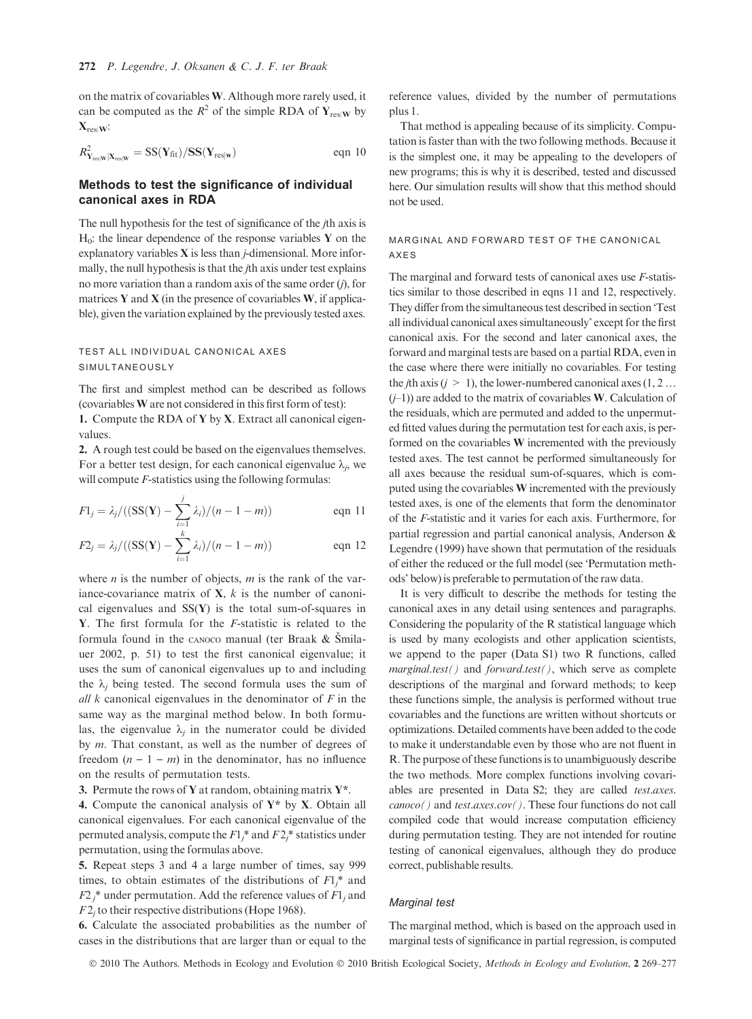on the matrix of covariables W. Although more rarely used, it can be computed as the  $R^2$  of the simple RDA of  $Y_{res}$  by  $X_{res|W}$ :

$$
R_{\mathbf{Y}_{\text{res}|W}|\mathbf{X}_{\text{res}|W}}^2 = SS(\mathbf{Y}_{\text{fit}})/SS(\mathbf{Y}_{\text{res}|W})
$$
eqn 10

### Methods to test the significance of individual canonical axes in RDA

The null hypothesis for the test of significance of the jth axis is  $H<sub>0</sub>$ : the linear dependence of the response variables Y on the explanatory variables X is less than j-dimensional. More informally, the null hypothesis is that the jth axis under test explains no more variation than a random axis of the same order  $(j)$ , for matrices  $Y$  and  $X$  (in the presence of covariables  $W$ , if applicable), given the variation explained by the previously tested axes.

#### TEST ALL INDIVIDUAL CANONICAL AXES SIMULTANEOUSLY

The first and simplest method can be described as follows (covariables W are not considered in this first form of test):

1. Compute the RDA of Y by X. Extract all canonical eigenvalues.

2. A rough test could be based on the eigenvalues themselves. For a better test design, for each canonical eigenvalue  $\lambda_i$ , we will compute *F*-statistics using the following formulas:

$$
F1_j = \lambda_j/((SS(Y) - \sum_{i=1}^j \lambda_i)/(n - 1 - m))
$$
 eqn 11

$$
F2_j = \lambda_j/((SS(Y) - \sum_{i=1}^k \lambda_i)/(n-1-m))
$$
 eqn 12

where  $n$  is the number of objects,  $m$  is the rank of the variance-covariance matrix of  $X$ ,  $k$  is the number of canonical eigenvalues and  $SS(Y)$  is the total sum-of-squares in Y. The first formula for the F-statistic is related to the formula found in the canoco manual (ter Braak  $& \text{Smila-}$ uer 2002, p. 51) to test the first canonical eigenvalue; it uses the sum of canonical eigenvalues up to and including the  $\lambda_i$  being tested. The second formula uses the sum of all  $k$  canonical eigenvalues in the denominator of  $F$  in the same way as the marginal method below. In both formulas, the eigenvalue  $\lambda_i$  in the numerator could be divided by m. That constant, as well as the number of degrees of freedom  $(n - 1 - m)$  in the denominator, has no influence on the results of permutation tests.

3. Permute the rows of Y at random, obtaining matrix  $Y^*$ .

4. Compute the canonical analysis of  $Y^*$  by X. Obtain all canonical eigenvalues. For each canonical eigenvalue of the permuted analysis, compute the  $F1_i^*$  and  $F2_i^*$  statistics under permutation, using the formulas above.

5. Repeat steps 3 and 4 a large number of times, say 999 times, to obtain estimates of the distributions of  $F1_i^*$  and  $F2_i^*$  under permutation. Add the reference values of  $F1_i$  and  $F2<sub>i</sub>$  to their respective distributions (Hope 1968).

6. Calculate the associated probabilities as the number of cases in the distributions that are larger than or equal to the reference values, divided by the number of permutations plus 1.

That method is appealing because of its simplicity. Computation is faster than with the two following methods. Because it is the simplest one, it may be appealing to the developers of new programs; this is why it is described, tested and discussed here. Our simulation results will show that this method should not be used.

### MARGINAL AND FORWARD TEST OF THE CANONICAL AXES

The marginal and forward tests of canonical axes use F-statistics similar to those described in eqns 11 and 12, respectively. They differ from the simultaneous test described in section 'Test all individual canonical axes simultaneously' except for the first canonical axis. For the second and later canonical axes, the forward and marginal tests are based on a partial RDA, even in the case where there were initially no covariables. For testing the *j*th axis  $(j > 1)$ , the lower-numbered canonical axes  $(1, 2...$  $(j-1)$ ) are added to the matrix of covariables W. Calculation of the residuals, which are permuted and added to the unpermuted fitted values during the permutation test for each axis, is performed on the covariables W incremented with the previously tested axes. The test cannot be performed simultaneously for all axes because the residual sum-of-squares, which is computed using the covariables W incremented with the previously tested axes, is one of the elements that form the denominator of the F-statistic and it varies for each axis. Furthermore, for partial regression and partial canonical analysis, Anderson & Legendre (1999) have shown that permutation of the residuals of either the reduced or the full model (see 'Permutation methods' below) is preferable to permutation of the raw data.

It is very difficult to describe the methods for testing the canonical axes in any detail using sentences and paragraphs. Considering the popularity of the R statistical language which is used by many ecologists and other application scientists, we append to the paper (Data S1) two R functions, called  $marginal.test()$  and  $forward.test(),$  which serve as complete descriptions of the marginal and forward methods; to keep these functions simple, the analysis is performed without true covariables and the functions are written without shortcuts or optimizations. Detailed comments have been added to the code to make it understandable even by those who are not fluent in R. The purpose of these functions is to unambiguously describe the two methods. More complex functions involving covariables are presented in Data S2; they are called test.axes. canoco() and test.axes.cov(). These four functions do not call compiled code that would increase computation efficiency during permutation testing. They are not intended for routine testing of canonical eigenvalues, although they do produce correct, publishable results.

#### Marginal test

The marginal method, which is based on the approach used in marginal tests of significance in partial regression, is computed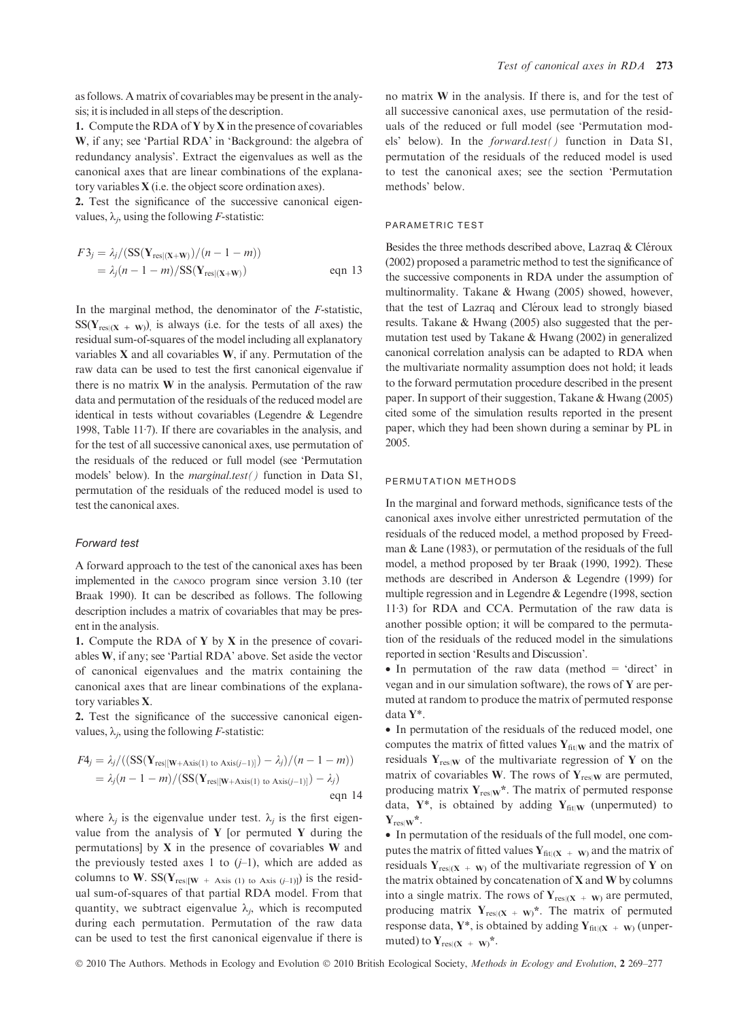as follows. A matrix of covariables may be present in the analysis; it is included in all steps of the description.

1. Compute the RDA of Y by X in the presence of covariables W, if any; see 'Partial RDA' in 'Background: the algebra of redundancy analysis'. Extract the eigenvalues as well as the canonical axes that are linear combinations of the explanatory variables X (i.e. the object score ordination axes).

2. Test the significance of the successive canonical eigenvalues,  $\lambda_i$ , using the following *F*-statistic:

$$
F3j = \lambda_j/(SS(Y_{res|(X+W)})/(n-1-m))
$$
  
=  $\lambda_j(n-1-m)/SS(Y_{res|(X+W)})$  eqn 13

In the marginal method, the denominator of the *F*-statistic,  $SS(Y_{res|(X+W)})$ , is always (i.e. for the tests of all axes) the residual sum-of-squares of the model including all explanatory variables X and all covariables W, if any. Permutation of the raw data can be used to test the first canonical eigenvalue if there is no matrix W in the analysis. Permutation of the raw data and permutation of the residuals of the reduced model are identical in tests without covariables (Legendre & Legendre 1998, Table 11 $\cdot$ 7). If there are covariables in the analysis, and for the test of all successive canonical axes, use permutation of the residuals of the reduced or full model (see 'Permutation models' below). In the *marginal.test()* function in Data S1, permutation of the residuals of the reduced model is used to test the canonical axes.

#### Forward test

A forward approach to the test of the canonical axes has been implemented in the canoco program since version 3.10 (ter Braak 1990). It can be described as follows. The following description includes a matrix of covariables that may be present in the analysis.

1. Compute the RDA of Y by X in the presence of covariables W, if any; see 'Partial RDA' above. Set aside the vector of canonical eigenvalues and the matrix containing the canonical axes that are linear combinations of the explanatory variables X.

2. Test the significance of the successive canonical eigenvalues,  $\lambda_i$ , using the following *F*-statistic:

$$
F4_j = \lambda_j/((SS(\mathbf{Y}_{\text{res}}|[W + \text{Axis}(1) \text{ to Axis}(j-1)]) - \lambda_j)/(n - 1 - m))
$$
  
=  $\lambda_j(n - 1 - m)/(SS(\mathbf{Y}_{\text{res}}|[W + \text{Axis}(1) \text{ to Axis}(j-1)]) - \lambda_j)$   
eqn 14

where  $\lambda_i$  is the eigenvalue under test.  $\lambda_i$  is the first eigenvalue from the analysis of  $Y$  [or permuted Y during the permutations] by  $X$  in the presence of covariables  $W$  and the previously tested axes 1 to  $(j-1)$ , which are added as columns to W.  $SS(Y_{res}|W + Axis (1)$  to Axis  $(j-1)$ ] is the residual sum-of-squares of that partial RDA model. From that quantity, we subtract eigenvalue  $\lambda_j$ , which is recomputed during each permutation. Permutation of the raw data can be used to test the first canonical eigenvalue if there is no matrix W in the analysis. If there is, and for the test of all successive canonical axes, use permutation of the residuals of the reduced or full model (see 'Permutation models' below). In the forward.test() function in Data S1, permutation of the residuals of the reduced model is used to test the canonical axes; see the section 'Permutation methods' below.

#### PARAMETRIC TEST

Besides the three methods described above, Lazraq & Cléroux (2002) proposed a parametric method to test the significance of the successive components in RDA under the assumption of multinormality. Takane & Hwang (2005) showed, however, that the test of Lazraq and Cléroux lead to strongly biased results. Takane & Hwang (2005) also suggested that the permutation test used by Takane & Hwang (2002) in generalized canonical correlation analysis can be adapted to RDA when the multivariate normality assumption does not hold; it leads to the forward permutation procedure described in the present paper. In support of their suggestion, Takane & Hwang (2005) cited some of the simulation results reported in the present paper, which they had been shown during a seminar by PL in 2005.

#### PERMUTATION METHODS

In the marginal and forward methods, significance tests of the canonical axes involve either unrestricted permutation of the residuals of the reduced model, a method proposed by Freedman & Lane (1983), or permutation of the residuals of the full model, a method proposed by ter Braak (1990, 1992). These methods are described in Anderson & Legendre (1999) for multiple regression and in Legendre & Legendre (1998, section 11.3) for RDA and CCA. Permutation of the raw data is another possible option; it will be compared to the permutation of the residuals of the reduced model in the simulations reported in section 'Results and Discussion'.

• In permutation of the raw data (method = 'direct' in vegan and in our simulation software), the rows of Y are permuted at random to produce the matrix of permuted response data Y\*.

• In permutation of the residuals of the reduced model, one computes the matrix of fitted values  $Y_{fit|W}$  and the matrix of residuals  $Y_{res|W}$  of the multivariate regression of Y on the matrix of covariables W. The rows of  $Y_{res|W}$  are permuted, producing matrix  $Y_{res|W}^*$ . The matrix of permuted response data,  $Y^*$ , is obtained by adding  $Y_{\text{fit}}(W)$  (unpermuted) to  $Y_{res|W}$ \*.

• In permutation of the residuals of the full model, one computes the matrix of fitted values  $Y_{\text{fit}|(X + W)}$  and the matrix of residuals  $Y_{res|(X + W)}$  of the multivariate regression of Y on the matrix obtained by concatenation of X and W by columns into a single matrix. The rows of  $Y_{res|(X + W)}$  are permuted, producing matrix  $Y_{res|(X + W)}^*$ . The matrix of permuted response data,  $Y^*$ , is obtained by adding  $Y_{\text{fit}|\mathbf{(X + W)}}$  (unpermuted) to  $Y_{res|(X + W)}^*$ .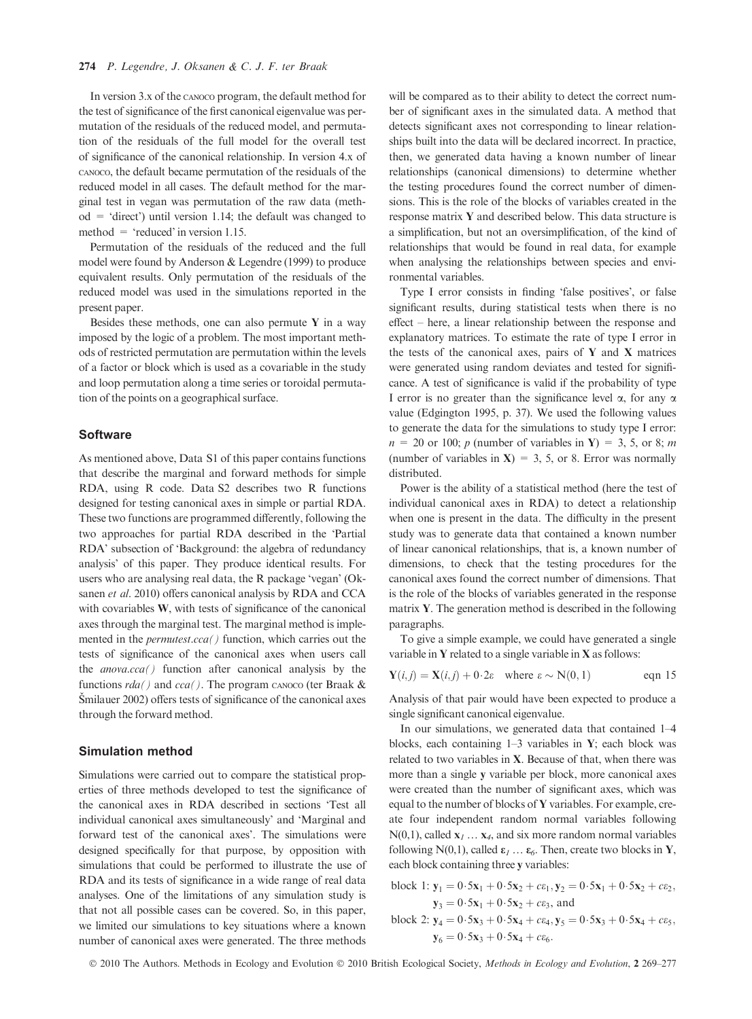In version 3.x of the canoco program, the default method for the test of significance of the first canonical eigenvalue was permutation of the residuals of the reduced model, and permutation of the residuals of the full model for the overall test of significance of the canonical relationship. In version 4.x of canoco, the default became permutation of the residuals of the reduced model in all cases. The default method for the marginal test in vegan was permutation of the raw data (meth $od = 'direct')$  until version 1.14; the default was changed to method  $=$  'reduced' in version 1.15.

Permutation of the residuals of the reduced and the full model were found by Anderson & Legendre (1999) to produce equivalent results. Only permutation of the residuals of the reduced model was used in the simulations reported in the present paper.

Besides these methods, one can also permute  $Y$  in a way imposed by the logic of a problem. The most important methods of restricted permutation are permutation within the levels of a factor or block which is used as a covariable in the study and loop permutation along a time series or toroidal permutation of the points on a geographical surface.

#### **Software**

As mentioned above, Data S1 of this paper contains functions that describe the marginal and forward methods for simple RDA, using R code. Data S2 describes two R functions designed for testing canonical axes in simple or partial RDA. These two functions are programmed differently, following the two approaches for partial RDA described in the 'Partial RDA' subsection of 'Background: the algebra of redundancy analysis' of this paper. They produce identical results. For users who are analysing real data, the R package 'vegan' (Oksanen et al. 2010) offers canonical analysis by RDA and CCA with covariables W, with tests of significance of the canonical axes through the marginal test. The marginal method is implemented in the permutest.cca() function, which carries out the tests of significance of the canonical axes when users call the anova.cca() function after canonical analysis by the functions  $rda()$  and  $cca()$ . The program canoco (ter Braak  $\&$  $\text{\AA}$ Smilauer 2002) offers tests of significance of the canonical axes through the forward method.

#### Simulation method

Simulations were carried out to compare the statistical properties of three methods developed to test the significance of the canonical axes in RDA described in sections 'Test all individual canonical axes simultaneously' and 'Marginal and forward test of the canonical axes'. The simulations were designed specifically for that purpose, by opposition with simulations that could be performed to illustrate the use of RDA and its tests of significance in a wide range of real data analyses. One of the limitations of any simulation study is that not all possible cases can be covered. So, in this paper, we limited our simulations to key situations where a known number of canonical axes were generated. The three methods

will be compared as to their ability to detect the correct number of significant axes in the simulated data. A method that detects significant axes not corresponding to linear relationships built into the data will be declared incorrect. In practice, then, we generated data having a known number of linear relationships (canonical dimensions) to determine whether the testing procedures found the correct number of dimensions. This is the role of the blocks of variables created in the response matrix Y and described below. This data structure is a simplification, but not an oversimplification, of the kind of relationships that would be found in real data, for example when analysing the relationships between species and environmental variables.

Type I error consists in finding 'false positives', or false significant results, during statistical tests when there is no effect – here, a linear relationship between the response and explanatory matrices. To estimate the rate of type I error in the tests of the canonical axes, pairs of  $Y$  and  $X$  matrices were generated using random deviates and tested for significance. A test of significance is valid if the probability of type I error is no greater than the significance level  $\alpha$ , for any  $\alpha$ value (Edgington 1995, p. 37). We used the following values to generate the data for the simulations to study type I error:  $n = 20$  or 100; p (number of variables in Y) = 3, 5, or 8; m (number of variables in  $X$ ) = 3, 5, or 8. Error was normally distributed.

Power is the ability of a statistical method (here the test of individual canonical axes in RDA) to detect a relationship when one is present in the data. The difficulty in the present study was to generate data that contained a known number of linear canonical relationships, that is, a known number of dimensions, to check that the testing procedures for the canonical axes found the correct number of dimensions. That is the role of the blocks of variables generated in the response matrix Y. The generation method is described in the following paragraphs.

To give a simple example, we could have generated a single variable in Y related to a single variable in X as follows:

$$
\mathbf{Y}(i,j) = \mathbf{X}(i,j) + 0.2\varepsilon \quad \text{where } \varepsilon \sim \mathbf{N}(0,1) \qquad \text{eqn 15}
$$

Analysis of that pair would have been expected to produce a single significant canonical eigenvalue.

In our simulations, we generated data that contained 1–4 blocks, each containing  $1-3$  variables in Y; each block was related to two variables in X. Because of that, when there was more than a single y variable per block, more canonical axes were created than the number of significant axes, which was equal to the number of blocks of Y variables. For example, create four independent random normal variables following  $N(0,1)$ , called  $x_1 \ldots x_4$ , and six more random normal variables following N(0,1), called  $\varepsilon_1 \dots \varepsilon_6$ . Then, create two blocks in **Y**, each block containing three y variables:

block 1:  $y_1 = 0.5x_1 + 0.5x_2 + c\epsilon_1$ ,  $y_2 = 0.5x_1 + 0.5x_2 + c\epsilon_2$ ,  $y_3 = 0.5x_1 + 0.5x_2 + c\epsilon_3$ , and block 2:  $y_4 = 0.5x_3 + 0.5x_4 + c\epsilon_4, y_5 = 0.5x_3 + 0.5x_4 + c\epsilon_5$  $y_6 = 0.5x_3 + 0.5x_4 + c\epsilon_6.$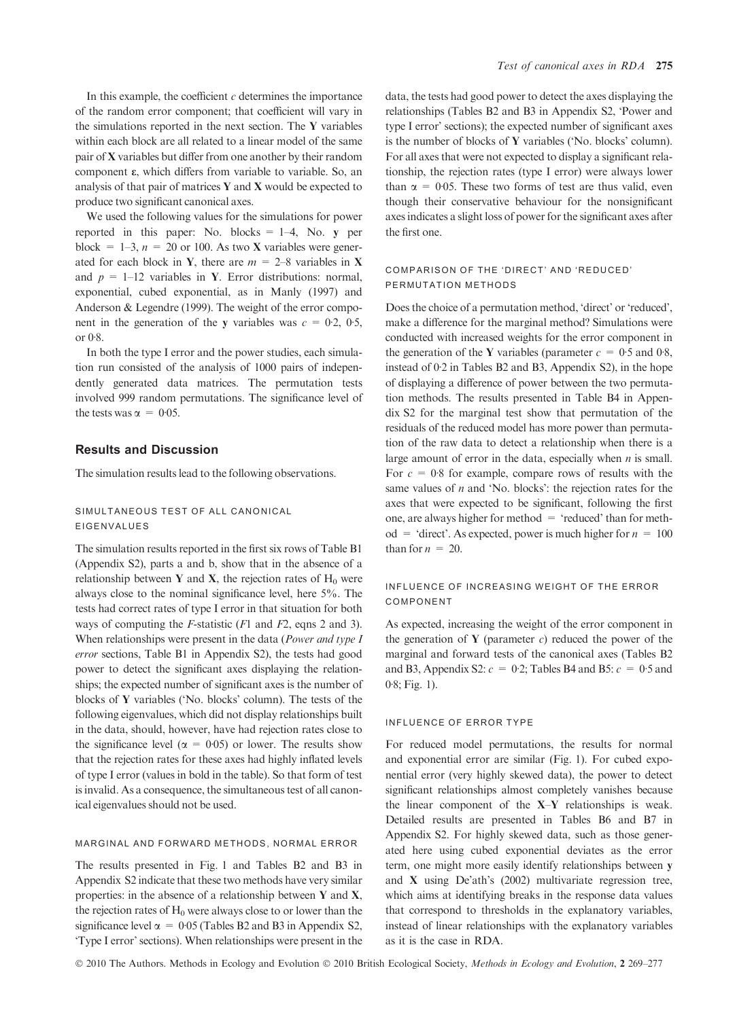In this example, the coefficient  $c$  determines the importance of the random error component; that coefficient will vary in the simulations reported in the next section. The Y variables within each block are all related to a linear model of the same pair of X variables but differ from one another by their random component e, which differs from variable to variable. So, an analysis of that pair of matrices Y and X would be expected to produce two significant canonical axes.

We used the following values for the simulations for power reported in this paper: No. blocks  $= 1-4$ , No. y per block = 1–3,  $n = 20$  or 100. As two **X** variables were generated for each block in Y, there are  $m = 2-8$  variables in X and  $p = 1-12$  variables in Y. Error distributions: normal, exponential, cubed exponential, as in Manly (1997) and Anderson & Legendre (1999). The weight of the error component in the generation of the y variables was  $c = 0.2$ , 0.5, or  $0.8$ .

In both the type I error and the power studies, each simulation run consisted of the analysis of 1000 pairs of independently generated data matrices. The permutation tests involved 999 random permutations. The significance level of the tests was  $\alpha = 0.05$ .

#### Results and Discussion

The simulation results lead to the following observations.

#### SIMULTANEOUS TEST OF ALL CANONICAL EIGENVALUES

The simulation results reported in the first six rows of Table B1 (Appendix S2), parts a and b, show that in the absence of a relationship between Y and X, the rejection rates of  $H_0$  were always close to the nominal significance level, here 5%. The tests had correct rates of type I error in that situation for both ways of computing the  $F$ -statistic ( $F1$  and  $F2$ , eqns 2 and 3). When relationships were present in the data (*Power and type I* error sections, Table B1 in Appendix S2), the tests had good power to detect the significant axes displaying the relationships; the expected number of significant axes is the number of blocks of Y variables ('No. blocks' column). The tests of the following eigenvalues, which did not display relationships built in the data, should, however, have had rejection rates close to the significance level ( $\alpha = 0.05$ ) or lower. The results show that the rejection rates for these axes had highly inflated levels of type I error (values in bold in the table). So that form of test is invalid. As a consequence, the simultaneous test of all canonical eigenvalues should not be used.

#### MARGINAL AND FORWARD METHODS, NORMAL ERROR

The results presented in Fig. 1 and Tables B2 and B3 in Appendix S2 indicate that these two methods have very similar properties: in the absence of a relationship between Y and X, the rejection rates of  $H_0$  were always close to or lower than the significance level  $\alpha = 0.05$  (Tables B2 and B3 in Appendix S2, 'Type I error' sections). When relationships were present in the data, the tests had good power to detect the axes displaying the relationships (Tables B2 and B3 in Appendix S2, 'Power and type I error' sections); the expected number of significant axes is the number of blocks of Y variables ('No. blocks' column). For all axes that were not expected to display a significant relationship, the rejection rates (type I error) were always lower than  $\alpha = 0.05$ . These two forms of test are thus valid, even though their conservative behaviour for the nonsignificant axes indicates a slight loss of power for the significant axes after the first one.

#### COMPARISON OF THE 'DIRECT' AND 'REDUCED' PERMUTATION METHODS

Does the choice of a permutation method, 'direct' or 'reduced', make a difference for the marginal method? Simulations were conducted with increased weights for the error component in the generation of the Y variables (parameter  $c = 0.5$  and 0.8, instead of  $0.2$  in Tables B2 and B3, Appendix S2), in the hope of displaying a difference of power between the two permutation methods. The results presented in Table B4 in Appendix S2 for the marginal test show that permutation of the residuals of the reduced model has more power than permutation of the raw data to detect a relationship when there is a large amount of error in the data, especially when  $n$  is small. For  $c = 0.8$  for example, compare rows of results with the same values of  $n$  and 'No. blocks': the rejection rates for the axes that were expected to be significant, following the first one, are always higher for method  $=$  'reduced' than for method = 'direct'. As expected, power is much higher for  $n = 100$ than for  $n = 20$ .

#### INFLUENCE OF INCREASING WEIGHT OF THE ERROR COMPONENT

As expected, increasing the weight of the error component in the generation of Y (parameter  $c$ ) reduced the power of the marginal and forward tests of the canonical axes (Tables B2 and B3, Appendix S2:  $c = 0.2$ ; Tables B4 and B5:  $c = 0.5$  and  $0.8;$  Fig. 1).

#### INFLUENCE OF ERROR TYPE

For reduced model permutations, the results for normal and exponential error are similar (Fig. 1). For cubed exponential error (very highly skewed data), the power to detect significant relationships almost completely vanishes because the linear component of the X–Y relationships is weak. Detailed results are presented in Tables B6 and B7 in Appendix S2. For highly skewed data, such as those generated here using cubed exponential deviates as the error term, one might more easily identify relationships between y and X using De'ath's (2002) multivariate regression tree, which aims at identifying breaks in the response data values that correspond to thresholds in the explanatory variables, instead of linear relationships with the explanatory variables as it is the case in RDA.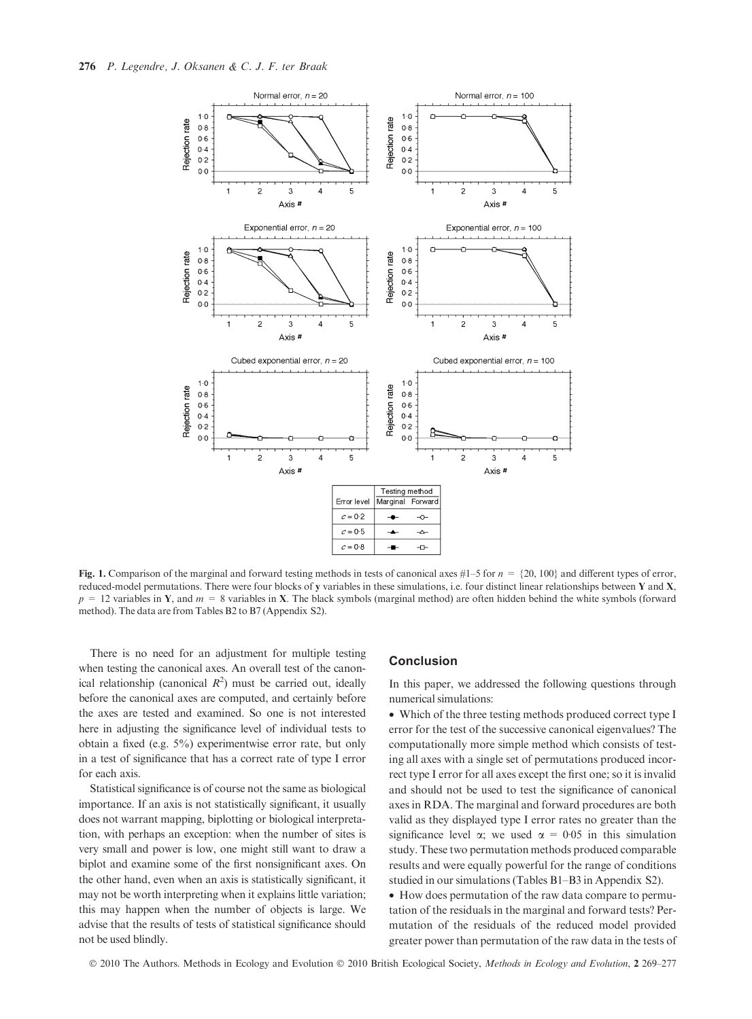

Fig. 1. Comparison of the marginal and forward testing methods in tests of canonical axes  $#1-5$  for  $n = \{20, 100\}$  and different types of error, reduced-model permutations. There were four blocks of y variables in these simulations, i.e. four distinct linear relationships between Y and X,  $p = 12$  variables in Y, and  $m = 8$  variables in X. The black symbols (marginal method) are often hidden behind the white symbols (forward method). The data are from Tables B2 to B7 (Appendix S2).

There is no need for an adjustment for multiple testing when testing the canonical axes. An overall test of the canonical relationship (canonical  $R^2$ ) must be carried out, ideally before the canonical axes are computed, and certainly before the axes are tested and examined. So one is not interested here in adjusting the significance level of individual tests to obtain a fixed (e.g. 5%) experimentwise error rate, but only in a test of significance that has a correct rate of type I error for each axis.

Statistical significance is of course not the same as biological importance. If an axis is not statistically significant, it usually does not warrant mapping, biplotting or biological interpretation, with perhaps an exception: when the number of sites is very small and power is low, one might still want to draw a biplot and examine some of the first nonsignificant axes. On the other hand, even when an axis is statistically significant, it may not be worth interpreting when it explains little variation; this may happen when the number of objects is large. We advise that the results of tests of statistical significance should not be used blindly.

#### Conclusion

In this paper, we addressed the following questions through numerical simulations:

• Which of the three testing methods produced correct type I error for the test of the successive canonical eigenvalues? The computationally more simple method which consists of testing all axes with a single set of permutations produced incorrect type I error for all axes except the first one; so it is invalid and should not be used to test the significance of canonical axes in RDA. The marginal and forward procedures are both valid as they displayed type I error rates no greater than the significance level  $\alpha$ ; we used  $\alpha = 0.05$  in this simulation study. These two permutation methods produced comparable results and were equally powerful for the range of conditions studied in our simulations (Tables B1–B3 in Appendix S2).

• How does permutation of the raw data compare to permutation of the residuals in the marginal and forward tests? Permutation of the residuals of the reduced model provided greater power than permutation of the raw data in the tests of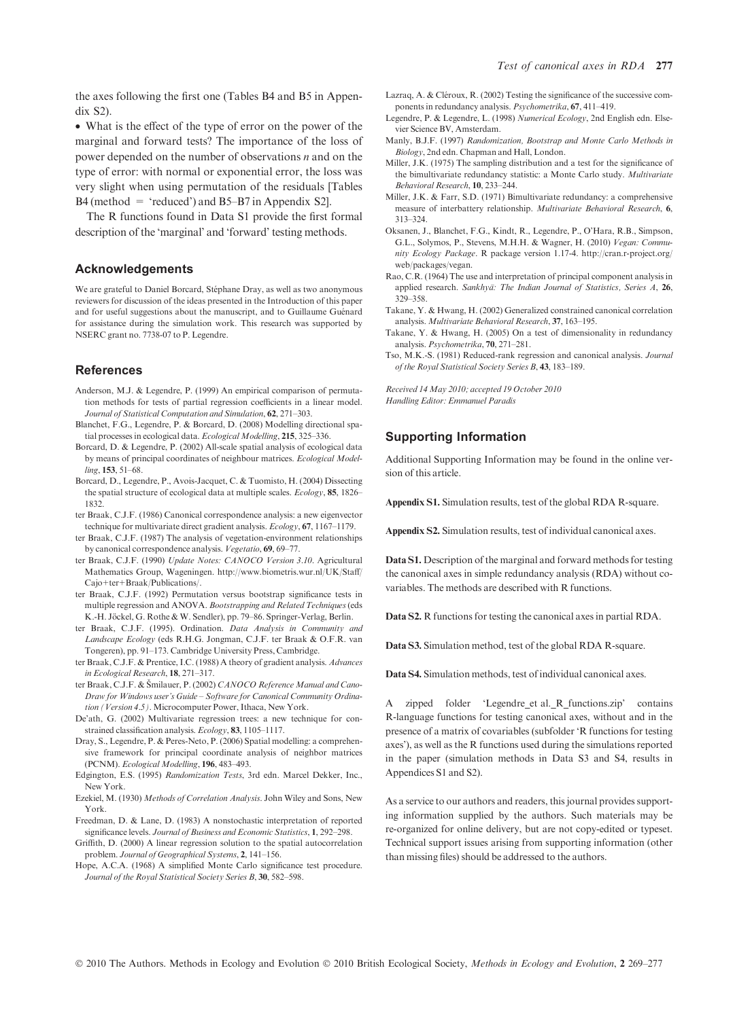the axes following the first one (Tables B4 and B5 in Appendix S2).

• What is the effect of the type of error on the power of the marginal and forward tests? The importance of the loss of power depended on the number of observations n and on the type of error: with normal or exponential error, the loss was very slight when using permutation of the residuals [Tables  $B4$  (method = 'reduced') and B5–B7 in Appendix S2].

The R functions found in Data S1 provide the first formal description of the 'marginal' and 'forward' testing methods.

#### Acknowledgements

We are grateful to Daniel Borcard, Stéphane Dray, as well as two anonymous reviewers for discussion of the ideas presented in the Introduction of this paper and for useful suggestions about the manuscript, and to Guillaume Guénard for assistance during the simulation work. This research was supported by NSERC grant no. 7738-07 to P. Legendre.

#### References

- Anderson, M.J. & Legendre, P. (1999) An empirical comparison of permutation methods for tests of partial regression coefficients in a linear model. Journal of Statistical Computation and Simulation, 62, 271–303.
- Blanchet, F.G., Legendre, P. & Borcard, D. (2008) Modelling directional spatial processes in ecological data. Ecological Modelling, 215, 325–336.
- Borcard, D. & Legendre, P. (2002) All-scale spatial analysis of ecological data by means of principal coordinates of neighbour matrices. Ecological Modelling, 153, 51–68.
- Borcard, D., Legendre, P., Avois-Jacquet, C. & Tuomisto, H. (2004) Dissecting the spatial structure of ecological data at multiple scales. Ecology, 85, 1826– 1832.
- ter Braak, C.J.F. (1986) Canonical correspondence analysis: a new eigenvector technique for multivariate direct gradient analysis. Ecology, 67, 1167–1179.
- ter Braak, C.J.F. (1987) The analysis of vegetation-environment relationships by canonical correspondence analysis. Vegetatio, 69, 69–77.
- ter Braak, C.J.F. (1990) Update Notes: CANOCO Version 3.10. Agricultural Mathematics Group, Wageningen. http://www.biometris.wur.nl/UK/Staff/ Cajo+ter+Braak/Publications/.
- ter Braak, C.J.F. (1992) Permutation versus bootstrap significance tests in multiple regression and ANOVA. Bootstrapping and Related Techniques (eds K.-H. Jöckel, G. Rothe & W. Sendler), pp. 79-86. Springer-Verlag, Berlin.
- ter Braak, C.J.F. (1995). Ordination. Data Analysis in Community and Landscape Ecology (eds R.H.G. Jongman, C.J.F. ter Braak & O.F.R. van Tongeren), pp. 91–173. Cambridge University Press, Cambridge.
- ter Braak, C.J.F. & Prentice, I.C. (1988) A theory of gradient analysis. Advances in Ecological Research, 18, 271–317.
- ter Braak, C.J.F. & Smilauer, P. (2002) CANOCO Reference Manual and Cano-Draw for Windows user's Guide – Software for Canonical Community Ordination (Version 4.5). Microcomputer Power, Ithaca, New York.
- De'ath, G. (2002) Multivariate regression trees: a new technique for constrained classification analysis. Ecology, 83, 1105–1117.
- Dray, S., Legendre, P. & Peres-Neto, P. (2006) Spatial modelling: a comprehensive framework for principal coordinate analysis of neighbor matrices (PCNM). Ecological Modelling, 196, 483–493.
- Edgington, E.S. (1995) Randomization Tests, 3rd edn. Marcel Dekker, Inc., New York.
- Ezekiel, M. (1930) Methods of Correlation Analysis. John Wiley and Sons, New York.
- Freedman, D. & Lane, D. (1983) A nonstochastic interpretation of reported significance levels. Journal of Business and Economic Statistics, 1, 292–298.
- Griffith, D. (2000) A linear regression solution to the spatial autocorrelation problem. Journal of Geographical Systems, 2, 141–156.
- Hope, A.C.A. (1968) A simplified Monte Carlo significance test procedure. Journal of the Royal Statistical Society Series B, 30, 582–598.
- Lazraq, A. & Cléroux, R. (2002) Testing the significance of the successive components in redundancy analysis. Psychometrika, 67, 411–419.
- Legendre, P. & Legendre, L. (1998) Numerical Ecology, 2nd English edn. Elsevier Science BV, Amsterdam.
- Manly, B.J.F. (1997) Randomization, Bootstrap and Monte Carlo Methods in Biology, 2nd edn. Chapman and Hall, London.
- Miller, J.K. (1975) The sampling distribution and a test for the significance of the bimultivariate redundancy statistic: a Monte Carlo study. Multivariate Behavioral Research, 10, 233–244.
- Miller, J.K. & Farr, S.D. (1971) Bimultivariate redundancy: a comprehensive measure of interbattery relationship. Multivariate Behavioral Research, 6, 313–324.
- Oksanen, J., Blanchet, F.G., Kindt, R., Legendre, P., O'Hara, R.B., Simpson, G.L., Solymos, P., Stevens, M.H.H. & Wagner, H. (2010) Vegan: Community Ecology Package. R package version 1.17-4. http://cran.r-project.org/ web/packages/vegan.
- Rao, C.R. (1964) The use and interpretation of principal component analysis in applied research. Sankhyā: The Indian Journal of Statistics, Series A, 26, 329–358.
- Takane, Y. & Hwang, H. (2002) Generalized constrained canonical correlation analysis. Multivariate Behavioral Research, 37, 163–195.
- Takane, Y. & Hwang, H. (2005) On a test of dimensionality in redundancy analysis. Psychometrika, 70, 271–281.
- Tso, M.K.-S. (1981) Reduced-rank regression and canonical analysis. Journal of the Royal Statistical Society Series B, 43, 183–189.

Received 14 May 2010; accepted 19 October 2010 Handling Editor: Emmanuel Paradis

#### Supporting Information

Additional Supporting Information may be found in the online version of this article.

Appendix S1. Simulation results, test of the global RDA R-square.

Appendix S2. Simulation results, test of individual canonical axes.

Data S1. Description of the marginal and forward methods for testing the canonical axes in simple redundancy analysis (RDA) without covariables. The methods are described with R functions.

Data S2. R functions for testing the canonical axes in partial RDA.

Data S3. Simulation method, test of the global RDA R-square.

Data S4. Simulation methods, test of individual canonical axes.

A zipped folder 'Legendre\_et al.\_R\_functions.zip' contains R-language functions for testing canonical axes, without and in the presence of a matrix of covariables (subfolder 'R functions for testing axes'), as well as the R functions used during the simulations reported in the paper (simulation methods in Data S3 and S4, results in Appendices S1 and S2).

As a service to our authors and readers, this journal provides supporting information supplied by the authors. Such materials may be re-organized for online delivery, but are not copy-edited or typeset. Technical support issues arising from supporting information (other than missing files) should be addressed to the authors.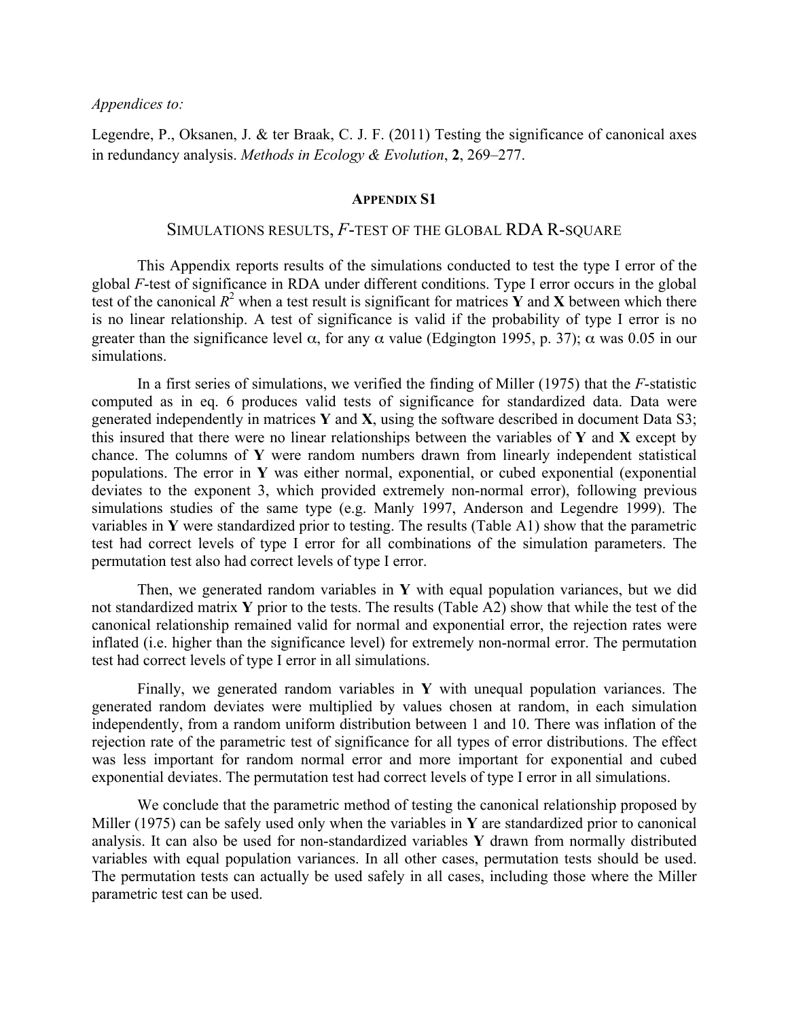### *Appendices to:*

Legendre, P., Oksanen, J. & ter Braak, C. J. F. (2011) Testing the significance of canonical axes in redundancy analysis. *Methods in Ecology & Evolution*, **2**, 269–277.

### **APPENDIX S1**

# SIMULATIONS RESULTS, F-TEST OF THE GLOBAL RDA R-SQUARE

This Appendix reports results of the simulations conducted to test the type I error of the global *F*-test of significance in RDA under different conditions. Type I error occurs in the global test of the canonical  $R^2$  when a test result is significant for matrices Y and X between which there is no linear relationship. A test of significance is valid if the probability of type I error is no greater than the significance level  $\alpha$ , for any  $\alpha$  value (Edgington 1995, p. 37);  $\alpha$  was 0.05 in our simulations.

In a first series of simulations, we verified the finding of Miller (1975) that the *F*-statistic computed as in eq. 6 produces valid tests of significance for standardized data. Data were generated independently in matrices **Y** and **X**, using the software described in document Data S3; this insured that there were no linear relationships between the variables of **Y** and **X** except by chance. The columns of **Y** were random numbers drawn from linearly independent statistical populations. The error in **Y** was either normal, exponential, or cubed exponential (exponential deviates to the exponent 3, which provided extremely non-normal error), following previous simulations studies of the same type (e.g. Manly 1997, Anderson and Legendre 1999). The variables in **Y** were standardized prior to testing. The results (Table A1) show that the parametric test had correct levels of type I error for all combinations of the simulation parameters. The permutation test also had correct levels of type I error.

Then, we generated random variables in **Y** with equal population variances, but we did not standardized matrix **Y** prior to the tests. The results (Table A2) show that while the test of the canonical relationship remained valid for normal and exponential error, the rejection rates were inflated (i.e. higher than the significance level) for extremely non-normal error. The permutation test had correct levels of type I error in all simulations.

Finally, we generated random variables in **Y** with unequal population variances. The generated random deviates were multiplied by values chosen at random, in each simulation independently, from a random uniform distribution between 1 and 10. There was inflation of the rejection rate of the parametric test of significance for all types of error distributions. The effect was less important for random normal error and more important for exponential and cubed exponential deviates. The permutation test had correct levels of type I error in all simulations.

We conclude that the parametric method of testing the canonical relationship proposed by Miller (1975) can be safely used only when the variables in **Y** are standardized prior to canonical analysis. It can also be used for non-standardized variables **Y** drawn from normally distributed variables with equal population variances. In all other cases, permutation tests should be used. The permutation tests can actually be used safely in all cases, including those where the Miller parametric test can be used.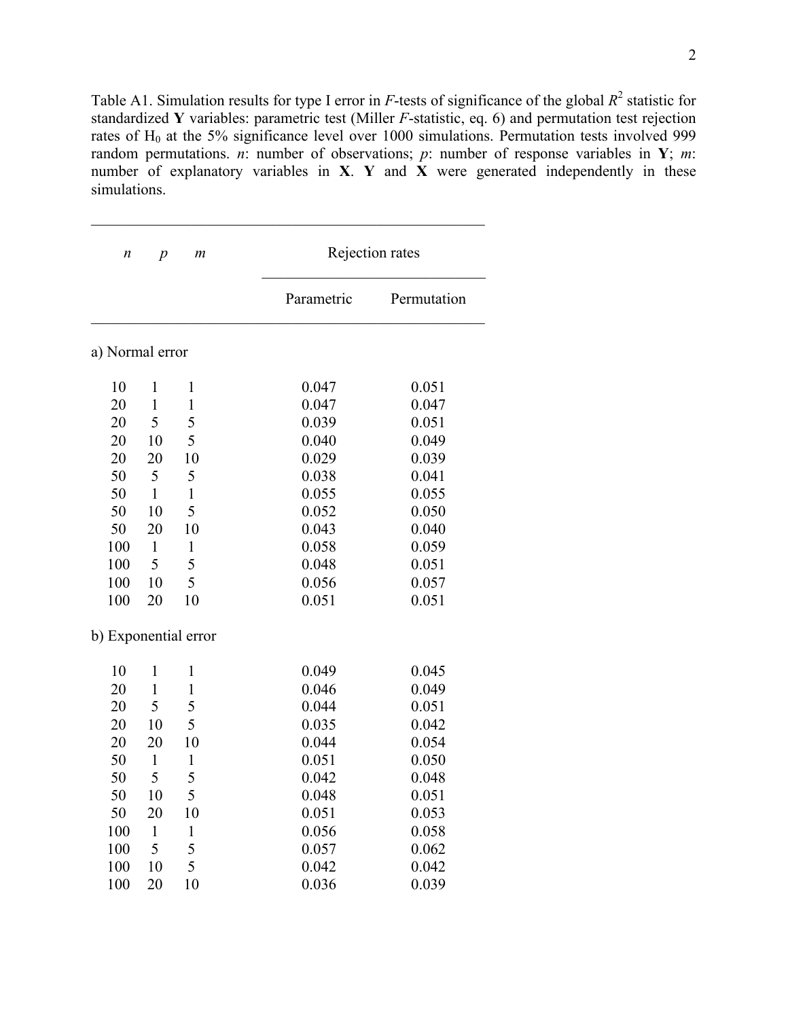Table A1. Simulation results for type I error in *F*-tests of significance of the global  $R^2$  statistic for standardized **Y** variables: parametric test (Miller *F*-statistic, eq. 6) and permutation test rejection rates of  $H_0$  at the 5% significance level over 1000 simulations. Permutation tests involved 999 random permutations. *n*: number of observations; *p*: number of response variables in **Y**; *m*: number of explanatory variables in **X**. **Y** and **X** were generated independently in these simulations.

| n                    | $\boldsymbol{p}$ | $\boldsymbol{m}$ |            | Rejection rates |
|----------------------|------------------|------------------|------------|-----------------|
|                      |                  |                  | Parametric | Permutation     |
| a) Normal error      |                  |                  |            |                 |
| 10                   | $\mathbf{1}$     | $\mathbf{1}$     | 0.047      | 0.051           |
| 20                   | $\mathbf{1}$     | $\mathbf{1}$     | 0.047      | 0.047           |
| 20                   | 5                | 5                | 0.039      | 0.051           |
| 20                   | 10               | 5                | 0.040      | 0.049           |
| 20                   | 20               | 10               | 0.029      | 0.039           |
| 50                   | 5                | 5                | 0.038      | 0.041           |
| 50                   | $\mathbf{1}$     | $\mathbf{1}$     | 0.055      | 0.055           |
| 50                   | 10               | 5                | 0.052      | 0.050           |
| 50                   | 20               | 10               | 0.043      | 0.040           |
| 100                  | $\mathbf{1}$     | $\mathbf{1}$     | 0.058      | 0.059           |
| 100                  | 5                | 5                | 0.048      | 0.051           |
| 100                  | 10               | 5                | 0.056      | 0.057           |
| 100                  | 20               | 10               | 0.051      | 0.051           |
| b) Exponential error |                  |                  |            |                 |
| 10                   | $\mathbf{1}$     | $\mathbf{1}$     | 0.049      | 0.045           |
| 20                   | 1                | $\mathbf{1}$     | 0.046      | 0.049           |
| 20                   | 5                | 5                | 0.044      | 0.051           |
| 20                   | 10               | 5                | 0.035      | 0.042           |
| 20                   | 20               | 10               | 0.044      | 0.054           |
| 50                   | $\mathbf{1}$     | $\mathbf{1}$     | 0.051      | 0.050           |
| 50                   | 5                | 5                | 0.042      | 0.048           |
| 50                   | 10               | 5                | 0.048      | 0.051           |
| 50                   | 20               | 10               | 0.051      | 0.053           |
| 100                  | $\mathbf{1}$     | $\mathbf{1}$     | 0.056      | 0.058           |
| 100                  | 5                | 5                | 0.057      | 0.062           |
| 100                  | 10               | 5                | 0.042      | 0.042           |
| 100                  | 20               | 10               | 0.036      | 0.039           |

 $\mathcal{L}_\text{max}$  , and the contract of the contract of the contract of the contract of the contract of the contract of the contract of the contract of the contract of the contract of the contract of the contract of the contr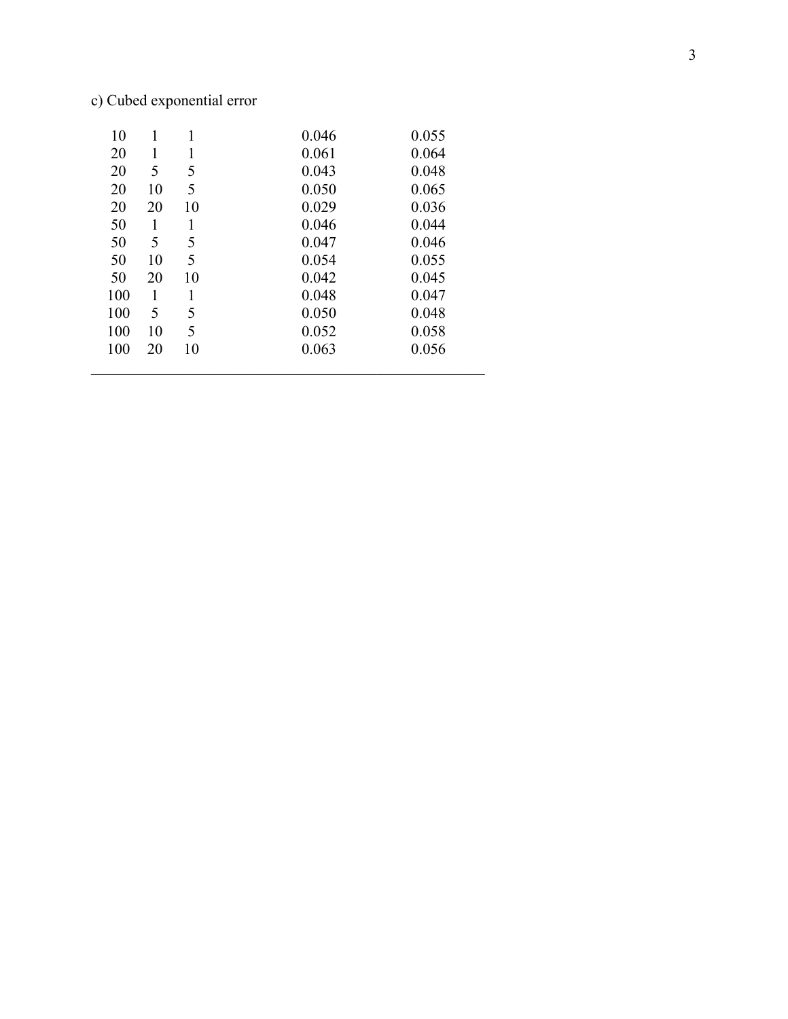c) Cubed exponential error

| 10  |    |    | 0.046 | 0.055 |
|-----|----|----|-------|-------|
| 20  | 1  | 1  | 0.061 | 0.064 |
| 20  | 5  | 5  | 0.043 | 0.048 |
| 20  | 10 | 5  | 0.050 | 0.065 |
| 20  | 20 | 10 | 0.029 | 0.036 |
| 50  | 1  |    | 0.046 | 0.044 |
| 50  | 5  | 5  | 0.047 | 0.046 |
| 50  | 10 | 5  | 0.054 | 0.055 |
| 50  | 20 | 10 | 0.042 | 0.045 |
| 100 | 1  |    | 0.048 | 0.047 |
| 100 | 5  | 5  | 0.050 | 0.048 |
| 100 | 10 | 5  | 0.052 | 0.058 |
| 100 | 20 | 10 | 0.063 | 0.056 |
|     |    |    |       |       |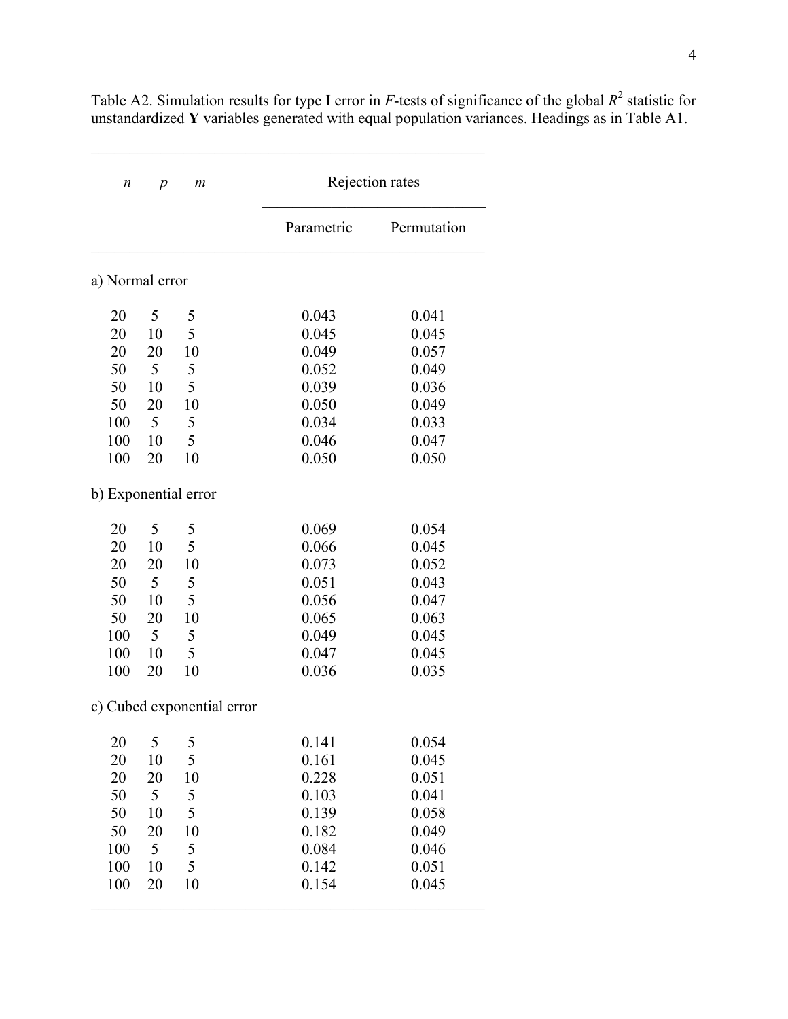| n                    | $\boldsymbol{p}$ | m                          |            | Rejection rates |
|----------------------|------------------|----------------------------|------------|-----------------|
|                      |                  |                            | Parametric | Permutation     |
| a) Normal error      |                  |                            |            |                 |
| 20                   | 5                | 5                          | 0.043      | 0.041           |
| 20                   | 10               | 5                          | 0.045      | 0.045           |
| 20                   | 20               | 10                         | 0.049      | 0.057           |
| 50                   | 5                | 5                          | 0.052      | 0.049           |
| 50                   | 10               | 5                          | 0.039      | 0.036           |
| 50                   | 20               | 10                         | 0.050      | 0.049           |
| 100                  | 5                | 5                          | 0.034      | 0.033           |
| 100                  | 10               | 5                          | 0.046      | 0.047           |
| 100                  | 20               | 10                         | 0.050      | 0.050           |
| b) Exponential error |                  |                            |            |                 |
| 20                   | 5                | 5                          | 0.069      | 0.054           |
| 20                   | 10               | 5                          | 0.066      | 0.045           |
| 20                   | 20               | 10                         | 0.073      | 0.052           |
| 50                   | 5                | 5                          | 0.051      | 0.043           |
| 50                   | 10               | 5                          | 0.056      | 0.047           |
| 50                   | 20               | 10                         | 0.065      | 0.063           |
| 100                  | 5                | 5                          | 0.049      | 0.045           |
| 100                  | 10               | 5                          | 0.047      | 0.045           |
| 100                  | 20               | 10                         | 0.036      | 0.035           |
|                      |                  | c) Cubed exponential error |            |                 |
| 20                   | 5                | 5                          | 0.141      | 0.054           |
| 20                   | 10               | 5                          | 0.161      | 0.045           |
| 20                   | 20               | 10                         | 0.228      | 0.051           |
| 50                   | 5                | 5                          | 0.103      | 0.041           |
| 50                   | 10               | 5                          | 0.139      | 0.058           |
| 50                   | 20               | 10                         | 0.182      | 0.049           |
| 100                  | 5                | 5                          | 0.084      | 0.046           |
| 100                  | 10               | 5                          | 0.142      | 0.051           |
| 100                  | 20               | 10                         | 0.154      | 0.045           |
|                      |                  |                            |            |                 |

 $\mathcal{L}_\text{max}$  , and the contract of the contract of the contract of the contract of the contract of the contract of the contract of the contract of the contract of the contract of the contract of the contract of the contr

Table A2. Simulation results for type I error in *F*-tests of significance of the global  $R^2$  statistic for unstandardized **Y** variables generated with equal population variances. Headings as in Table A1.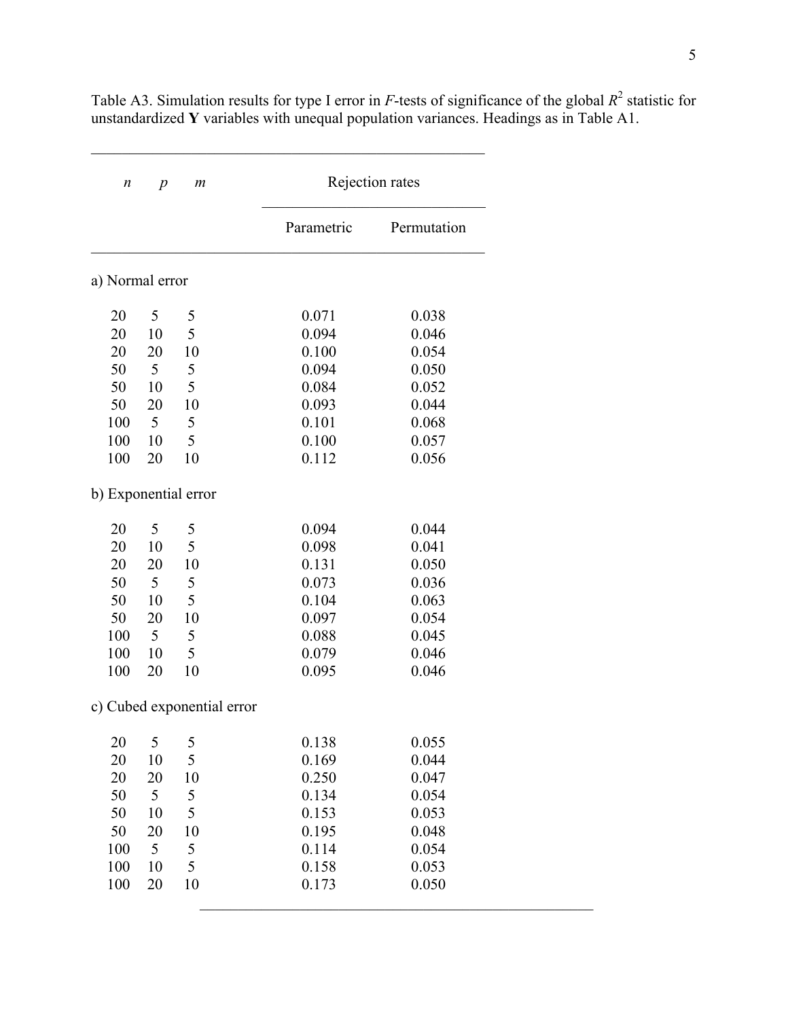| $\boldsymbol{n}$     | $\boldsymbol{p}$ | $\boldsymbol{m}$ |                            | Rejection rates |
|----------------------|------------------|------------------|----------------------------|-----------------|
|                      |                  |                  | Parametric                 | Permutation     |
| a) Normal error      |                  |                  |                            |                 |
| 20                   | 5                | 5                | 0.071                      | 0.038           |
| 20                   | 10               | 5                | 0.094                      | 0.046           |
| 20                   | 20               | 10               | 0.100                      | 0.054           |
| 50                   | 5                | $\mathfrak{S}$   | 0.094                      | 0.050           |
| 50                   | 10               | 5                | 0.084                      | 0.052           |
| 50                   | 20               | 10               | 0.093                      | 0.044           |
| 100                  | 5                | 5                | 0.101                      | 0.068           |
| 100                  | 10               | 5                | 0.100                      | 0.057           |
| 100                  | 20               | 10               | 0.112                      | 0.056           |
| b) Exponential error |                  |                  |                            |                 |
| 20                   | 5                | 5                | 0.094                      | 0.044           |
| 20                   | 10               | 5                | 0.098                      | 0.041           |
| 20                   | 20               | 10               | 0.131                      | 0.050           |
| 50                   | 5                | 5                | 0.073                      | 0.036           |
| 50                   | 10               | 5                | 0.104                      | 0.063           |
| 50                   | 20               | 10               | 0.097                      | 0.054           |
| 100                  | 5                | $\mathfrak{S}$   | 0.088                      | 0.045           |
| 100                  | 10               | 5                | 0.079                      | 0.046           |
| 100                  | 20               | 10               | 0.095                      | 0.046           |
|                      |                  |                  | c) Cubed exponential error |                 |
| 20                   | 5                | 5                | 0.138                      | 0.055           |
| 20                   | 10               | 5                | 0.169                      | 0.044           |
| 20                   | 20               | 10               | 0.250                      | 0.047           |
| 50                   | 5                | $\mathfrak s$    | 0.134                      | 0.054           |
| 50                   | 10               | 5                | 0.153                      | 0.053           |
| 50                   | 20               | 10               | 0.195                      | 0.048           |
| 100                  | 5                | 5                | 0.114                      | 0.054           |
| 100                  | 10               | 5                | 0.158                      | 0.053           |
| 100                  | 20               | 10               | 0.173                      | 0.050           |
|                      |                  |                  |                            |                 |

 $\mathcal{L}_\text{max}$  , and the contract of the contract of the contract of the contract of the contract of the contract of the contract of the contract of the contract of the contract of the contract of the contract of the contr

Table A3. Simulation results for type I error in *F*-tests of significance of the global  $R^2$  statistic for unstandardized **Y** variables with unequal population variances. Headings as in Table A1.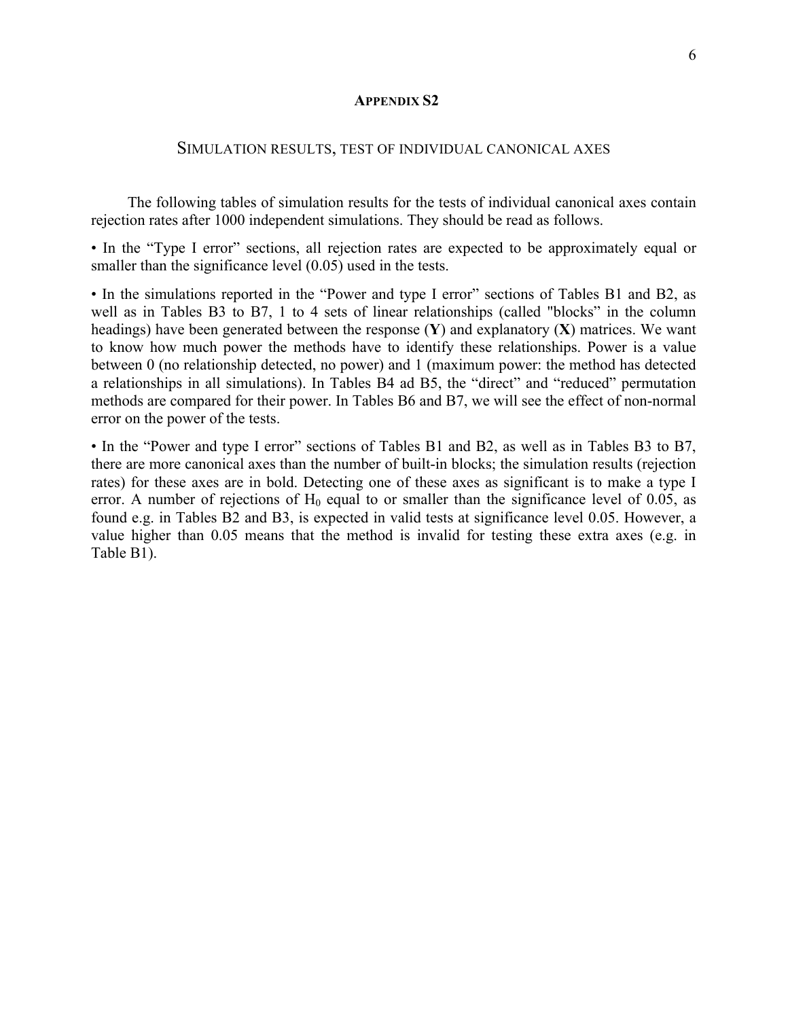### **APPENDIX S2**

### SIMULATION RESULTS, TEST OF INDIVIDUAL CANONICAL AXES

The following tables of simulation results for the tests of individual canonical axes contain rejection rates after 1000 independent simulations. They should be read as follows.

• In the "Type I error" sections, all rejection rates are expected to be approximately equal or smaller than the significance level  $(0.05)$  used in the tests.

• In the simulations reported in the "Power and type I error" sections of Tables B1 and B2, as well as in Tables B3 to B7, 1 to 4 sets of linear relationships (called "blocks" in the column headings) have been generated between the response (**Y**) and explanatory (**X**) matrices. We want to know how much power the methods have to identify these relationships. Power is a value between 0 (no relationship detected, no power) and 1 (maximum power: the method has detected a relationships in all simulations). In Tables B4 ad B5, the "direct" and "reduced" permutation methods are compared for their power. In Tables B6 and B7, we will see the effect of non-normal error on the power of the tests.

• In the "Power and type I error" sections of Tables B1 and B2, as well as in Tables B3 to B7, there are more canonical axes than the number of built-in blocks; the simulation results (rejection rates) for these axes are in bold. Detecting one of these axes as significant is to make a type I error. A number of rejections of  $H_0$  equal to or smaller than the significance level of 0.05, as found e.g. in Tables B2 and B3, is expected in valid tests at significance level 0.05. However, a value higher than 0.05 means that the method is invalid for testing these extra axes (e.g. in Table B1).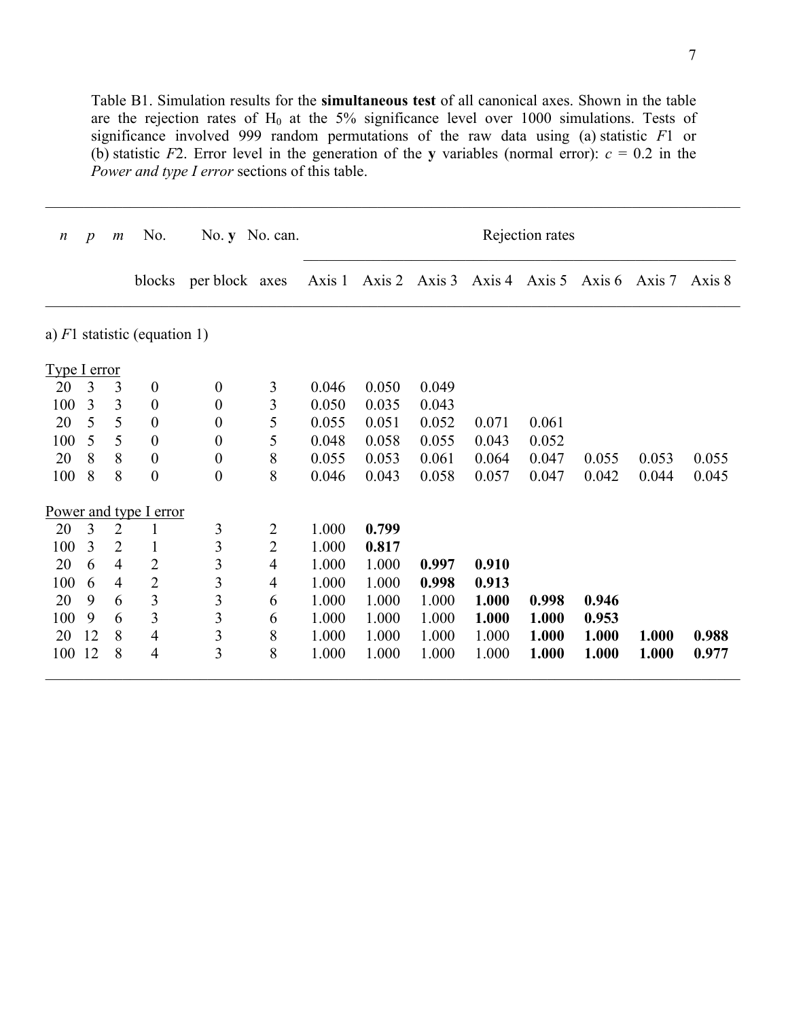Table B1. Simulation results for the **simultaneous test** of all canonical axes. Shown in the table are the rejection rates of  $H_0$  at the 5% significance level over 1000 simulations. Tests of significance involved 999 random permutations of the raw data using (a) statistic *F*1 or (b) statistic *F*2. Error level in the generation of the **y** variables (normal error):  $c = 0.2$  in the *Power and type I error* sections of this table.

 $\mathcal{L}_\mathcal{L} = \mathcal{L}_\mathcal{L} = \mathcal{L}_\mathcal{L} = \mathcal{L}_\mathcal{L} = \mathcal{L}_\mathcal{L} = \mathcal{L}_\mathcal{L} = \mathcal{L}_\mathcal{L} = \mathcal{L}_\mathcal{L} = \mathcal{L}_\mathcal{L} = \mathcal{L}_\mathcal{L} = \mathcal{L}_\mathcal{L} = \mathcal{L}_\mathcal{L} = \mathcal{L}_\mathcal{L} = \mathcal{L}_\mathcal{L} = \mathcal{L}_\mathcal{L} = \mathcal{L}_\mathcal{L} = \mathcal{L}_\mathcal{L}$ 

| $\boldsymbol{n}$    | $\boldsymbol{p}$ | $\boldsymbol{m}$ | No.                            | No. y No. can.          |                |        |       |               |        | Rejection rates |        |        |        |
|---------------------|------------------|------------------|--------------------------------|-------------------------|----------------|--------|-------|---------------|--------|-----------------|--------|--------|--------|
|                     |                  |                  | blocks                         | per block axes          |                | Axis 1 |       | Axis 2 Axis 3 | Axis 4 | Axis 5          | Axis 6 | Axis 7 | Axis 8 |
|                     |                  |                  | a) $F1$ statistic (equation 1) |                         |                |        |       |               |        |                 |        |        |        |
| <b>Type I error</b> |                  |                  |                                |                         |                |        |       |               |        |                 |        |        |        |
| 20                  | 3                | 3                | $\boldsymbol{0}$               | $\boldsymbol{0}$        | 3              | 0.046  | 0.050 | 0.049         |        |                 |        |        |        |
| 100                 | 3                | 3                | $\boldsymbol{0}$               | $\boldsymbol{0}$        | 3              | 0.050  | 0.035 | 0.043         |        |                 |        |        |        |
| 20                  | 5                | 5                | $\boldsymbol{0}$               | $\boldsymbol{0}$        | 5              | 0.055  | 0.051 | 0.052         | 0.071  | 0.061           |        |        |        |
| 100                 | 5                | 5                | $\boldsymbol{0}$               | $\boldsymbol{0}$        | 5              | 0.048  | 0.058 | 0.055         | 0.043  | 0.052           |        |        |        |
| 20                  | 8                | 8                | $\boldsymbol{0}$               | $\boldsymbol{0}$        | 8              | 0.055  | 0.053 | 0.061         | 0.064  | 0.047           | 0.055  | 0.053  | 0.055  |
| 100                 | 8                | 8                | $\boldsymbol{0}$               | $\boldsymbol{0}$        | 8              | 0.046  | 0.043 | 0.058         | 0.057  | 0.047           | 0.042  | 0.044  | 0.045  |
|                     |                  |                  | Power and type I error         |                         |                |        |       |               |        |                 |        |        |        |
| 20                  | 3                | 2                |                                | 3                       | $\overline{2}$ | 1.000  | 0.799 |               |        |                 |        |        |        |
| 100                 | 3                | $\overline{2}$   | $\mathbf{1}$                   | 3                       | $\overline{2}$ | 1.000  | 0.817 |               |        |                 |        |        |        |
| 20                  | 6                | 4                | $\overline{c}$                 | $\overline{\mathbf{3}}$ | 4              | 1.000  | 1.000 | 0.997         | 0.910  |                 |        |        |        |
| 100                 | 6                | 4                | $\overline{2}$                 | 3                       | 4              | 1.000  | 1.000 | 0.998         | 0.913  |                 |        |        |        |
| 20                  | 9                | 6                | 3                              | 3                       | 6              | 1.000  | 1.000 | 1.000         | 1.000  | 0.998           | 0.946  |        |        |
| 100                 | 9                | 6                | $\mathfrak{Z}$                 | 3                       | 6              | 1.000  | 1.000 | 1.000         | 1.000  | 1.000           | 0.953  |        |        |
| 20                  | 12               | 8                | 4                              | 3                       | 8              | 1.000  | 1.000 | 1.000         | 1.000  | 1.000           | 1.000  | 1.000  | 0.988  |
| 100                 | 12               | 8                | 4                              | 3                       | 8              | 1.000  | 1.000 | 1.000         | 1.000  | 1.000           | 1.000  | 1.000  | 0.977  |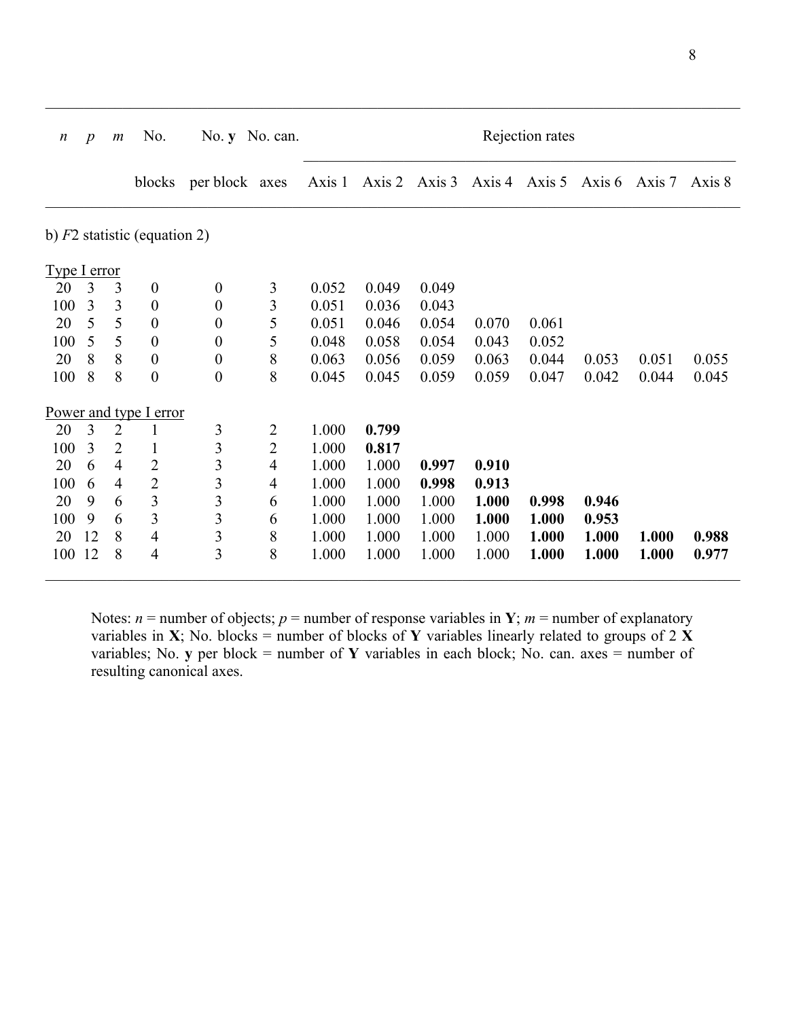| $\boldsymbol{n}$    | $\boldsymbol{p}$ | $\boldsymbol{m}$ | No.                            | No. y No. can.   |                |        |       |               |               | Rejection rates |        |        |        |
|---------------------|------------------|------------------|--------------------------------|------------------|----------------|--------|-------|---------------|---------------|-----------------|--------|--------|--------|
|                     |                  |                  | blocks                         | per block axes   |                | Axis 1 |       | Axis 2 Axis 3 | Axis 4 Axis 5 |                 | Axis 6 | Axis 7 | Axis 8 |
|                     |                  |                  | b) $F2$ statistic (equation 2) |                  |                |        |       |               |               |                 |        |        |        |
| <b>Type I error</b> |                  |                  |                                |                  |                |        |       |               |               |                 |        |        |        |
| 20                  | 3                | 3                | $\boldsymbol{0}$               | $\boldsymbol{0}$ | 3              | 0.052  | 0.049 | 0.049         |               |                 |        |        |        |
| 100                 | 3                | 3                | $\boldsymbol{0}$               | $\boldsymbol{0}$ | $\overline{3}$ | 0.051  | 0.036 | 0.043         |               |                 |        |        |        |
| 20                  | 5                | 5                | $\boldsymbol{0}$               | $\boldsymbol{0}$ | 5              | 0.051  | 0.046 | 0.054         | 0.070         | 0.061           |        |        |        |
| 100                 | 5                | 5                | $\boldsymbol{0}$               | $\boldsymbol{0}$ | 5              | 0.048  | 0.058 | 0.054         | 0.043         | 0.052           |        |        |        |
| 20                  | 8                | 8                | $\boldsymbol{0}$               | $\boldsymbol{0}$ | 8              | 0.063  | 0.056 | 0.059         | 0.063         | 0.044           | 0.053  | 0.051  | 0.055  |
| 100                 | 8                | 8                | $\boldsymbol{0}$               | $\boldsymbol{0}$ | 8              | 0.045  | 0.045 | 0.059         | 0.059         | 0.047           | 0.042  | 0.044  | 0.045  |
|                     |                  |                  | Power and type I error         |                  |                |        |       |               |               |                 |        |        |        |
| 20                  | 3                | 2                |                                | 3                | 2              | 1.000  | 0.799 |               |               |                 |        |        |        |
| 100                 | 3                | 2                |                                | 3                | $\overline{2}$ | 1.000  | 0.817 |               |               |                 |        |        |        |
| 20                  | 6                | 4                | $\overline{c}$                 | 3                | $\overline{4}$ | 1.000  | 1.000 | 0.997         | 0.910         |                 |        |        |        |
| 100                 | 6                | $\overline{4}$   | $\overline{c}$                 | 3                | 4              | 1.000  | 1.000 | 0.998         | 0.913         |                 |        |        |        |
| 20                  | 9                | 6                | $\mathfrak{Z}$                 | 3                | 6              | 1.000  | 1.000 | 1.000         | 1.000         | 0.998           | 0.946  |        |        |
| 100                 | 9                | 6                | $\overline{3}$                 | 3                | 6              | 1.000  | 1.000 | 1.000         | 1.000         | 1.000           | 0.953  |        |        |
| 20                  | 12               | 8                | $\overline{4}$                 | $\mathfrak{Z}$   | 8              | 1.000  | 1.000 | 1.000         | 1.000         | 1.000           | 1.000  | 1.000  | 0.988  |
| 100                 | 12               | 8                | $\overline{4}$                 | 3                | 8              | 1.000  | 1.000 | 1.000         | 1.000         | 1.000           | 1.000  | 1.000  | 0.977  |

 $\mathcal{L}_\mathcal{L} = \mathcal{L}_\mathcal{L} = \mathcal{L}_\mathcal{L} = \mathcal{L}_\mathcal{L} = \mathcal{L}_\mathcal{L} = \mathcal{L}_\mathcal{L} = \mathcal{L}_\mathcal{L} = \mathcal{L}_\mathcal{L} = \mathcal{L}_\mathcal{L} = \mathcal{L}_\mathcal{L} = \mathcal{L}_\mathcal{L} = \mathcal{L}_\mathcal{L} = \mathcal{L}_\mathcal{L} = \mathcal{L}_\mathcal{L} = \mathcal{L}_\mathcal{L} = \mathcal{L}_\mathcal{L} = \mathcal{L}_\mathcal{L}$ 

Notes:  $n =$  number of objects;  $p =$  number of response variables in **Y**;  $m =$  number of explanatory variables in **X**; No. blocks = number of blocks of **Y** variables linearly related to groups of 2  $\dot{\textbf{X}}$ variables; No. **y** per block = number of **Y** variables in each block; No. can. axes = number of resulting canonical axes.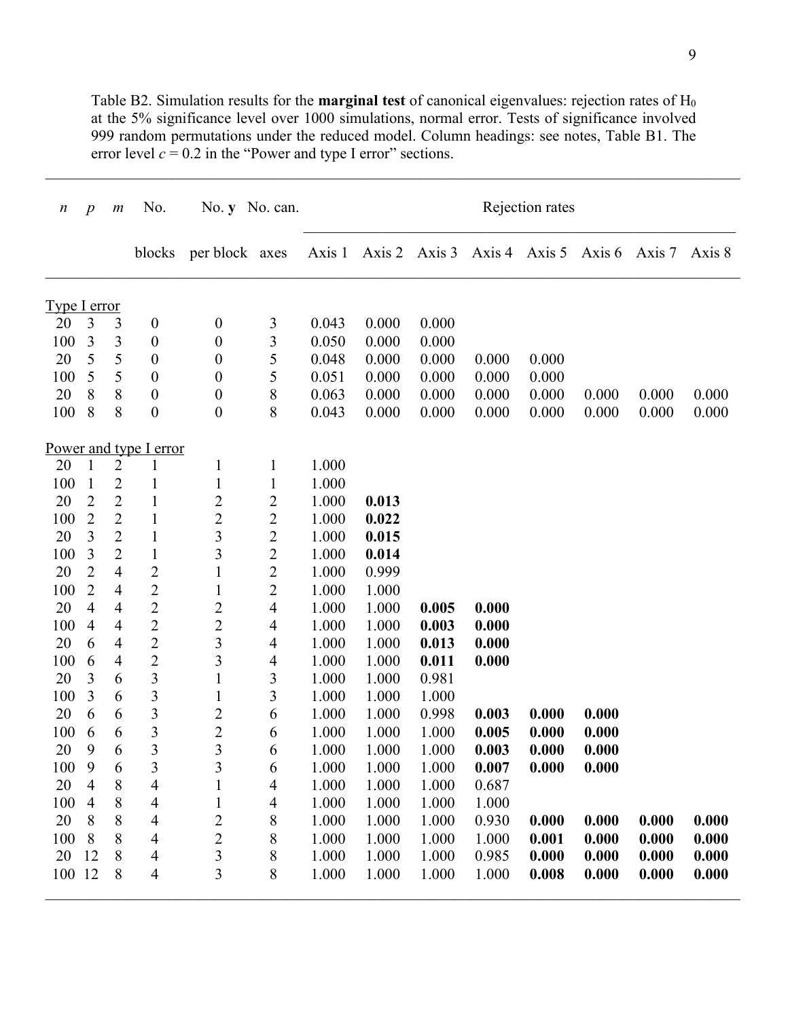| $\boldsymbol{n}$ | $\overline{p}$ | $\ensuremath{m}$ | No.                     | No. y No. can.          |                         |        |        |        |        | Rejection rates |        |        |        |
|------------------|----------------|------------------|-------------------------|-------------------------|-------------------------|--------|--------|--------|--------|-----------------|--------|--------|--------|
|                  |                |                  | blocks                  | per block axes          |                         | Axis 1 | Axis 2 | Axis 3 | Axis 4 | Axis 5          | Axis 6 | Axis 7 | Axis 8 |
| Type I error     |                |                  |                         |                         |                         |        |        |        |        |                 |        |        |        |
| 20               | 3              | 3                | $\boldsymbol{0}$        | $\boldsymbol{0}$        | 3                       | 0.043  | 0.000  | 0.000  |        |                 |        |        |        |
| 100              | 3              | 3                | $\boldsymbol{0}$        | $\boldsymbol{0}$        | 3                       | 0.050  | 0.000  | 0.000  |        |                 |        |        |        |
| 20               | 5              | 5                | $\boldsymbol{0}$        | $\boldsymbol{0}$        | 5                       | 0.048  | 0.000  | 0.000  | 0.000  | 0.000           |        |        |        |
| 100              | 5              | 5                | $\boldsymbol{0}$        | $\boldsymbol{0}$        | 5                       | 0.051  | 0.000  | 0.000  | 0.000  | 0.000           |        |        |        |
| 20               | 8              | 8                | $\boldsymbol{0}$        | $\boldsymbol{0}$        | 8                       | 0.063  | 0.000  | 0.000  | 0.000  | 0.000           | 0.000  | 0.000  | 0.000  |
| 100              | 8              | 8                | $\boldsymbol{0}$        | $\boldsymbol{0}$        | 8                       | 0.043  | 0.000  | 0.000  | 0.000  | 0.000           | 0.000  | 0.000  | 0.000  |
|                  |                |                  | Power and type I error  |                         |                         |        |        |        |        |                 |        |        |        |
| 20               | 1              | 2                |                         | $\mathbf{1}$            | $\mathbf{1}$            | 1.000  |        |        |        |                 |        |        |        |
| 100              | $\mathbf{1}$   | $\overline{2}$   | $\mathbf{1}$            | $\mathbf{1}$            | $\mathbf{1}$            | 1.000  |        |        |        |                 |        |        |        |
| 20               | 2              | $\overline{c}$   | $\mathbf{1}$            | $\overline{\mathbf{c}}$ | $\overline{\mathbf{c}}$ | 1.000  | 0.013  |        |        |                 |        |        |        |
| 100              | $\overline{2}$ | $\overline{2}$   | $\mathbf{1}$            | $\overline{c}$          | $\overline{\mathbf{c}}$ | 1.000  | 0.022  |        |        |                 |        |        |        |
| 20               | 3              | $\overline{c}$   | $\mathbf{1}$            | 3                       | $\overline{c}$          | 1.000  | 0.015  |        |        |                 |        |        |        |
| 100              | 3              | $\overline{2}$   | $\mathbf{1}$            | 3                       | $\overline{c}$          | 1.000  | 0.014  |        |        |                 |        |        |        |
| 20               | $\overline{2}$ | $\overline{4}$   | $\overline{c}$          | $\mathbf{1}$            | $\overline{c}$          | 1.000  | 0.999  |        |        |                 |        |        |        |
| 100              | $\overline{2}$ | $\overline{4}$   | $\overline{c}$          | $\mathbf{1}$            | $\overline{c}$          | 1.000  | 1.000  |        |        |                 |        |        |        |
| 20               | $\overline{4}$ | 4                | $\overline{c}$          | $\overline{\mathbf{c}}$ | 4                       | 1.000  | 1.000  | 0.005  | 0.000  |                 |        |        |        |
| 100              | $\overline{4}$ | 4                | $\overline{c}$          | $\overline{c}$          | 4                       | 1.000  | 1.000  | 0.003  | 0.000  |                 |        |        |        |
| 20               | 6              | 4                | $\overline{c}$          | 3                       | 4                       | 1.000  | 1.000  | 0.013  | 0.000  |                 |        |        |        |
| 100              | 6              | 4                | $\overline{c}$          | 3                       | 4                       | 1.000  | 1.000  | 0.011  | 0.000  |                 |        |        |        |
| 20               | 3              | 6                | $\overline{\mathbf{3}}$ | $\mathbf{1}$            | 3                       | 1.000  | 1.000  | 0.981  |        |                 |        |        |        |
| 100              | 3              | 6                | $\mathfrak{Z}$          | $\mathbf{1}$            | 3                       | 1.000  | 1.000  | 1.000  |        |                 |        |        |        |
| 20               | 6              | 6                | $\mathfrak{Z}$          | $\overline{\mathbf{c}}$ | 6                       | 1.000  | 1.000  | 0.998  | 0.003  | 0.000           | 0.000  |        |        |
| 100              | 6              | 6                | 3                       | $\overline{2}$          | 6                       | 1.000  | 1.000  | 1.000  | 0.005  | 0.000           | 0.000  |        |        |
| 20               | 9              | 6                | 3                       | 3                       | 6                       | 1.000  | 1.000  | 1.000  | 0.003  | 0.000           | 0.000  |        |        |
| 100              | 9              | 6                | 3                       | 3                       | 6                       | 1.000  | 1.000  | 1.000  | 0.007  | 0.000           | 0.000  |        |        |
| 20               | $\overline{4}$ | 8                | $\overline{4}$          | $\mathbf{1}$            | 4                       | 1.000  | 1.000  | 1.000  | 0.687  |                 |        |        |        |
| 100              | $\overline{4}$ | 8                | 4                       | $\mathbf{1}$            | 4                       | 1.000  | 1.000  | 1.000  | 1.000  |                 |        |        |        |
| 20               | 8              | 8                | 4                       | $\overline{\mathbf{c}}$ | 8                       | 1.000  | 1.000  | 1.000  | 0.930  | 0.000           | 0.000  | 0.000  | 0.000  |
| 100              | 8              | $8\,$            | 4                       | $\overline{2}$          | 8                       | 1.000  | 1.000  | 1.000  | 1.000  | 0.001           | 0.000  | 0.000  | 0.000  |
| 20               | 12             | 8                | 4                       | 3                       | 8                       | 1.000  | 1.000  | 1.000  | 0.985  | 0.000           | 0.000  | 0.000  | 0.000  |
| 100              | 12             | 8                | 4                       | 3                       | 8                       | 1.000  | 1.000  | 1.000  | 1.000  | 0.008           | 0.000  | 0.000  | 0.000  |

Table B2. Simulation results for the **marginal test** of canonical eigenvalues: rejection rates of H<sub>0</sub> at the 5% significance level over 1000 simulations, normal error. Tests of significance involved 999 random permutations under the reduced model. Column headings: see notes, Table B1. The error level  $c = 0.2$  in the "Power and type I error" sections.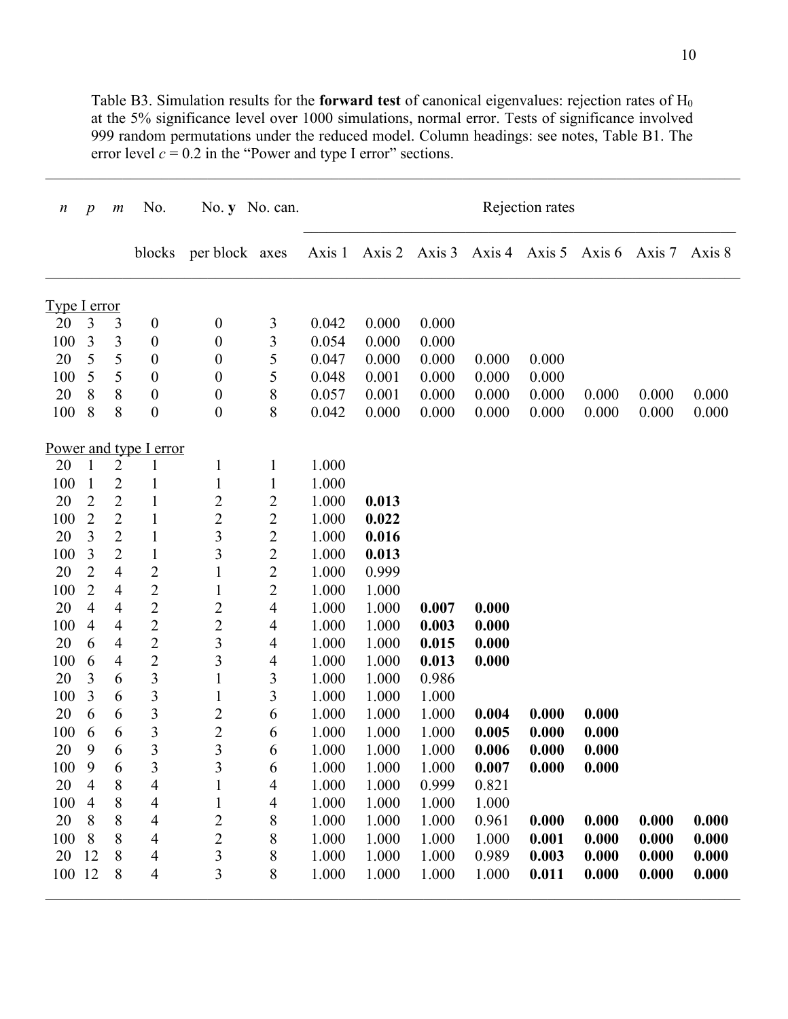| $\boldsymbol{n}$ | $\overline{p}$ | $\ensuremath{m}$ | No.                     | No. y No. can.          |                         |        |        |        |        | Rejection rates |        |        |        |
|------------------|----------------|------------------|-------------------------|-------------------------|-------------------------|--------|--------|--------|--------|-----------------|--------|--------|--------|
|                  |                |                  | blocks                  | per block axes          |                         | Axis 1 | Axis 2 | Axis 3 | Axis 4 | Axis 5          | Axis 6 | Axis 7 | Axis 8 |
| Type I error     |                |                  |                         |                         |                         |        |        |        |        |                 |        |        |        |
| 20               | 3              | 3                | $\boldsymbol{0}$        | $\boldsymbol{0}$        | 3                       | 0.042  | 0.000  | 0.000  |        |                 |        |        |        |
| 100              | 3              | 3                | $\boldsymbol{0}$        | $\boldsymbol{0}$        | 3                       | 0.054  | 0.000  | 0.000  |        |                 |        |        |        |
| 20               | 5              | 5                | $\boldsymbol{0}$        | $\boldsymbol{0}$        | 5                       | 0.047  | 0.000  | 0.000  | 0.000  | 0.000           |        |        |        |
| 100              | 5              | 5                | $\boldsymbol{0}$        | $\boldsymbol{0}$        | 5                       | 0.048  | 0.001  | 0.000  | 0.000  | 0.000           |        |        |        |
| 20               | 8              | 8                | $\boldsymbol{0}$        | $\boldsymbol{0}$        | 8                       | 0.057  | 0.001  | 0.000  | 0.000  | 0.000           | 0.000  | 0.000  | 0.000  |
| 100              | 8              | 8                | $\boldsymbol{0}$        | $\boldsymbol{0}$        | 8                       | 0.042  | 0.000  | 0.000  | 0.000  | 0.000           | 0.000  | 0.000  | 0.000  |
|                  |                |                  | Power and type I error  |                         |                         |        |        |        |        |                 |        |        |        |
| 20               | 1              | 2                |                         | $\mathbf{1}$            | $\mathbf{1}$            | 1.000  |        |        |        |                 |        |        |        |
| 100              | $\mathbf{1}$   | $\overline{2}$   | $\mathbf{1}$            | $\mathbf{1}$            | $\mathbf{1}$            | 1.000  |        |        |        |                 |        |        |        |
| 20               | 2              | $\overline{c}$   | $\mathbf{1}$            | $\overline{\mathbf{c}}$ | $\overline{\mathbf{c}}$ | 1.000  | 0.013  |        |        |                 |        |        |        |
| 100              | $\overline{2}$ | $\overline{2}$   | $\mathbf{1}$            | $\overline{c}$          | $\overline{c}$          | 1.000  | 0.022  |        |        |                 |        |        |        |
| 20               | 3              | $\overline{2}$   | $\mathbf{1}$            | 3                       | $\overline{c}$          | 1.000  | 0.016  |        |        |                 |        |        |        |
| 100              | 3              | $\overline{2}$   | $\mathbf{1}$            | 3                       | $\overline{c}$          | 1.000  | 0.013  |        |        |                 |        |        |        |
| 20               | $\overline{2}$ | $\overline{4}$   | $\overline{c}$          | $\mathbf{1}$            | $\overline{c}$          | 1.000  | 0.999  |        |        |                 |        |        |        |
| 100              | $\overline{2}$ | $\overline{4}$   | $\overline{c}$          | $\mathbf{1}$            | $\overline{c}$          | 1.000  | 1.000  |        |        |                 |        |        |        |
| 20               | $\overline{4}$ | 4                | $\overline{c}$          | $\overline{c}$          | 4                       | 1.000  | 1.000  | 0.007  | 0.000  |                 |        |        |        |
| 100              | $\overline{4}$ | 4                | $\overline{c}$          | $\overline{c}$          | 4                       | 1.000  | 1.000  | 0.003  | 0.000  |                 |        |        |        |
| 20               | 6              | 4                | $\overline{c}$          | 3                       | 4                       | 1.000  | 1.000  | 0.015  | 0.000  |                 |        |        |        |
| 100              | 6              | 4                | $\overline{c}$          | 3                       | 4                       | 1.000  | 1.000  | 0.013  | 0.000  |                 |        |        |        |
| 20               | 3              | 6                | $\overline{\mathbf{3}}$ | $\mathbf{1}$            | 3                       | 1.000  | 1.000  | 0.986  |        |                 |        |        |        |
| 100              | 3              | 6                | $\mathfrak{Z}$          | $\mathbf{1}$            | 3                       | 1.000  | 1.000  | 1.000  |        |                 |        |        |        |
| 20               | 6              | 6                | $\mathfrak{Z}$          | $\overline{\mathbf{c}}$ | 6                       | 1.000  | 1.000  | 1.000  | 0.004  | 0.000           | 0.000  |        |        |
| 100              | 6              | 6                | 3                       | $\overline{2}$          | 6                       | 1.000  | 1.000  | 1.000  | 0.005  | 0.000           | 0.000  |        |        |
| 20               | 9              | 6                | 3                       | 3                       | 6                       | 1.000  | 1.000  | 1.000  | 0.006  | 0.000           | 0.000  |        |        |
| 100              | 9              | 6                | 3                       | 3                       | 6                       | 1.000  | 1.000  | 1.000  | 0.007  | 0.000           | 0.000  |        |        |
| 20               | $\overline{4}$ | 8                | 4                       | $\mathbf{1}$            | 4                       | 1.000  | 1.000  | 0.999  | 0.821  |                 |        |        |        |
| 100              | $\overline{4}$ | 8                | 4                       | $\mathbf{1}$            | 4                       | 1.000  | 1.000  | 1.000  | 1.000  |                 |        |        |        |
| 20               | 8              | 8                | 4                       | $\overline{\mathbf{c}}$ | 8                       | 1.000  | 1.000  | 1.000  | 0.961  | 0.000           | 0.000  | 0.000  | 0.000  |
| 100              | 8              | $8\,$            | 4                       | $\overline{2}$          | 8                       | 1.000  | 1.000  | 1.000  | 1.000  | 0.001           | 0.000  | 0.000  | 0.000  |
| 20               | 12             | 8                | 4                       | 3                       | 8                       | 1.000  | 1.000  | 1.000  | 0.989  | 0.003           | 0.000  | 0.000  | 0.000  |
| 100              | 12             | 8                | 4                       | 3                       | 8                       | 1.000  | 1.000  | 1.000  | 1.000  | 0.011           | 0.000  | 0.000  | 0.000  |

Table B3. Simulation results for the **forward test** of canonical eigenvalues: rejection rates of H<sub>0</sub> at the 5% significance level over 1000 simulations, normal error. Tests of significance involved 999 random permutations under the reduced model. Column headings: see notes, Table B1. The error level  $c = 0.2$  in the "Power and type I error" sections.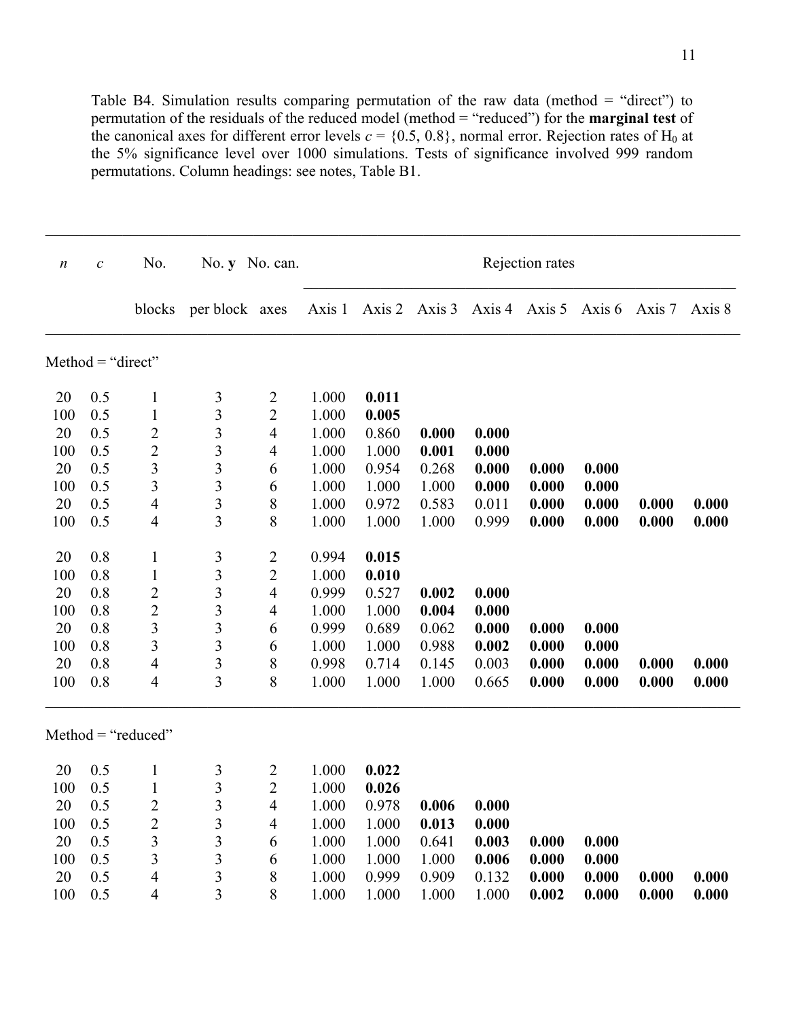Table B4. Simulation results comparing permutation of the raw data (method = "direct") to permutation of the residuals of the reduced model (method = "reduced") for the **marginal test** of the canonical axes for different error levels  $c = \{0.5, 0.8\}$ , normal error. Rejection rates of H<sub>0</sub> at the 5% significance level over 1000 simulations. Tests of significance involved 999 random permutations. Column headings: see notes, Table B1.

 $\mathcal{L}_\mathcal{L} = \mathcal{L}_\mathcal{L} = \mathcal{L}_\mathcal{L} = \mathcal{L}_\mathcal{L} = \mathcal{L}_\mathcal{L} = \mathcal{L}_\mathcal{L} = \mathcal{L}_\mathcal{L} = \mathcal{L}_\mathcal{L} = \mathcal{L}_\mathcal{L} = \mathcal{L}_\mathcal{L} = \mathcal{L}_\mathcal{L} = \mathcal{L}_\mathcal{L} = \mathcal{L}_\mathcal{L} = \mathcal{L}_\mathcal{L} = \mathcal{L}_\mathcal{L} = \mathcal{L}_\mathcal{L} = \mathcal{L}_\mathcal{L}$ 

| $\boldsymbol{n}$ | $\mathcal C$        | No.                     | No. y No. can.          |                          |        |        |           |        | Rejection rates |        |        |        |
|------------------|---------------------|-------------------------|-------------------------|--------------------------|--------|--------|-----------|--------|-----------------|--------|--------|--------|
|                  |                     | blocks                  | per block axes          |                          | Axis 1 | Axis 2 | Axis 3    | Axis 4 | Axis 5          | Axis 6 | Axis 7 | Axis 8 |
|                  | $Method = "direct"$ |                         |                         |                          |        |        |           |        |                 |        |        |        |
| 20               | 0.5                 | $\mathbf{1}$            | $\mathfrak{Z}$          | $\overline{c}$           | 1.000  | 0.011  |           |        |                 |        |        |        |
| 100              | 0.5                 | $\mathbf 1$             | $\mathfrak{Z}$          | $\overline{c}$           | 1.000  | 0.005  |           |        |                 |        |        |        |
| 20               | 0.5                 | $\overline{c}$          | $\overline{\mathbf{3}}$ | 4                        | 1.000  | 0.860  | 0.000     | 0.000  |                 |        |        |        |
| 100              | 0.5                 | $\overline{c}$          | $\overline{3}$          | 4                        | 1.000  | 1.000  | 0.001     | 0.000  |                 |        |        |        |
| 20               | 0.5                 | $\overline{\mathbf{3}}$ | $\overline{\mathbf{3}}$ | 6                        | 1.000  | 0.954  | 0.268     | 0.000  | 0.000           | 0.000  |        |        |
| 100              | 0.5                 | $\overline{\mathbf{3}}$ | $\overline{3}$          | 6                        | 1.000  | 1.000  | 1.000     | 0.000  | 0.000           | 0.000  |        |        |
| 20               | 0.5                 | $\overline{4}$          | $\overline{3}$          | 8                        | 1.000  | 0.972  | 0.583     | 0.011  | 0.000           | 0.000  | 0.000  | 0.000  |
| 100              | 0.5                 | $\overline{4}$          | $\overline{3}$          | 8                        | 1.000  | 1.000  | 1.000     | 0.999  | 0.000           | 0.000  | 0.000  | 0.000  |
| 20               | 0.8                 | $\mathbf{1}$            | $\mathfrak{Z}$          | $\overline{\mathbf{c}}$  | 0.994  | 0.015  |           |        |                 |        |        |        |
| 100              | 0.8                 | $\mathbf 1$             | $\mathfrak{Z}$          | $\overline{c}$           | 1.000  | 0.010  |           |        |                 |        |        |        |
| 20               | 0.8                 |                         | $\mathfrak{Z}$          | $\overline{\mathbf{4}}$  | 0.999  | 0.527  | 0.002     | 0.000  |                 |        |        |        |
| 100              | 0.8                 | $\frac{2}{2}$           | $\overline{\mathbf{3}}$ | 4                        | 1.000  | 1.000  | 0.004     | 0.000  |                 |        |        |        |
| 20               | 0.8                 | $\overline{\mathbf{3}}$ | $\mathfrak{Z}$          | 6                        | 0.999  | 0.689  | 0.062     | 0.000  | 0.000           | 0.000  |        |        |
| 100              | 0.8                 | 3                       | $\overline{\mathbf{3}}$ | 6                        | 1.000  | 1.000  | 0.988     | 0.002  | 0.000           | 0.000  |        |        |
| 20               | 0.8                 | $\overline{4}$          | $\mathfrak{Z}$          | 8                        | 0.998  | 0.714  | 0.145     | 0.003  | 0.000           | 0.000  | 0.000  | 0.000  |
| 100              | 0.8                 | $\overline{4}$          | $\overline{3}$          | 8                        | 1.000  | 1.000  | 1.000     | 0.665  | 0.000           | 0.000  | 0.000  | 0.000  |
|                  |                     | $Method = "reduced"$    |                         |                          |        |        |           |        |                 |        |        |        |
| 20               | 0.5                 | $\mathbf{1}$            | $\mathfrak{Z}$          | $\overline{c}$           | 1.000  | 0.022  |           |        |                 |        |        |        |
| 100              | 0.5                 | $\mathbf{1}$            | $\mathfrak{Z}$          | $\overline{c}$           | 1.000  | 0.026  |           |        |                 |        |        |        |
| 20               | 0.5                 | $\overline{c}$          | $\mathfrak{Z}$          | $\overline{\mathcal{A}}$ | 1.000  | 0.978  | 0.006     | 0.000  |                 |        |        |        |
| 100              | 0.5                 | $\overline{c}$          | $\mathfrak{Z}$          | $\overline{\mathcal{A}}$ | 1.000  | 1.000  | 0.013     | 0.000  |                 |        |        |        |
| 20               | 0.5                 | 3                       | $\mathfrak{Z}$          | 6                        | 1.000  | 1.000  | 0.641     | 0.003  | 0.000           | 0.000  |        |        |
| 100              | 0.5                 | $\overline{\mathbf{3}}$ | $\mathfrak{Z}$          | 6                        | 1.000  | 1.000  | 1.000     | 0.006  | 0.000           | 0.000  |        |        |
| 20               | 0.5                 | 4                       | $\mathfrak{Z}$          | 8                        | 1.000  | 0.999  | 0.909     | 0.132  | 0.000           | 0.000  | 0.000  | 0.000  |
| 100              | 0.5                 | 4                       | 3                       | 8                        | 1.000  | 1.000  | $1.000\,$ | 1.000  | 0.002           | 0.000  | 0.000  | 0.000  |
|                  |                     |                         |                         |                          |        |        |           |        |                 |        |        |        |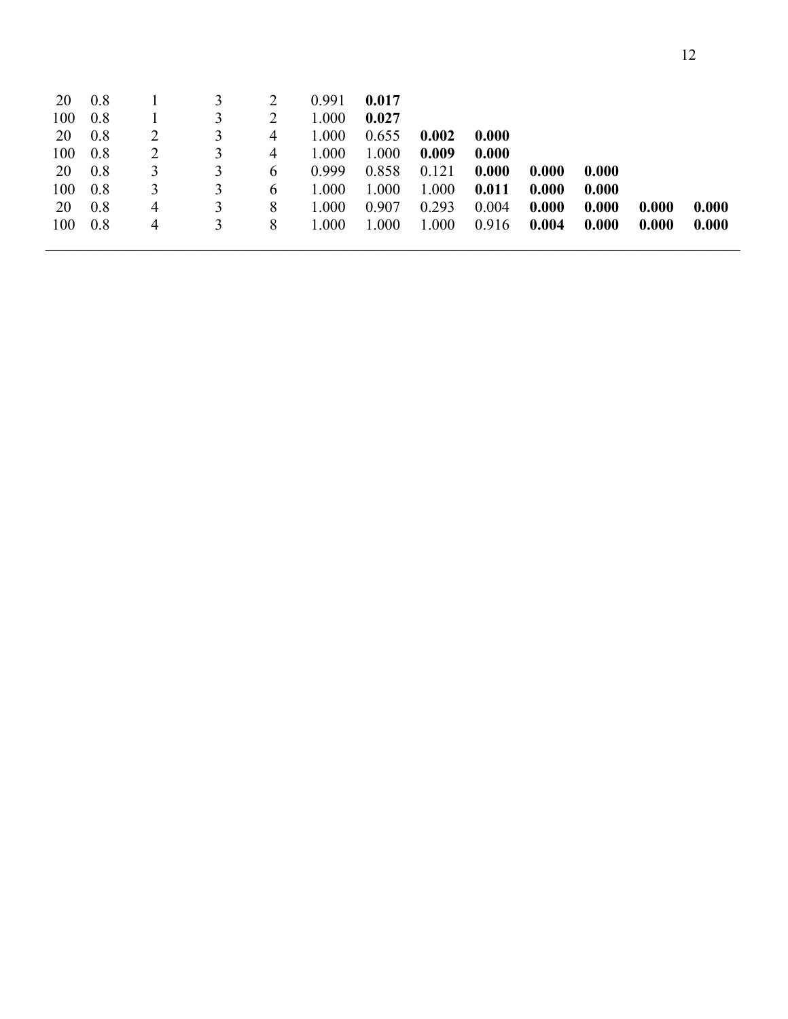| 20  | 0.8 |   |   |               | 0.991 | 0.017 |       |       |       |       |       |       |
|-----|-----|---|---|---------------|-------|-------|-------|-------|-------|-------|-------|-------|
| 100 | 0.8 |   | 3 |               | 1.000 | 0.027 |       |       |       |       |       |       |
| 20  | 0.8 | 2 | 3 | 4             | 1.000 | 0.655 | 0.002 | 0.000 |       |       |       |       |
| 100 | 0.8 | 2 | 3 | 4             | 1.000 | 1.000 | 0.009 | 0.000 |       |       |       |       |
| 20  | 0.8 | 3 | 3 | 6             | 0.999 | 0.858 | 0.121 | 0.000 | 0.000 | 0.000 |       |       |
| 100 | 0.8 |   | 3 | $\mathfrak b$ | 1.000 | 1.000 | 1.000 | 0.011 | 0.000 | 0.000 |       |       |
| 20  | 0.8 | 4 | 3 | 8             | 1.000 | 0.907 | 0.293 | 0.004 | 0.000 | 0.000 | 0.000 | 0.000 |
| 100 | 0.8 | 4 | 3 | 8             | 1.000 | 1.000 | 1.000 | 0.916 | 0.004 | 0.000 | 0.000 | 0.000 |
|     |     |   |   |               |       |       |       |       |       |       |       |       |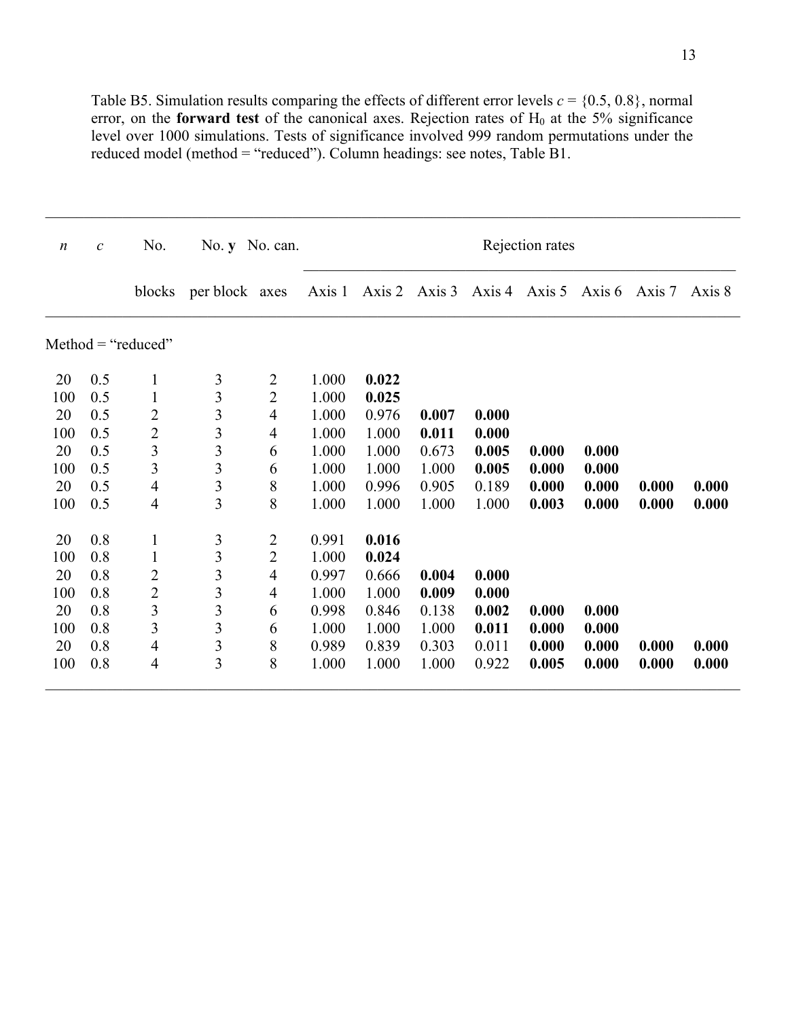Table B5. Simulation results comparing the effects of different error levels  $c = \{0.5, 0.8\}$ , normal error, on the **forward test** of the canonical axes. Rejection rates of H<sub>0</sub> at the 5% significance level over 1000 simulations. Tests of significance involved 999 random permutations under the reduced model (method = "reduced"). Column headings: see notes, Table B1.

| $\boldsymbol{n}$ | $\mathcal C$ | No.                     | No. y No. can.          |                |        |       |               |        | Rejection rates |        |        |        |
|------------------|--------------|-------------------------|-------------------------|----------------|--------|-------|---------------|--------|-----------------|--------|--------|--------|
|                  |              | blocks                  | per block axes          |                | Axis 1 |       | Axis 2 Axis 3 | Axis 4 | Axis 5          | Axis 6 | Axis 7 | Axis 8 |
|                  |              | $Method = "reduced"$    |                         |                |        |       |               |        |                 |        |        |        |
| 20               | 0.5          | 1                       | 3                       | $\overline{2}$ | 1.000  | 0.022 |               |        |                 |        |        |        |
| 100              | 0.5          | $\mathbf{1}$            | $\mathfrak{Z}$          | $\overline{c}$ | 1.000  | 0.025 |               |        |                 |        |        |        |
| 20               | 0.5          | $\overline{c}$          | $\overline{\mathbf{3}}$ | 4              | 1.000  | 0.976 | 0.007         | 0.000  |                 |        |        |        |
| 100              | 0.5          | $\overline{c}$          | $\mathfrak{Z}$          | 4              | 1.000  | 1.000 | 0.011         | 0.000  |                 |        |        |        |
| 20               | 0.5          | $\overline{\mathbf{3}}$ | $\mathfrak{Z}$          | 6              | 1.000  | 1.000 | 0.673         | 0.005  | 0.000           | 0.000  |        |        |
| 100              | 0.5          | 3                       | $\mathfrak{Z}$          | 6              | 1.000  | 1.000 | 1.000         | 0.005  | 0.000           | 0.000  |        |        |
| 20               | 0.5          | 4                       | $\mathfrak{Z}$          | 8              | 1.000  | 0.996 | 0.905         | 0.189  | 0.000           | 0.000  | 0.000  | 0.000  |
| 100              | 0.5          | $\overline{4}$          | 3                       | 8              | 1.000  | 1.000 | 1.000         | 1.000  | 0.003           | 0.000  | 0.000  | 0.000  |
| 20               | 0.8          | $\mathbf{1}$            | $\mathfrak{Z}$          | $\overline{c}$ | 0.991  | 0.016 |               |        |                 |        |        |        |
| 100              | 0.8          | $\mathbf{1}$            | $\overline{\mathbf{3}}$ | $\overline{2}$ | 1.000  | 0.024 |               |        |                 |        |        |        |
| 20               | 0.8          | $\overline{c}$          | $\mathfrak{Z}$          | 4              | 0.997  | 0.666 | 0.004         | 0.000  |                 |        |        |        |
| 100              | 0.8          | $\overline{c}$          | $\mathfrak{Z}$          | $\overline{4}$ | 1.000  | 1.000 | 0.009         | 0.000  |                 |        |        |        |
| 20               | 0.8          | 3                       | $\overline{\mathbf{3}}$ | 6              | 0.998  | 0.846 | 0.138         | 0.002  | 0.000           | 0.000  |        |        |
| 100              | 0.8          | 3                       | $\mathfrak{Z}$          | 6              | 1.000  | 1.000 | 1.000         | 0.011  | 0.000           | 0.000  |        |        |
| 20               | 0.8          | 4                       | $\mathfrak{Z}$          | 8              | 0.989  | 0.839 | 0.303         | 0.011  | 0.000           | 0.000  | 0.000  | 0.000  |
| 100              | 0.8          | 4                       | 3                       | 8              | 1.000  | 1.000 | 1.000         | 0.922  | 0.005           | 0.000  | 0.000  | 0.000  |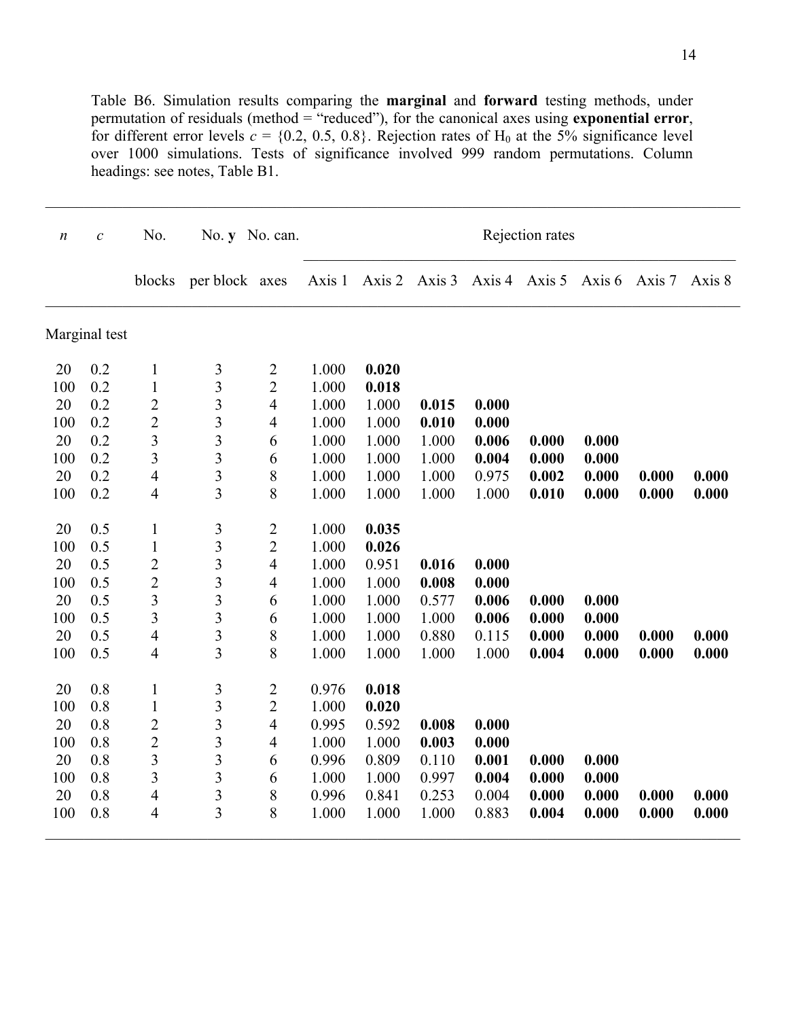Table B6. Simulation results comparing the **marginal** and **forward** testing methods, under permutation of residuals (method = "reduced"), for the canonical axes using **exponential error**, for different error levels  $c = \{0.2, 0.5, 0.8\}$ . Rejection rates of  $H_0$  at the 5% significance level over 1000 simulations. Tests of significance involved 999 random permutations. Column headings: see notes, Table B1.

| $\boldsymbol{n}$ | $\mathcal C$  | No.                     | No. y No. can.          |                |        |        |        |        | Rejection rates |        |        |        |
|------------------|---------------|-------------------------|-------------------------|----------------|--------|--------|--------|--------|-----------------|--------|--------|--------|
|                  |               | blocks                  | per block axes          |                | Axis 1 | Axis 2 | Axis 3 | Axis 4 | Axis 5          | Axis 6 | Axis 7 | Axis 8 |
|                  | Marginal test |                         |                         |                |        |        |        |        |                 |        |        |        |
| 20               | 0.2           | $\mathbf{1}$            | $\mathfrak{Z}$          | $\overline{2}$ | 1.000  | 0.020  |        |        |                 |        |        |        |
| 100              | 0.2           | $\mathbf 1$             | 3                       | $\overline{2}$ | 1.000  | 0.018  |        |        |                 |        |        |        |
| 20               | 0.2           |                         | 3                       | $\overline{4}$ | 1.000  | 1.000  | 0.015  | 0.000  |                 |        |        |        |
| 100              | 0.2           | $\frac{2}{2}$           | 3                       | $\overline{4}$ | 1.000  | 1.000  | 0.010  | 0.000  |                 |        |        |        |
| 20               | 0.2           | $\overline{\mathbf{3}}$ | 3                       | 6              | 1.000  | 1.000  | 1.000  | 0.006  | 0.000           | 0.000  |        |        |
| 100              | 0.2           | $\overline{\mathbf{3}}$ | 3                       | 6              | 1.000  | 1.000  | 1.000  | 0.004  | 0.000           | 0.000  |        |        |
| 20               | 0.2           | $\overline{4}$          | 3                       | 8              | 1.000  | 1.000  | 1.000  | 0.975  | 0.002           | 0.000  | 0.000  | 0.000  |
| 100              | 0.2           | $\overline{4}$          | 3                       | 8              | 1.000  | 1.000  | 1.000  | 1.000  | 0.010           | 0.000  | 0.000  | 0.000  |
| 20               | 0.5           | $\mathbf{1}$            | 3                       | $\overline{2}$ | 1.000  | 0.035  |        |        |                 |        |        |        |
| 100              | 0.5           | $\mathbf 1$             | 3                       | $\overline{c}$ | 1.000  | 0.026  |        |        |                 |        |        |        |
| 20               | 0.5           |                         | 3                       | $\overline{4}$ | 1.000  | 0.951  | 0.016  | 0.000  |                 |        |        |        |
| 100              | 0.5           | $\frac{2}{2}$           | 3                       | $\overline{4}$ | 1.000  | 1.000  | 0.008  | 0.000  |                 |        |        |        |
| 20               | 0.5           | $\overline{\mathbf{3}}$ | 3                       | 6              | 1.000  | 1.000  | 0.577  | 0.006  | 0.000           | 0.000  |        |        |
| 100              | 0.5           | $\overline{3}$          | $\overline{\mathbf{3}}$ | 6              | 1.000  | 1.000  | 1.000  | 0.006  | 0.000           | 0.000  |        |        |
| 20               | 0.5           | $\overline{4}$          | 3                       | $8\,$          | 1.000  | 1.000  | 0.880  | 0.115  | 0.000           | 0.000  | 0.000  | 0.000  |
| 100              | 0.5           | $\overline{4}$          | 3                       | 8              | 1.000  | 1.000  | 1.000  | 1.000  | 0.004           | 0.000  | 0.000  | 0.000  |
| 20               | 0.8           | $\mathbf{1}$            | 3                       | $\overline{2}$ | 0.976  | 0.018  |        |        |                 |        |        |        |
| 100              | 0.8           | $\mathbf 1$             | 3                       | $\sqrt{2}$     | 1.000  | 0.020  |        |        |                 |        |        |        |
| 20               | 0.8           | $\overline{c}$          | 3                       | $\overline{4}$ | 0.995  | 0.592  | 0.008  | 0.000  |                 |        |        |        |
| 100              | 0.8           | $\overline{c}$          | 3                       | $\overline{4}$ | 1.000  | 1.000  | 0.003  | 0.000  |                 |        |        |        |
| 20               | 0.8           | $\overline{\mathbf{3}}$ | 3                       | 6              | 0.996  | 0.809  | 0.110  | 0.001  | 0.000           | 0.000  |        |        |
| 100              | 0.8           | 3                       | 3                       | 6              | 1.000  | 1.000  | 0.997  | 0.004  | 0.000           | 0.000  |        |        |
| 20               | 0.8           | $\overline{4}$          | 3                       | $\,$ $\,$      | 0.996  | 0.841  | 0.253  | 0.004  | 0.000           | 0.000  | 0.000  | 0.000  |
| 100              | 0.8           | 4                       | 3                       | 8              | 1.000  | 1.000  | 1.000  | 0.883  | 0.004           | 0.000  | 0.000  | 0.000  |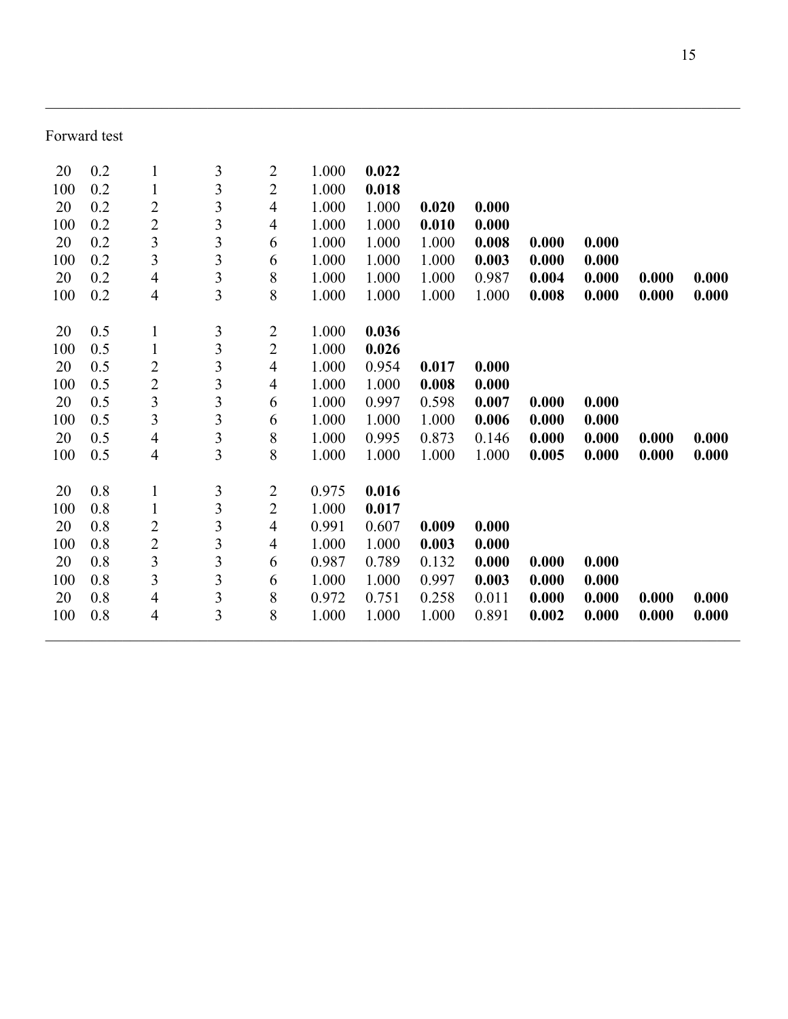Forward test

| 20  | 0.2 | $\mathbf{1}$             | 3                       | $\overline{c}$           | 1.000 | 0.022 |       |       |       |       |       |       |
|-----|-----|--------------------------|-------------------------|--------------------------|-------|-------|-------|-------|-------|-------|-------|-------|
| 100 | 0.2 | $\mathbf{1}$             | $\mathfrak{Z}$          | $\overline{c}$           | 1.000 | 0.018 |       |       |       |       |       |       |
| 20  | 0.2 | $\overline{c}$           | 3                       | 4                        | 1.000 | 1.000 | 0.020 | 0.000 |       |       |       |       |
| 100 | 0.2 | $\overline{c}$           | $\mathfrak{Z}$          | 4                        | 1.000 | 1.000 | 0.010 | 0.000 |       |       |       |       |
| 20  | 0.2 | $\overline{\mathbf{3}}$  | $\overline{\mathbf{3}}$ | 6                        | 1.000 | 1.000 | 1.000 | 0.008 | 0.000 | 0.000 |       |       |
| 100 | 0.2 | $\overline{\mathbf{3}}$  | $\overline{\mathbf{3}}$ | 6                        | 1.000 | 1.000 | 1.000 | 0.003 | 0.000 | 0.000 |       |       |
| 20  | 0.2 | 4                        | $\overline{\mathbf{3}}$ | 8                        | 1.000 | 1.000 | 1.000 | 0.987 | 0.004 | 0.000 | 0.000 | 0.000 |
| 100 | 0.2 | 4                        | $\overline{\mathbf{3}}$ | 8                        | 1.000 | 1.000 | 1.000 | 1.000 | 0.008 | 0.000 | 0.000 | 0.000 |
|     |     |                          |                         |                          |       |       |       |       |       |       |       |       |
| 20  | 0.5 | $\mathbf{1}$             | $\mathfrak{Z}$          | $\overline{2}$           | 1.000 | 0.036 |       |       |       |       |       |       |
| 100 | 0.5 | $\mathbf{1}$             | $\mathfrak{Z}$          | $\overline{c}$           | 1.000 | 0.026 |       |       |       |       |       |       |
| 20  | 0.5 | $\overline{\mathbf{c}}$  | $\overline{\mathbf{3}}$ | 4                        | 1.000 | 0.954 | 0.017 | 0.000 |       |       |       |       |
| 100 | 0.5 | $\overline{c}$           | $\overline{\mathbf{3}}$ | 4                        | 1.000 | 1.000 | 0.008 | 0.000 |       |       |       |       |
| 20  | 0.5 | $\overline{\mathbf{3}}$  | $\overline{\mathbf{3}}$ | 6                        | 1.000 | 0.997 | 0.598 | 0.007 | 0.000 | 0.000 |       |       |
| 100 | 0.5 | 3                        | $\overline{\mathbf{3}}$ | 6                        | 1.000 | 1.000 | 1.000 | 0.006 | 0.000 | 0.000 |       |       |
| 20  | 0.5 | $\overline{4}$           | $\mathfrak{Z}$          | 8                        | 1.000 | 0.995 | 0.873 | 0.146 | 0.000 | 0.000 | 0.000 | 0.000 |
| 100 | 0.5 | $\overline{\mathcal{A}}$ | $\overline{\mathbf{3}}$ | 8                        | 1.000 | 1.000 | 1.000 | 1.000 | 0.005 | 0.000 | 0.000 | 0.000 |
|     |     |                          |                         |                          |       |       |       |       |       |       |       |       |
| 20  | 0.8 | $\mathbf{1}$             | $\mathfrak{Z}$          | $\overline{2}$           | 0.975 | 0.016 |       |       |       |       |       |       |
| 100 | 0.8 | $\mathbf{1}$             | 3                       | $\overline{2}$           | 1.000 | 0.017 |       |       |       |       |       |       |
| 20  | 0.8 | $\overline{c}$           | 3                       | $\overline{\mathcal{A}}$ | 0.991 | 0.607 | 0.009 | 0.000 |       |       |       |       |
| 100 | 0.8 | $\overline{c}$           | 3                       | 4                        | 1.000 | 1.000 | 0.003 | 0.000 |       |       |       |       |
| 20  | 0.8 | $\overline{\mathbf{3}}$  | $\overline{\mathbf{3}}$ | 6                        | 0.987 | 0.789 | 0.132 | 0.000 | 0.000 | 0.000 |       |       |
| 100 | 0.8 | $\overline{\mathbf{3}}$  | $\overline{\mathbf{3}}$ | 6                        | 1.000 | 1.000 | 0.997 | 0.003 | 0.000 | 0.000 |       |       |
| 20  | 0.8 | 4                        | $\mathfrak{Z}$          | 8                        | 0.972 | 0.751 | 0.258 | 0.011 | 0.000 | 0.000 | 0.000 | 0.000 |
| 100 | 0.8 | 4                        | 3                       | 8                        | 1.000 | 1.000 | 1.000 | 0.891 | 0.002 | 0.000 | 0.000 | 0.000 |
|     |     |                          |                         |                          |       |       |       |       |       |       |       |       |

 $\mathcal{L}_\mathcal{L} = \mathcal{L}_\mathcal{L} = \mathcal{L}_\mathcal{L} = \mathcal{L}_\mathcal{L} = \mathcal{L}_\mathcal{L} = \mathcal{L}_\mathcal{L} = \mathcal{L}_\mathcal{L} = \mathcal{L}_\mathcal{L} = \mathcal{L}_\mathcal{L} = \mathcal{L}_\mathcal{L} = \mathcal{L}_\mathcal{L} = \mathcal{L}_\mathcal{L} = \mathcal{L}_\mathcal{L} = \mathcal{L}_\mathcal{L} = \mathcal{L}_\mathcal{L} = \mathcal{L}_\mathcal{L} = \mathcal{L}_\mathcal{L}$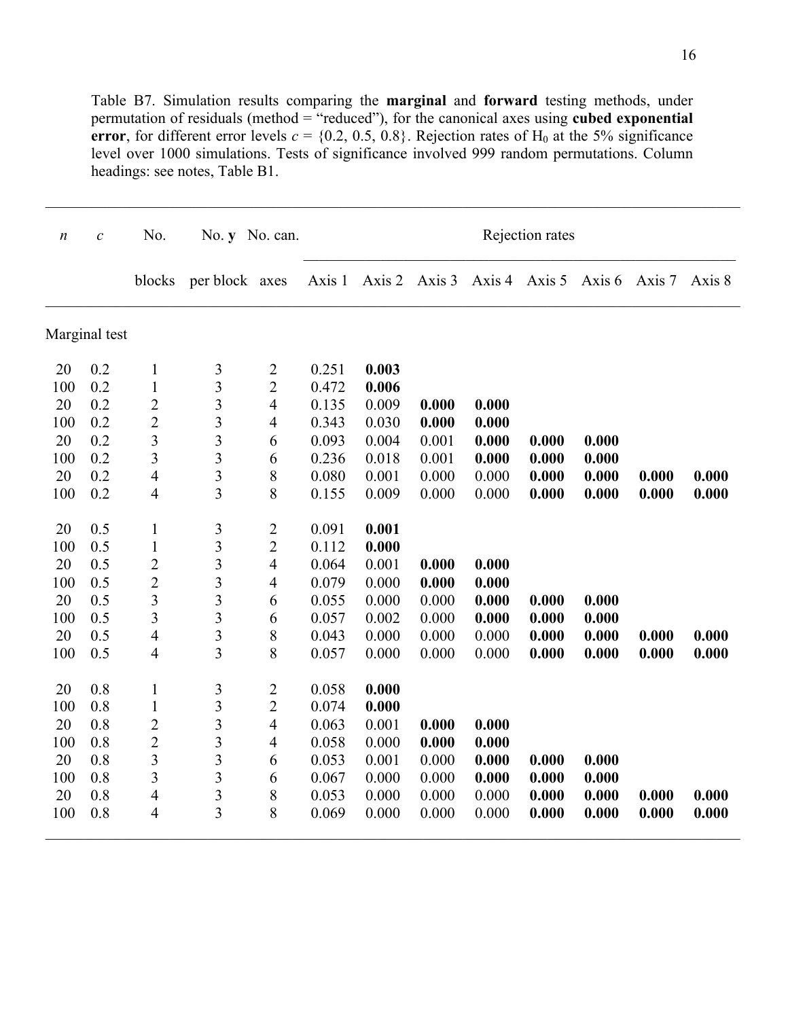Table B7. Simulation results comparing the **marginal** and **forward** testing methods, under permutation of residuals (method = "reduced"), for the canonical axes using **cubed exponential error**, for different error levels  $c = \{0.2, 0.5, 0.8\}$ . Rejection rates of H<sub>0</sub> at the 5% significance level over 1000 simulations. Tests of significance involved 999 random permutations. Column headings: see notes, Table B1.

| $\boldsymbol{n}$ | $\mathcal C$  | No.                     | No. y No. can. |                |        |        |        |        | Rejection rates |        |        |        |
|------------------|---------------|-------------------------|----------------|----------------|--------|--------|--------|--------|-----------------|--------|--------|--------|
|                  |               | blocks                  | per block axes |                | Axis 1 | Axis 2 | Axis 3 | Axis 4 | Axis 5          | Axis 6 | Axis 7 | Axis 8 |
|                  | Marginal test |                         |                |                |        |        |        |        |                 |        |        |        |
| 20               | 0.2           | $\mathbf{1}$            | $\mathfrak{Z}$ | $\overline{2}$ | 0.251  | 0.003  |        |        |                 |        |        |        |
| 100              | 0.2           | $\mathbf{1}$            | 3              | $\overline{2}$ | 0.472  | 0.006  |        |        |                 |        |        |        |
| 20               | 0.2           | $\overline{\mathbf{c}}$ | 3              | $\overline{4}$ | 0.135  | 0.009  | 0.000  | 0.000  |                 |        |        |        |
| 100              | 0.2           | $\overline{c}$          | 3              | $\overline{4}$ | 0.343  | 0.030  | 0.000  | 0.000  |                 |        |        |        |
| 20               | 0.2           | $\overline{\mathbf{3}}$ | 3              | 6              | 0.093  | 0.004  | 0.001  | 0.000  | 0.000           | 0.000  |        |        |
| 100              | 0.2           | 3                       | 3              | 6              | 0.236  | 0.018  | 0.001  | 0.000  | 0.000           | 0.000  |        |        |
| 20               | 0.2           | $\overline{4}$          | 3              | 8              | 0.080  | 0.001  | 0.000  | 0.000  | 0.000           | 0.000  | 0.000  | 0.000  |
| 100              | 0.2           | $\overline{4}$          | 3              | 8              | 0.155  | 0.009  | 0.000  | 0.000  | 0.000           | 0.000  | 0.000  | 0.000  |
| 20               | 0.5           | $\mathbf{1}$            | 3              | $\overline{2}$ | 0.091  | 0.001  |        |        |                 |        |        |        |
| 100              | 0.5           | $\mathbf{1}$            | 3              | $\overline{c}$ | 0.112  | 0.000  |        |        |                 |        |        |        |
| 20               | 0.5           |                         | 3              | $\overline{4}$ | 0.064  | 0.001  | 0.000  | 0.000  |                 |        |        |        |
| 100              | 0.5           | $\frac{2}{2}$           | 3              | $\overline{4}$ | 0.079  | 0.000  | 0.000  | 0.000  |                 |        |        |        |
| 20               | 0.5           | $\overline{\mathbf{3}}$ | 3              | 6              | 0.055  | 0.000  | 0.000  | 0.000  | 0.000           | 0.000  |        |        |
| 100              | 0.5           | $\overline{\mathbf{3}}$ | 3              | 6              | 0.057  | 0.002  | 0.000  | 0.000  | 0.000           | 0.000  |        |        |
| 20               | 0.5           | $\overline{4}$          | 3              | 8              | 0.043  | 0.000  | 0.000  | 0.000  | 0.000           | 0.000  | 0.000  | 0.000  |
| 100              | 0.5           | $\overline{4}$          | $\overline{3}$ | 8              | 0.057  | 0.000  | 0.000  | 0.000  | 0.000           | 0.000  | 0.000  | 0.000  |
| 20               | 0.8           | $\mathbf{1}$            | 3              | $\overline{2}$ | 0.058  | 0.000  |        |        |                 |        |        |        |
| 100              | 0.8           | $\mathbf{1}$            | 3              | $\sqrt{2}$     | 0.074  | 0.000  |        |        |                 |        |        |        |
| 20               | 0.8           | $\overline{c}$          | 3              | $\overline{4}$ | 0.063  | 0.001  | 0.000  | 0.000  |                 |        |        |        |
| 100              | 0.8           | $\overline{c}$          | 3              | $\overline{4}$ | 0.058  | 0.000  | 0.000  | 0.000  |                 |        |        |        |
| 20               | 0.8           | $\overline{\mathbf{3}}$ | 3              | 6              | 0.053  | 0.001  | 0.000  | 0.000  | 0.000           | 0.000  |        |        |
| 100              | 0.8           | 3                       | 3              | 6              | 0.067  | 0.000  | 0.000  | 0.000  | 0.000           | 0.000  |        |        |
| 20               | 0.8           | $\overline{4}$          | 3              | $\,$ $\,$      | 0.053  | 0.000  | 0.000  | 0.000  | 0.000           | 0.000  | 0.000  | 0.000  |
| 100              | 0.8           | 4                       | 3              | 8              | 0.069  | 0.000  | 0.000  | 0.000  | 0.000           | 0.000  | 0.000  | 0.000  |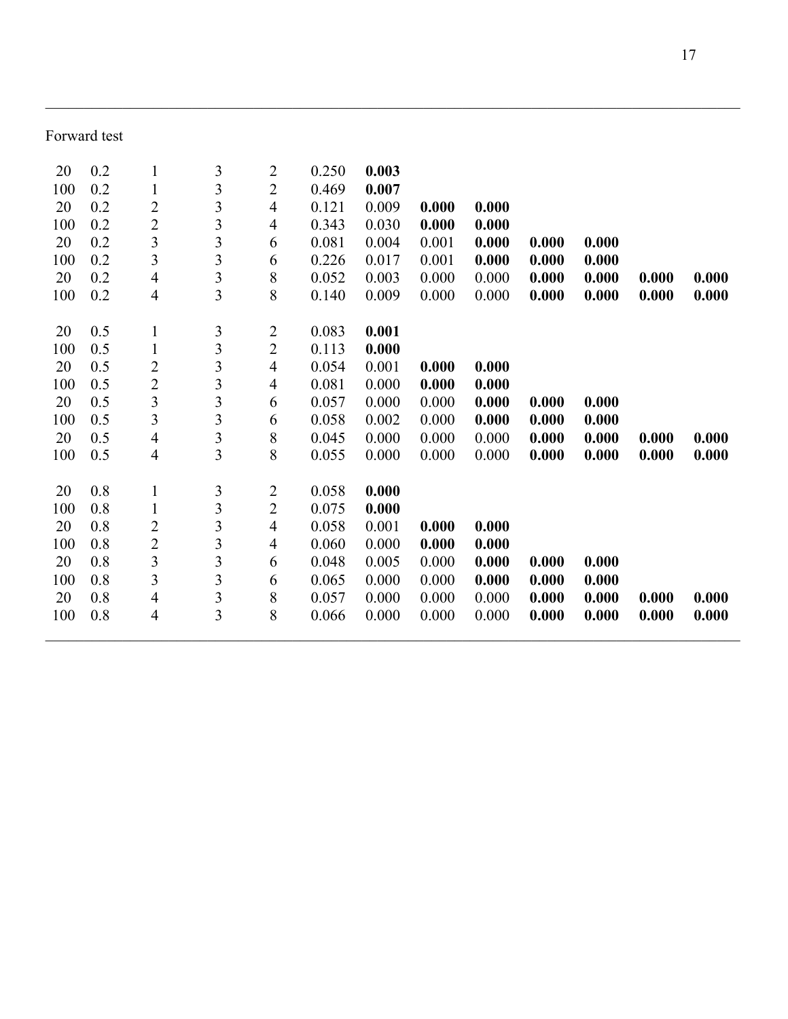Forward test

| 20  | 0.2 | $\mathbf{1}$            | 3                       | $\overline{c}$ | 0.250 | 0.003 |       |       |       |       |       |       |
|-----|-----|-------------------------|-------------------------|----------------|-------|-------|-------|-------|-------|-------|-------|-------|
| 100 | 0.2 | $\mathbf{1}$            | $\mathfrak{Z}$          | $\overline{c}$ | 0.469 | 0.007 |       |       |       |       |       |       |
| 20  | 0.2 | $\overline{c}$          | 3                       | 4              | 0.121 | 0.009 | 0.000 | 0.000 |       |       |       |       |
| 100 | 0.2 | $\overline{c}$          | $\mathfrak{Z}$          | 4              | 0.343 | 0.030 | 0.000 | 0.000 |       |       |       |       |
| 20  | 0.2 | $\overline{\mathbf{3}}$ | $\overline{\mathbf{3}}$ | 6              | 0.081 | 0.004 | 0.001 | 0.000 | 0.000 | 0.000 |       |       |
| 100 | 0.2 | $\overline{\mathbf{3}}$ | $\overline{\mathbf{3}}$ | 6              | 0.226 | 0.017 | 0.001 | 0.000 | 0.000 | 0.000 |       |       |
| 20  | 0.2 | 4                       | $\overline{\mathbf{3}}$ | 8              | 0.052 | 0.003 | 0.000 | 0.000 | 0.000 | 0.000 | 0.000 | 0.000 |
| 100 | 0.2 | 4                       | $\overline{\mathbf{3}}$ | 8              | 0.140 | 0.009 | 0.000 | 0.000 | 0.000 | 0.000 | 0.000 | 0.000 |
|     |     |                         |                         |                |       |       |       |       |       |       |       |       |
| 20  | 0.5 | $\mathbf{1}$            | $\mathfrak{Z}$          | $\overline{2}$ | 0.083 | 0.001 |       |       |       |       |       |       |
| 100 | 0.5 | $\mathbf{1}$            | 3                       | $\overline{c}$ | 0.113 | 0.000 |       |       |       |       |       |       |
| 20  | 0.5 | $\overline{c}$          | $\overline{\mathbf{3}}$ | 4              | 0.054 | 0.001 | 0.000 | 0.000 |       |       |       |       |
| 100 | 0.5 | $\overline{c}$          | $\overline{\mathbf{3}}$ | 4              | 0.081 | 0.000 | 0.000 | 0.000 |       |       |       |       |
| 20  | 0.5 | $\overline{\mathbf{3}}$ | $\overline{\mathbf{3}}$ | 6              | 0.057 | 0.000 | 0.000 | 0.000 | 0.000 | 0.000 |       |       |
| 100 | 0.5 | $\overline{\mathbf{3}}$ | $\overline{\mathbf{3}}$ | 6              | 0.058 | 0.002 | 0.000 | 0.000 | 0.000 | 0.000 |       |       |
| 20  | 0.5 | $\overline{4}$          | $\mathfrak{Z}$          | 8              | 0.045 | 0.000 | 0.000 | 0.000 | 0.000 | 0.000 | 0.000 | 0.000 |
| 100 | 0.5 | 4                       | $\overline{\mathbf{3}}$ | 8              | 0.055 | 0.000 | 0.000 | 0.000 | 0.000 | 0.000 | 0.000 | 0.000 |
|     |     |                         |                         |                |       |       |       |       |       |       |       |       |
| 20  | 0.8 | $\mathbf{1}$            | $\mathfrak{Z}$          | $\overline{2}$ | 0.058 | 0.000 |       |       |       |       |       |       |
| 100 | 0.8 | $\mathbf{1}$            | 3                       | $\overline{2}$ | 0.075 | 0.000 |       |       |       |       |       |       |
| 20  | 0.8 | $\overline{c}$          | 3                       | 4              | 0.058 | 0.001 | 0.000 | 0.000 |       |       |       |       |
| 100 | 0.8 | $\overline{c}$          | 3                       | 4              | 0.060 | 0.000 | 0.000 | 0.000 |       |       |       |       |
| 20  | 0.8 | $\overline{\mathbf{3}}$ | $\overline{\mathbf{3}}$ | 6              | 0.048 | 0.005 | 0.000 | 0.000 | 0.000 | 0.000 |       |       |
| 100 | 0.8 | $\overline{\mathbf{3}}$ | $\overline{\mathbf{3}}$ | 6              | 0.065 | 0.000 | 0.000 | 0.000 | 0.000 | 0.000 |       |       |
| 20  | 0.8 | 4                       | $\mathfrak{Z}$          | 8              | 0.057 | 0.000 | 0.000 | 0.000 | 0.000 | 0.000 | 0.000 | 0.000 |
| 100 | 0.8 | 4                       | $\overline{\mathbf{3}}$ | 8              | 0.066 | 0.000 | 0.000 | 0.000 | 0.000 | 0.000 | 0.000 | 0.000 |
|     |     |                         |                         |                |       |       |       |       |       |       |       |       |

 $\mathcal{L}_\mathcal{L} = \mathcal{L}_\mathcal{L} = \mathcal{L}_\mathcal{L} = \mathcal{L}_\mathcal{L} = \mathcal{L}_\mathcal{L} = \mathcal{L}_\mathcal{L} = \mathcal{L}_\mathcal{L} = \mathcal{L}_\mathcal{L} = \mathcal{L}_\mathcal{L} = \mathcal{L}_\mathcal{L} = \mathcal{L}_\mathcal{L} = \mathcal{L}_\mathcal{L} = \mathcal{L}_\mathcal{L} = \mathcal{L}_\mathcal{L} = \mathcal{L}_\mathcal{L} = \mathcal{L}_\mathcal{L} = \mathcal{L}_\mathcal{L}$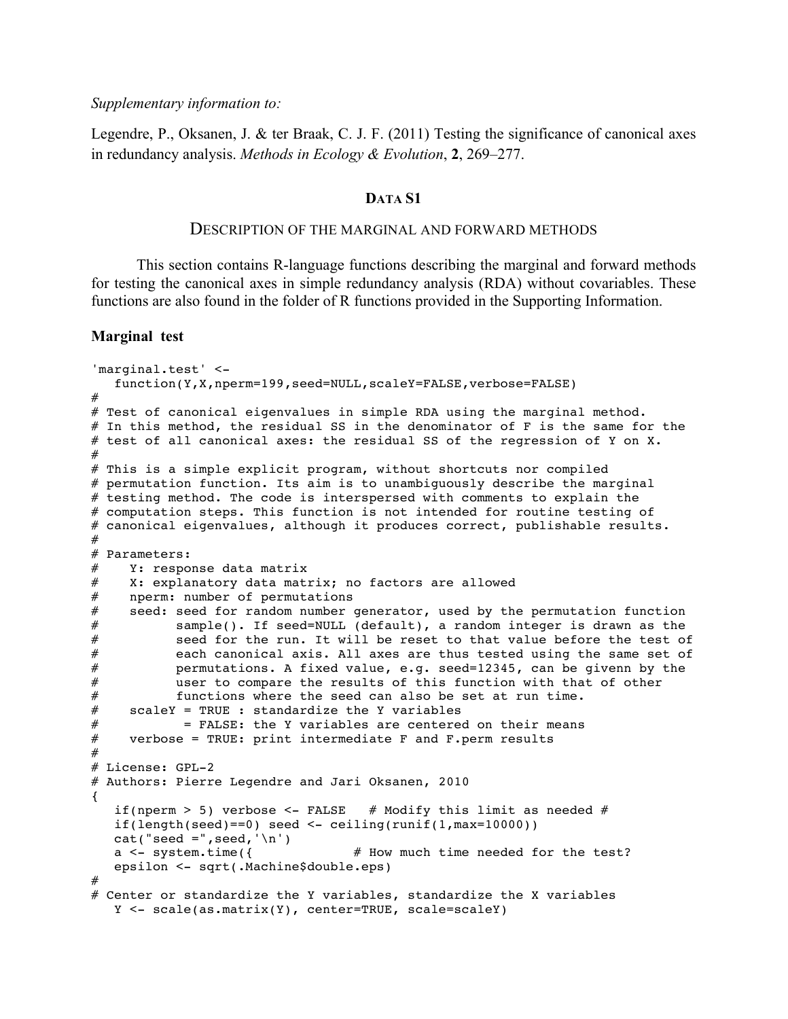*Supplementary information to:*

Legendre, P., Oksanen, J. & ter Braak, C. J. F. (2011) Testing the significance of canonical axes in redundancy analysis. *Methods in Ecology & Evolution*, **2**, 269–277.

# **DATA S1**

### DESCRIPTION OF THE MARGINAL AND FORWARD METHODS

This section contains R-language functions describing the marginal and forward methods for testing the canonical axes in simple redundancy analysis (RDA) without covariables. These functions are also found in the folder of R functions provided in the Supporting Information.

### **Marginal test**

```
'marginal.test' <-
    function(Y,X,nperm=199,seed=NULL,scaleY=FALSE,verbose=FALSE)
# 
# Test of canonical eigenvalues in simple RDA using the marginal method.
# In this method, the residual SS in the denominator of F is the same for the 
# test of all canonical axes: the residual SS of the regression of Y on X.
#
# This is a simple explicit program, without shortcuts nor compiled 
# permutation function. Its aim is to unambiguously describe the marginal 
# testing method. The code is interspersed with comments to explain the 
# computation steps. This function is not intended for routine testing of 
# canonical eigenvalues, although it produces correct, publishable results.
# 
# Parameters:
# Y: response data matrix
# X: explanatory data matrix; no factors are allowed
# nperm: number of permutations
# seed: seed for random number generator, used by the permutation function 
# sample(). If seed=NULL (default), a random integer is drawn as the 
# seed for the run. It will be reset to that value before the test of # each canonical axis. All axes are thus tested using the same set of
\# each canonical axis. All axes are thus tested using the same set of \# permutations. A fixed value, e.g. seed=12345, can be givenn by the
\# permutations. A fixed value, e.g. seed=12345, can be givenn by the \# user to compare the results of this function with that of other
# user to compare the results of this function with that of other # functions where the seed can also be set at run time.
# functions where the seed can also be set at run time.<br># scaleY = TRUE : standardize the Y variables
# scaleY = TRUE : standardize the Y variables<br># = FALSE: the Y variables are centeree
# = FALSE: the Y variables are centered on their means<br># verbose = TRUE: print intermediate F and F.perm results
      verbose = TRUE: print intermediate F and F.perm results
#
# License: GPL-2 
# Authors: Pierre Legendre and Jari Oksanen, 2010
{
   if(nperm > 5) verbose <- FALSE # Modify this limit as needed # if(length(seed)==0) seed <- ceiling(runif(1,max=10000))
   cat("seed =", seed, '\n\times")
    a <- system.time({ # How much time needed for the test?
    epsilon <- sqrt(.Machine$double.eps)
#
# Center or standardize the Y variables, standardize the X variables
    Y <- scale(as.matrix(Y), center=TRUE, scale=scaleY)
```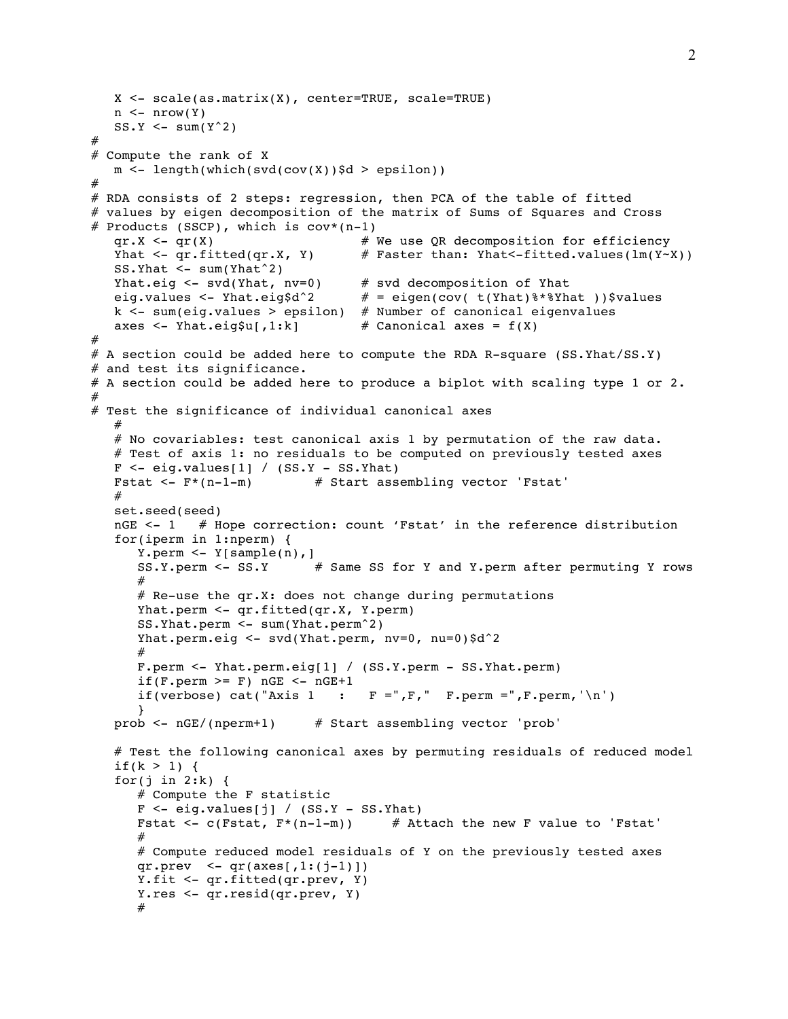```
X \leq - \text{scale}(\text{as-matrix}(X), \text{center=TRUE}, \text{scale=TRUE})n \le - nrow(Y)SS.Y < - sum(Y^2)#
# Compute the rank of X
   m \le - length(which(svd(cov(X))$d > epsilon))
#
# RDA consists of 2 steps: regression, then PCA of the table of fitted 
# values by eigen decomposition of the matrix of Sums of Squares and Cross 
# Products (SSCP), which is cov*(n-1)
   qr.X \leq - qr(X) \neq We use QR decomposition for efficiency
   Yhat <- qr.fitted(qr.X, Y) # Faster than: Yhat<-fitted.values(lm(Y-X))
   SS.Yhat \leq sum(Yhat<sup>^2</sup>)
    Yhat.eig <- svd(Yhat, nv=0) # svd decomposition of Yhat
   eig.values <- Yhat.eig$d^2 # = eigen(cov( t(Yhat)%*%Yhat ))$values
   k <- sum(eig.values > epsilon) # Number of canonical eigenvalues<br>axes <- Yhat.eiq$u[,1:k] # Canonical axes = f(X)axes \leq Yhat.eig$u[,1:k]
#
# A section could be added here to compute the RDA R-square (SS.Yhat/SS.Y) 
# and test its significance.
# A section could be added here to produce a biplot with scaling type 1 or 2.
#
# Test the significance of individual canonical axes
 #
    # No covariables: test canonical axis 1 by permutation of the raw data.
    # Test of axis 1: no residuals to be computed on previously tested axes
   F <- eig.values[1] / (SS.Y - SS.Yhat)
   Fstat \leq- F*(n-1-m) \qquad # Start assembling vector 'Fstat'
    #
    set.seed(seed)
    nGE <- 1 # Hope correction: count 'Fstat' in the reference distribution
    for(iperm in 1:nperm) {
      Y.perm \leq - Y[sample(n),]
      SS.Y.perm <- SS.Y # Same SS for Y and Y.perm after permuting Y rows
       # 
       # Re-use the qr.X: does not change during permutations
       Yhat.perm <- qr.fitted(qr.X, Y.perm)
       SS.Yhat.perm <- sum(Yhat.perm^2)
      Yhat.perm.eig <- svd(Yhat.perm, nv=0, nu=0)$d^2
 #
       F.perm <- Yhat.perm.eig[1] / (SS.Y.perm - SS.Yhat.perm)
      if(F.perm >= F) nGE <- nGE+1<br>if(verbose) cat("Axis 1 :F = "F, " F. perm = "F.perm' \\\harrow n') }
    prob <- nGE/(nperm+1) # Start assembling vector 'prob'
    # Test the following canonical axes by permuting residuals of reduced model
   if(k > 1) {
   for(j in 2:k) \{ # Compute the F statistic
      F <- eig.values[j] / (SS.Y - SS.Yhat)
      Fstat <- c(Fstat, F*(n-1-m)) # Attach the new F value to 'Fstat'
 #
       # Compute reduced model residuals of Y on the previously tested axes
      qr.prev \leq -q qr(axes[, 1:(j-1)])
       Y.fit <- qr.fitted(qr.prev, Y)
       Y.res <- qr.resid(qr.prev, Y)
       #
```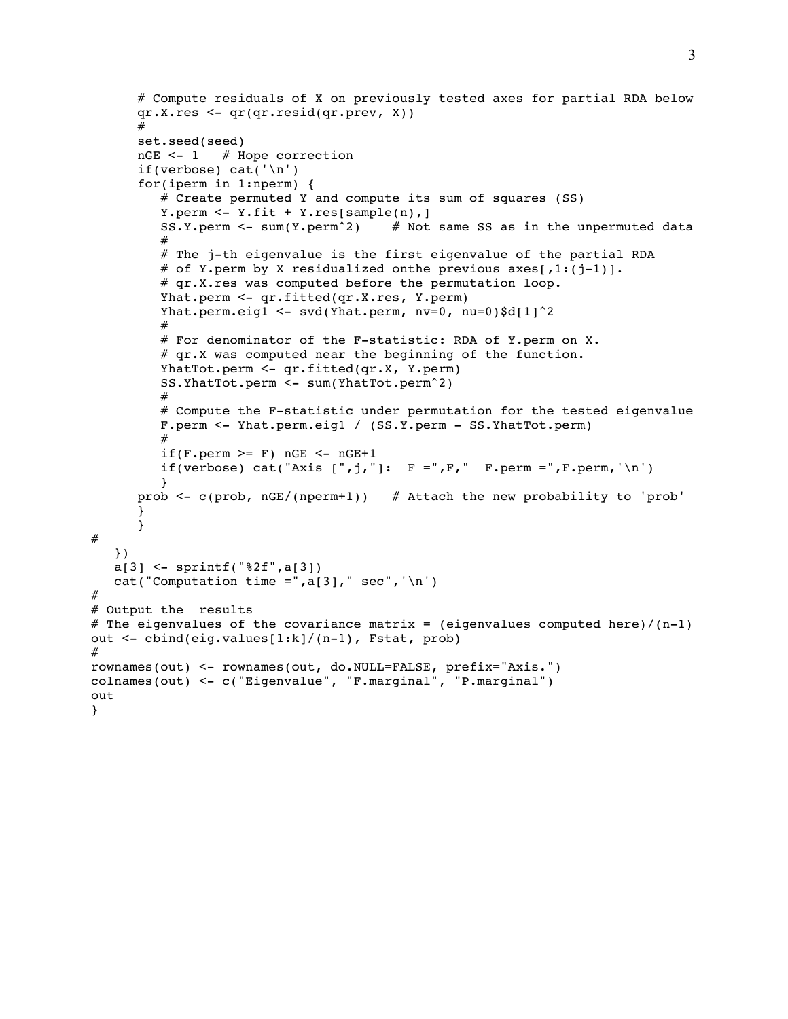```
 # Compute residuals of X on previously tested axes for partial RDA below
       qr.X.res <- qr(qr.resid(qr.prev, X))
 # 
       set.seed(seed)
       nGE <- 1 # Hope correction
       if(verbose) cat('\n')
       for(iperm in 1:nperm) {
          # Create permuted Y and compute its sum of squares (SS)
          Y.perm <- Y.fit + Y.res[sample(n),]
          SS.Y.perm <- sum(Y.perm^2) # Not same SS as in the unpermuted data
 #
          # The j-th eigenvalue is the first eigenvalue of the partial RDA
         # of Y.perm by X residualized onthe previous axes[1:(j-1)].
          # qr.X.res was computed before the permutation loop.
         Yhat.perm <- qr.fitted(qr.X.res, Y.perm)
         Yhat.perm.eig1 <- svd(Yhat.perm, nv=0, nu=0)$d[1]^2
 #
          # For denominator of the F-statistic: RDA of Y.perm on X.
          # qr.X was computed near the beginning of the function.
         YhatTot.perm <- qr.fitted(qr.X, Y.perm)
          SS.YhatTot.perm <- sum(YhatTot.perm^2)
 #
          # Compute the F-statistic under permutation for the tested eigenvalue
          F.perm <- Yhat.perm.eig1 / (SS.Y.perm - SS.YhatTot.perm)
 #
         if(F.perm >= F) nGE <- nGE+1if(verbose) cat("Axis [",j,"]: F = "F, " F.perm = "F.perm, '\n') }
       prob <- c(prob, nGE/(nperm+1)) # Attach the new probability to 'prob'
       }
       }
    })
    a[3] <- sprintf("%2f",a[3])
   cat("Computation time =", a[3]," sec", '\n')
# Output the results
# The eigenvalues of the covariance matrix = (eigenvalues computed here)/(n-1)
out <- cbind(eig.values[1:k]/(n-1), Fstat, prob)
rownames(out) <- rownames(out, do.NULL=FALSE, prefix="Axis.")
colnames(out) <- c("Eigenvalue", "F.marginal", "P.marginal")
out
```
#

#

#

}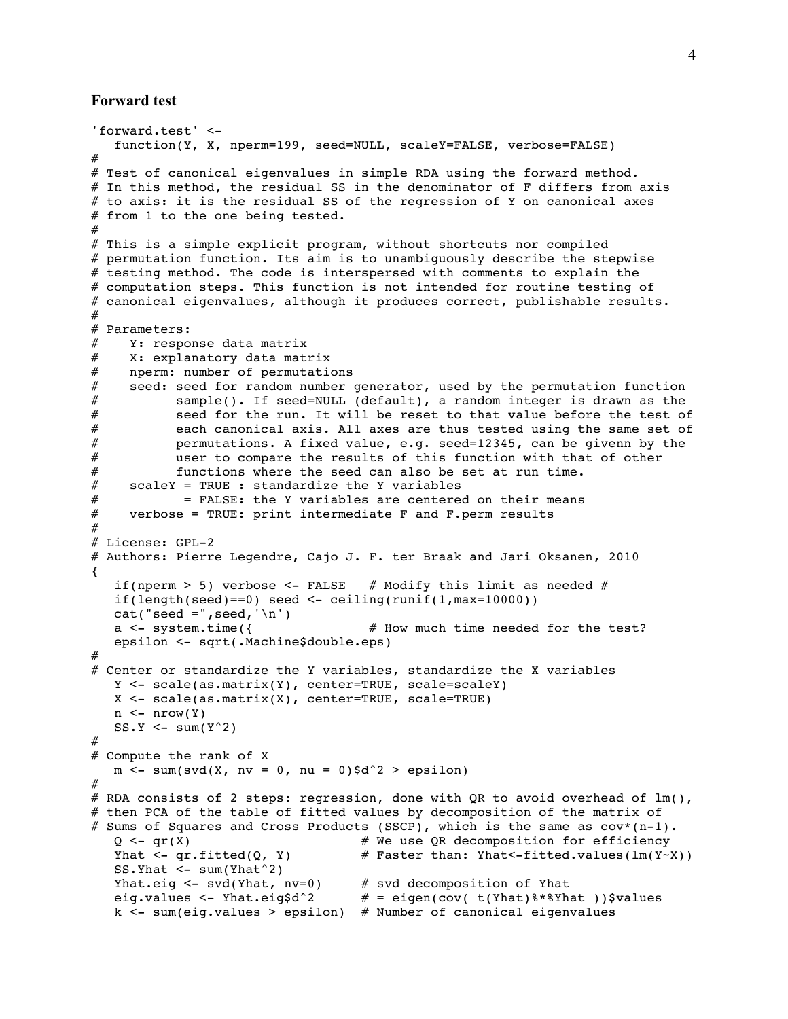### **Forward test**

```
'forward.test' <-
    function(Y, X, nperm=199, seed=NULL, scaleY=FALSE, verbose=FALSE)
#
# Test of canonical eigenvalues in simple RDA using the forward method.
# In this method, the residual SS in the denominator of F differs from axis 
# to axis: it is the residual SS of the regression of Y on canonical axes 
# from 1 to the one being tested. 
#
# This is a simple explicit program, without shortcuts nor compiled
# permutation function. Its aim is to unambiguously describe the stepwise
# testing method. The code is interspersed with comments to explain the
# computation steps. This function is not intended for routine testing of 
# canonical eigenvalues, although it produces correct, publishable results.
# 
# Parameters:
# Y: response data matrix
# X: explanatory data matrix
# nperm: number of permutations
# seed: seed for random number generator, used by the permutation function 
# sample(). If seed=NULL (default), a random integer is drawn as the 
# seed for the run. It will be reset to that value before the test of 
# each canonical axis. All axes are thus tested using the same set of 
# permutations. A fixed value, e.g. seed=12345, can be givenn by the # user to compare the results of this function with that of other
           user to compare the results of this function with that of other
# functions where the seed can also be set at run time.
# scaleY = TRUE : standardize the Y variables
# = FALSE: the Y variables are centered on their means
# verbose = TRUE: print intermediate F and F.perm results
#
# License: GPL-2 
# Authors: Pierre Legendre, Cajo J. F. ter Braak and Jari Oksanen, 2010
{
   if(nperm > 5) verbose <- FALSE # Modify this limit as needed #
   if(length(seed)==0) seed \leq ceiling(runif(1, max=10000))
   cat("seed =", seed, '\n\times")
   a \leq - system.time({ \qquad # How much time needed for the test?
    epsilon <- sqrt(.Machine$double.eps)
#
# Center or standardize the Y variables, standardize the X variables
    Y <- scale(as.matrix(Y), center=TRUE, scale=scaleY)
   X \leq - scale(as.matrix(X), center=TRUE, scale=TRUE)
   n \le - nrow(Y)SS.Y < - sum(Y^2)#
# Compute the rank of X
  m \le -\text{sum}(\text{svd}(X, nv = 0, nu = 0)\$d^2 > epsilon)
#
# RDA consists of 2 steps: regression, done with QR to avoid overhead of lm(),
# then PCA of the table of fitted values by decomposition of the matrix of 
# Sums of Squares and Cross Products (SSCP), which is the same as cov*(n-1).
   Q \leq -\text{qr}(X) # We use QR decomposition for efficiency
   Yhat <- qr.fitted(Q, Y) # Faster than: Yhat <--fitted.values(lm(Y-X))
   SS.Yhat \leftarrow sum(Yhat^2) Yhat.eig <- svd(Yhat, nv=0) # svd decomposition of Yhat
   eig.values <- Yhat.eig$d^2 # = eigen(cov( t(Yhat)%*%Yhat ))$values
    k <- sum(eig.values > epsilon) # Number of canonical eigenvalues
```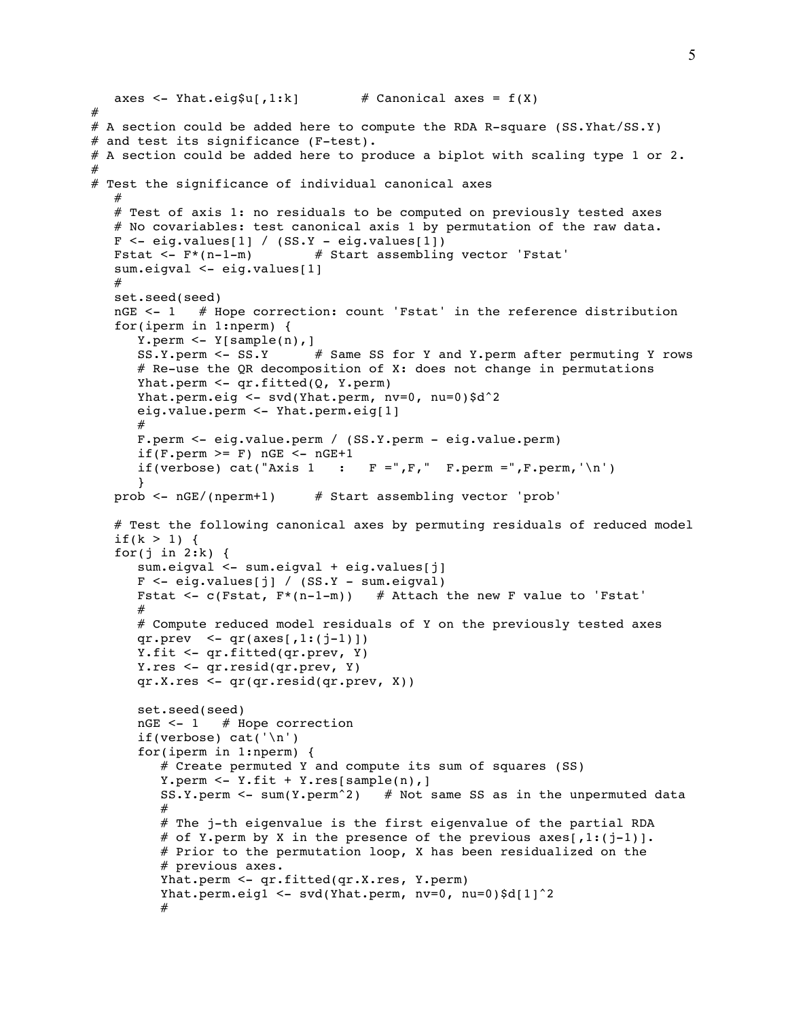```
axes <- Yhat.eig\xi u[,1:k] # Canonical axes = f(X)
#
# A section could be added here to compute the RDA R-square (SS.Yhat/SS.Y) 
# and test its significance (F-test).
# A section could be added here to produce a biplot with scaling type 1 or 2.
#
# Test the significance of individual canonical axes
    #
    # Test of axis 1: no residuals to be computed on previously tested axes
    # No covariables: test canonical axis 1 by permutation of the raw data.
   F <- eig.values[1] / (SS.Y - eig.values[1])
   Fstat \leq- F^*(n-1-m) # Start assembling vector 'Fstat'
    sum.eigval <- eig.values[1]
 #
    set.seed(seed)
    nGE <- 1 # Hope correction: count 'Fstat' in the reference distribution
    for(iperm in 1:nperm) {
      Y.perm \leftarrow Y[sample(n),]SS.Y.perm <- SS.Y # Same SS for Y and Y.perm after permuting Y rows
       # Re-use the QR decomposition of X: does not change in permutations
       Yhat.perm <- qr.fitted(Q, Y.perm)
      Yhat.perm.eig <- svd(Yhat.perm, nv=0, nu=0)$d^2
       eig.value.perm <- Yhat.perm.eig[1]
 #
       F.perm <- eig.value.perm / (SS.Y.perm - eig.value.perm)
      if(F.perm >= F) nGE <- nGE+1if(verbose) cat("Axis 1 : F = "F, " F. perm = "F. perm, '\n') }
    prob <- nGE/(nperm+1) # Start assembling vector 'prob'
    # Test the following canonical axes by permuting residuals of reduced model
   if(k > 1) {
   for(j in 2:k) {
       sum.eigval <- sum.eigval + eig.values[j]
      F <- eig.values[j] / (SS.Y - sum.eigval)
      Fstat <- c(Fstat, F*(n-1-m)) # Attach the new F value to 'Fstat'
 #
       # Compute reduced model residuals of Y on the previously tested axes
      qr.prev \leq - qr(axes[,1:(j-1)])
       Y.fit <- qr.fitted(qr.prev, Y)
       Y.res <- qr.resid(qr.prev, Y)
       qr.X.res <- qr(qr.resid(qr.prev, X))
       set.seed(seed)
       nGE <- 1 # Hope correction
      if(verbose) cat('\n'\) for(iperm in 1:nperm) {
          # Create permuted Y and compute its sum of squares (SS)
         Y.perm \leftarrow Y.fit + Y.res[sample(n),]SS.Y. perm <- sum(Y.perm^2) # Not same SS as in the unpermuted data
 #
          # The j-th eigenvalue is the first eigenvalue of the partial RDA
         # of Y.perm by X in the presence of the previous axes[1:(j-1)].
          # Prior to the permutation loop, X has been residualized on the 
          # previous axes.
         Yhat.perm <- qr.fitted(qr.X.res, Y.perm)
         Yhat.perm.eig1 <- svd(Yhat.perm, nv=0, nu=0)$d[1]^2
 #
```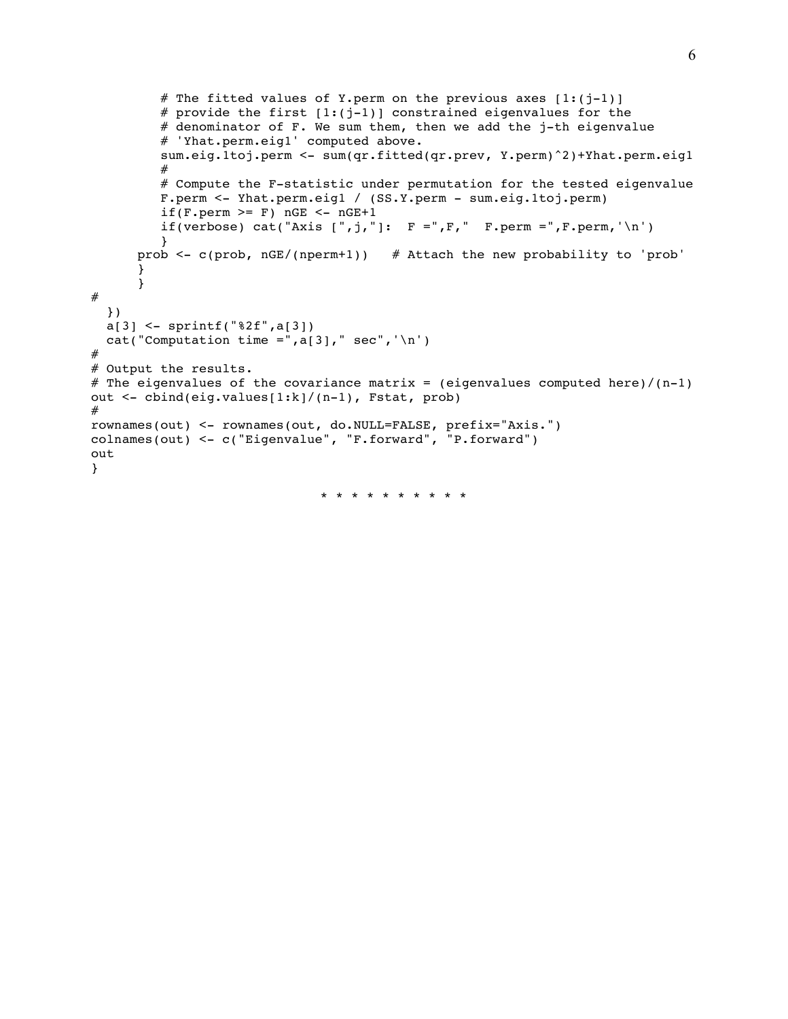```
# The fitted values of Y.perm on the previous axes [1:(j-1)]# provide the first [1:(j-1)] constrained eigenvalues for the
          # denominator of F. We sum them, then we add the j-th eigenvalue 
          # 'Yhat.perm.eig1' computed above.
         sum.eig.1toj.perm <- sum(qr.fitted(qr.prev, Y.perm)^2)+Yhat.perm.eig1
 #
          # Compute the F-statistic under permutation for the tested eigenvalue
          F.perm <- Yhat.perm.eig1 / (SS.Y.perm - sum.eig.1toj.perm)
         if(F.perm >= F) nGE <- nGE+1if(verbose) cat("Axis [",j,"]: F = "F, " F.perm = "F.perm, '\n') }
       prob <- c(prob, nGE/(nperm+1)) # Attach the new probability to 'prob'
       }
       }
#
   })
   a[3] <- sprintf("%2f",a[3])
  cat("Computation time =", a[3]," sec", '\n')
#
# Output the results.
# The eigenvalues of the covariance matrix = (eigenvalues computed here)/(n-1)
out <- cbind(eig.values[1:k]/(n-1), Fstat, prob)
#
rownames(out) <- rownames(out, do.NULL=FALSE, prefix="Axis.")
colnames(out) <- c("Eigenvalue", "F.forward", "P.forward")
out
}
```
\* \* \* \* \* \* \* \* \* \*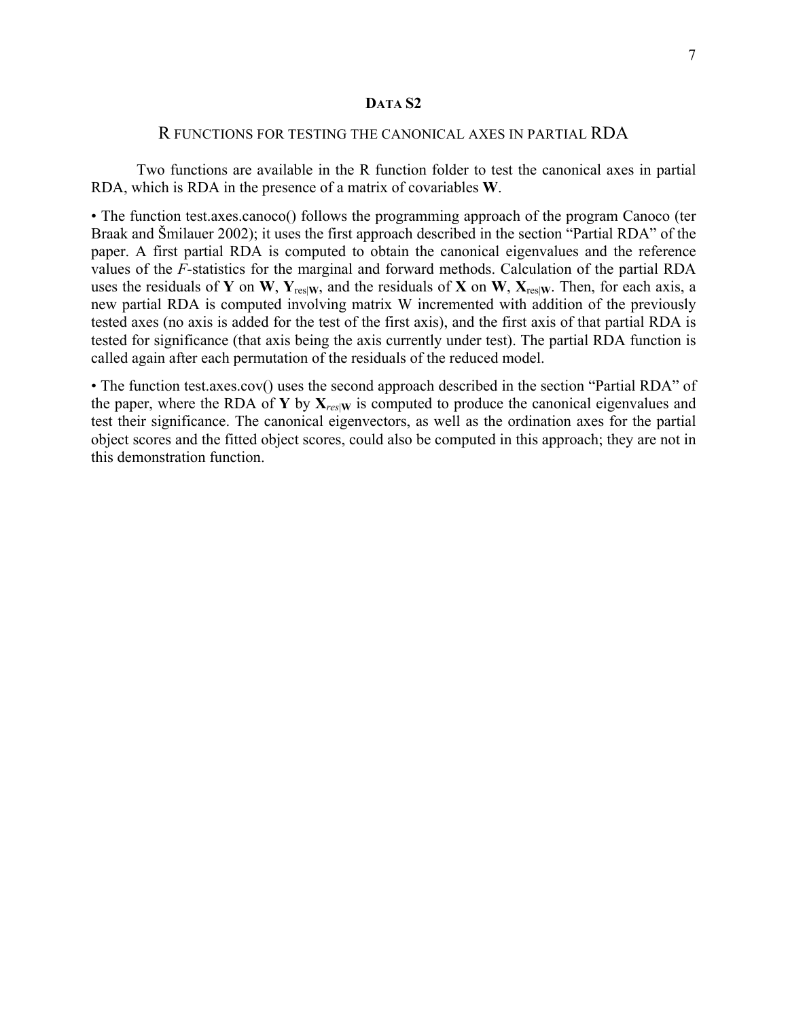### **DATA S2**

### R FUNCTIONS FOR TESTING THE CANONICAL AXES IN PARTIAL RDA

Two functions are available in the R function folder to test the canonical axes in partial RDA, which is RDA in the presence of a matrix of covariables **W**.

• The function test.axes.canoco() follows the programming approach of the program Canoco (ter Braak and Šmilauer 2002); it uses the first approach described in the section "Partial RDA" of the paper. A first partial RDA is computed to obtain the canonical eigenvalues and the reference values of the *F*-statistics for the marginal and forward methods. Calculation of the partial RDA uses the residuals of **Y** on **W**,  $Y_{res}$ <sub>*W*</sub>, and the residuals of **X** on **W**,  $X_{res}$ <sub>*W*</sub>. Then, for each axis, a new partial RDA is computed involving matrix W incremented with addition of the previously tested axes (no axis is added for the test of the first axis), and the first axis of that partial RDA is tested for significance (that axis being the axis currently under test). The partial RDA function is called again after each permutation of the residuals of the reduced model.

• The function test.axes.cov() uses the second approach described in the section "Partial RDA" of the paper, where the RDA of Y by  $X_{res|W}$  is computed to produce the canonical eigenvalues and test their significance. The canonical eigenvectors, as well as the ordination axes for the partial object scores and the fitted object scores, could also be computed in this approach; they are not in this demonstration function.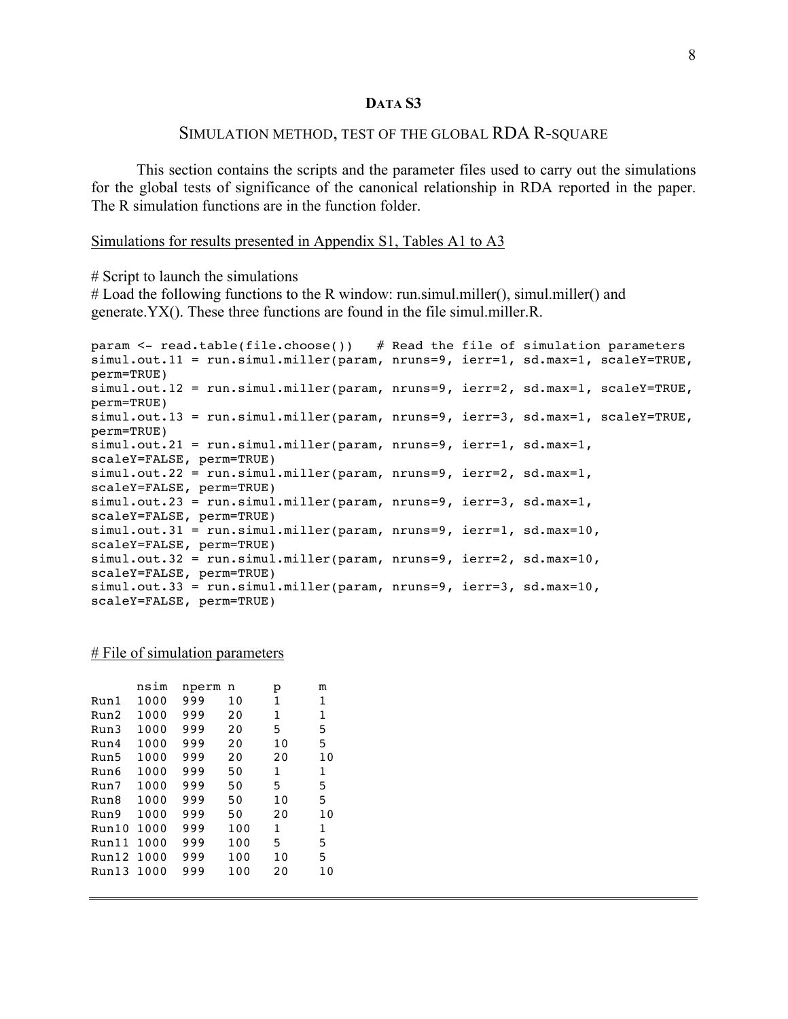### **DATA S3**

### SIMULATION METHOD, TEST OF THE GLOBAL RDA R-SQUARE

This section contains the scripts and the parameter files used to carry out the simulations for the global tests of significance of the canonical relationship in RDA reported in the paper. The R simulation functions are in the function folder.

### Simulations for results presented in Appendix S1, Tables A1 to A3

# Script to launch the simulations

# Load the following functions to the R window: run.simul.miller(), simul.miller() and generate.YX(). These three functions are found in the file simul.miller.R.

```
param <- read.table(file.choose()) # Read the file of simulation parameters
simul.out.11 = run.simul.miller(param, nruns=9, ierr=1, sd.max=1, scaleY=TRUE,
perm=TRUE)
simul.out.12 = run.simul.miller(param, nruns=9, ierr=2, sd.max=1, scaleY=TRUE,
perm=TRUE)
simul.out.13 = run.simul.miller(param, nruns=9, ierr=3, sd.max=1, scaleY=TRUE,
perm=TRUE)
simul.out.21 = run.simul.miller(param, nruns=9, ierr=1, sd.max=1, 
scaleY=FALSE, perm=TRUE)
simul.out.22 = run.simul.miller(param, nruns=9, ierr=2, sd.max=1, 
scaleY=FALSE, perm=TRUE)
simul.out.23 = run.simul.miller(param, nruns=9, ierr=3, sd.max=1, 
scaleY=FALSE, perm=TRUE)
simul.out.31 = run.simul.miller(param, nruns=9, ierr=1, sd.max=10, 
scaleY=FALSE, perm=TRUE)
simul.out.32 = run.simul.miller(param, nruns=9, ierr=2, sd.max=10, 
scaleY=FALSE, perm=TRUE)
simul.out.33 = run.simul.miller(param, nruns=9, ierr=3, sd.max=10, 
scaleY=FALSE, perm=TRUE)
```

|       | nsim | nperm | n   | p  | m  |
|-------|------|-------|-----|----|----|
| Run 1 | 1000 | 999   | 10  | 1  | 1  |
| Run2  | 1000 | 999   | 20  | 1  | 1  |
| Run3  | 1000 | 999   | 20  | 5  | 5  |
| Run4  | 1000 | 999   | 20  | 10 | 5  |
| Run5  | 1000 | 999   | 20  | 20 | 10 |
| Run6  | 1000 | 999   | 50  | 1  | 1  |
| Run7  | 1000 | 999   | 50  | 5  | 5  |
| Run8  | 1000 | 999   | 50  | 10 | 5  |
| Run9  | 1000 | 999   | 50  | 20 | 10 |
| Run10 | 1000 | 999   | 100 | 1  | 1  |
| Run11 | 1000 | 999   | 100 | 5  | 5  |
| Run12 | 1000 | 999   | 100 | 10 | 5  |
| Run13 | 1000 | 999   | 100 | 20 | 10 |
|       |      |       |     |    |    |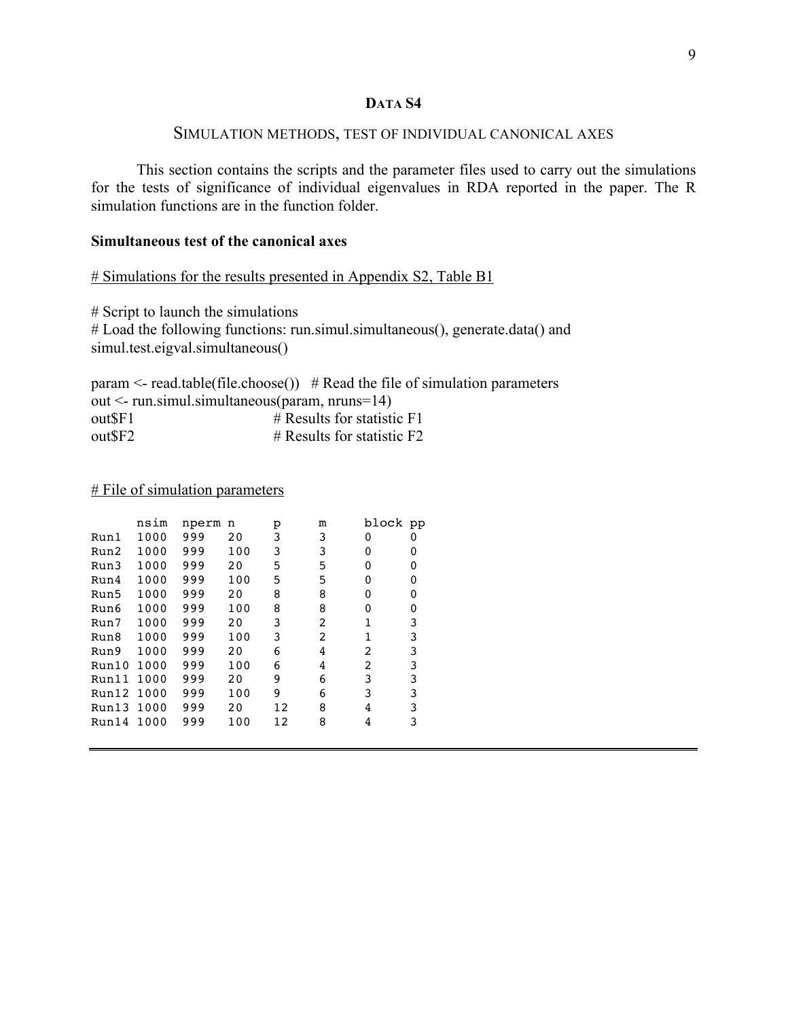### **DATA S4**

### SIMULATION METHODS, TEST OF INDIVIDUAL CANONICAL AXES

This section contains the scripts and the parameter files used to carry out the simulations for the tests of significance of individual eigenvalues in RDA reported in the paper. The R simulation functions are in the function folder.

# **Simultaneous test of the canonical axes**

### # Simulations for the results presented in Appendix S2, Table B1

# Script to launch the simulations

# Load the following functions: run.simul.simultaneous(), generate.data() and simul.test.eigval.simultaneous()

param  $\le$ - read.table(file.choose()) # Read the file of simulation parameters out <- run.simul.simultaneous(param, nruns=14) out  $F1$  # Results for statistic F1 out  $F2$  # Results for statistic F2

|            | nsim | nperm | n   | p  | m             | block pp |   |
|------------|------|-------|-----|----|---------------|----------|---|
| Run1       | 1000 | 999   | 20  | 3  | 3             | 0        | 0 |
| Run2       | 1000 | 999   | 100 | 3  | 3             | 0        | 0 |
| Run3       | 1000 | 999   | 20  | 5  | 5             | 0        | 0 |
| Run4       | 1000 | 999   | 100 | 5  | 5             | 0        | U |
| Run5       | 1000 | 999   | 20  | 8  | 8             | 0        | 0 |
| Run6       | 1000 | 999   | 100 | 8  | 8             | 0        | 0 |
| Run7       | 1000 | 999   | 20  | 3  | 2             | 1        | 3 |
| Run8       | 1000 | 999   | 100 | 3  | $\mathcal{L}$ | 1        | 3 |
| Run9       | 1000 | 999   | 20  | 6  | 4             | 2        | 3 |
| Run10      | 1000 | 999   | 100 | 6  | 4             | 2        | 3 |
| Run11      | 1000 | 999   | 20  | 9  | 6             | 3        | 3 |
| Run12 1000 |      | 999   | 100 | 9  | 6             | 3        | 3 |
| Run13      | 1000 | 999   | 20  | 12 | 8             | 4        | 3 |
| Run14      | 1000 | 999   | 100 | 12 | 8             | 4        | 3 |
|            |      |       |     |    |               |          |   |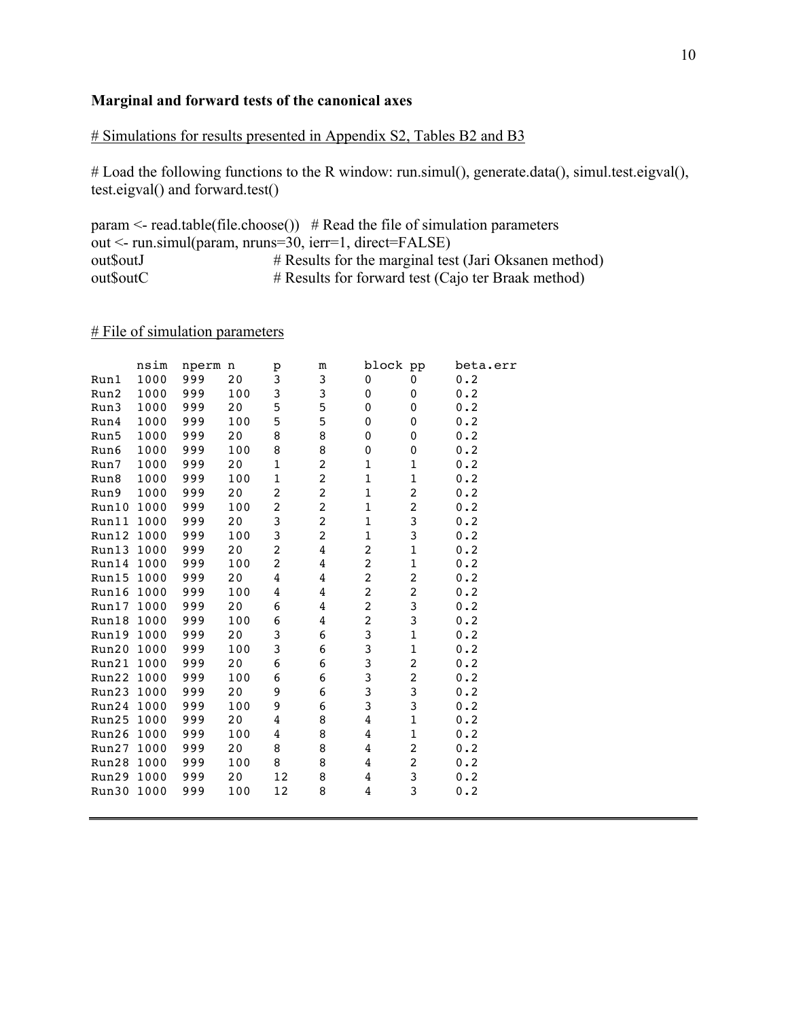# **Marginal and forward tests of the canonical axes**

# # Simulations for results presented in Appendix S2, Tables B2 and B3

# Load the following functions to the R window: run.simul(), generate.data(), simul.test.eigval(), test.eigval() and forward.test()

param  $\le$ - read.table(file.choose()) # Read the file of simulation parameters out <- run.simul(param, nruns=30, ierr=1, direct=FALSE) out\$outJ<br>
# Results for the marginal test (Jari Oksanen method)<br>
# Results for forward test (Caio ter Braak method)  $# Results$  for forward test (Cajo ter Braak method)

|                  | nsim | nperm n |     | p                       | m                       | block pp                |                         | beta.err |
|------------------|------|---------|-----|-------------------------|-------------------------|-------------------------|-------------------------|----------|
| Run1             | 1000 | 999     | 20  | 3                       | 3                       | 0                       | 0                       | 0.2      |
| Run2             | 1000 | 999     | 100 | 3                       | 3                       | 0                       | 0                       | 0.2      |
| Run3             | 1000 | 999     | 20  | 5                       | 5                       | 0                       | $\mathbf 0$             | 0.2      |
| Run4             | 1000 | 999     | 100 | 5                       | 5                       | 0                       | 0                       | 0.2      |
| Run5             | 1000 | 999     | 20  | 8                       | 8                       | 0                       | 0                       | 0.2      |
| Run6             | 1000 | 999     | 100 | 8                       | 8                       | 0                       | 0                       | 0.2      |
| Run7             | 1000 | 999     | 20  | $\mathbf 1$             | $\overline{\mathbf{c}}$ | $\mathbf 1$             | $\mathbf 1$             | 0.2      |
| Run <sub>8</sub> | 1000 | 999     | 100 | $\mathbf 1$             | $\overline{c}$          | $\mathbf 1$             | $\mathbf 1$             | 0.2      |
| Run9             | 1000 | 999     | 20  | $\overline{\mathbf{c}}$ | 2                       | $\mathbf 1$             | $\overline{\mathbf{c}}$ | 0.2      |
| Run10            | 1000 | 999     | 100 | $\overline{\mathbf{c}}$ | $\overline{c}$          | $\mathbf 1$             | $\overline{\mathbf{c}}$ | 0.2      |
| Run11            | 1000 | 999     | 20  | 3                       | $\overline{c}$          | $\mathbf 1$             | 3                       | 0.2      |
| Run12            | 1000 | 999     | 100 | 3                       | $\overline{c}$          | $\mathbf 1$             | 3                       | 0.2      |
| Run13 1000       |      | 999     | 20  | $\overline{c}$          | 4                       | $\overline{c}$          | $\mathbf 1$             | 0.2      |
| Run14            | 1000 | 999     | 100 | $\overline{c}$          | 4                       | 2                       | $\mathbf 1$             | 0.2      |
| Run15            | 1000 | 999     | 20  | 4                       | 4                       | 2                       | $\overline{\mathbf{c}}$ | 0.2      |
| Run16            | 1000 | 999     | 100 | 4                       | 4                       | 2                       | $\overline{\mathbf{c}}$ | 0.2      |
| Run17            | 1000 | 999     | 20  | 6                       | 4                       | $\overline{\mathbf{c}}$ | 3                       | 0.2      |
| Run18            | 1000 | 999     | 100 | 6                       | 4                       | $\overline{\mathbf{c}}$ | 3                       | 0.2      |
| Run19 1000       |      | 999     | 20  | 3                       | 6                       | 3                       | $\mathbf 1$             | 0.2      |
| Run20            | 1000 | 999     | 100 | 3                       | 6                       | 3                       | $\mathbf 1$             | 0.2      |
| Run21            | 1000 | 999     | 20  | 6                       | 6                       | 3                       | 2                       | 0.2      |
| Run22            | 1000 | 999     | 100 | 6                       | 6                       | 3                       | 2                       | 0.2      |
| Run23            | 1000 | 999     | 20  | 9                       | 6                       | 3                       | 3                       | 0.2      |
| Run24            | 1000 | 999     | 100 | 9                       | 6                       | 3                       | 3                       | 0.2      |
| Run25            | 1000 | 999     | 20  | 4                       | 8                       | 4                       | $\mathbf 1$             | 0.2      |
| Run26            | 1000 | 999     | 100 | 4                       | 8                       | 4                       | $\mathbf 1$             | 0.2      |
| Run27            | 1000 | 999     | 20  | 8                       | 8                       | 4                       | 2                       | 0.2      |
| Run28            | 1000 | 999     | 100 | 8                       | 8                       | 4                       | 2                       | 0.2      |
| Run29            | 1000 | 999     | 20  | 12                      | 8                       | 4                       | 3                       | 0.2      |
| Run30            | 1000 | 999     | 100 | 12                      | 8                       | 4                       | 3                       | 0.2      |
|                  |      |         |     |                         |                         |                         |                         |          |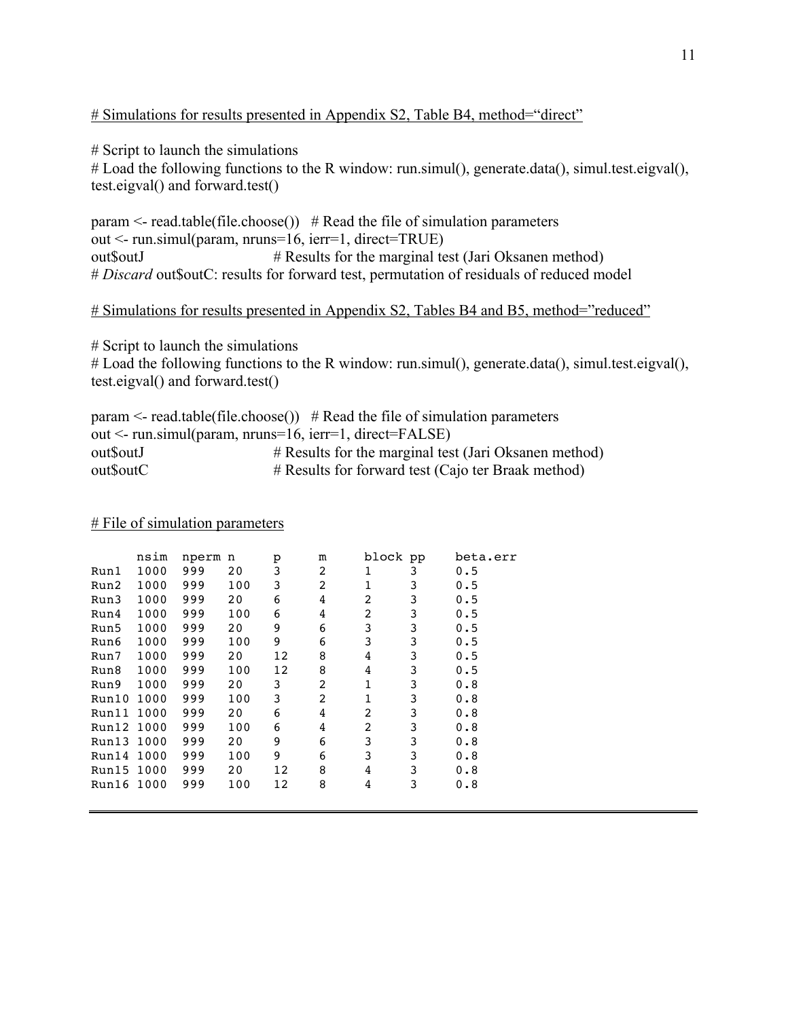# # Simulations for results presented in Appendix S2, Table B4, method="direct"

# Script to launch the simulations

# Load the following functions to the R window: run.simul(), generate.data(), simul.test.eigval(), test.eigval() and forward.test()

param  $\le$  read.table(file.choose()) # Read the file of simulation parameters out <- run.simul(param, nruns=16, ierr=1, direct=TRUE) out Sout  $\ddot{B}$  + Results for the marginal test (Jari Oksanen method) # *Discard* out\$outC: results for forward test, permutation of residuals of reduced model

# # Simulations for results presented in Appendix S2, Tables B4 and B5, method="reduced"

# Script to launch the simulations

# Load the following functions to the R window: run.simul(), generate.data(), simul.test.eigval(), test.eigval() and forward.test()

|          | param $\le$ read.table(file.choose()) # Read the file of simulation parameters |
|----------|--------------------------------------------------------------------------------|
|          | out $\le$ -run.simul(param, nruns=16, ierr=1, direct= $FALSE$ )                |
| outSoutJ | # Results for the marginal test (Jari Oksanen method)                          |
| outSoutC | $# Results$ for forward test (Cajo ter Braak method)                           |

|            | nsim | nperm | n   | p  | m | block pp |   | beta.err |
|------------|------|-------|-----|----|---|----------|---|----------|
| Run1       | 1000 | 999   | 20  | 3  | 2 | 1        | 3 | 0.5      |
| Run2       | 1000 | 999   | 100 | 3  | 2 | 1        | 3 | 0.5      |
| Run3       | 1000 | 999   | 20  | 6  | 4 | 2        | 3 | 0.5      |
| Run4       | 1000 | 999   | 100 | 6  | 4 | 2        | 3 | 0.5      |
| Run5       | 1000 | 999   | 20  | 9  | 6 | 3        | 3 | 0.5      |
| Run6       | 1000 | 999   | 100 | 9  | 6 | 3        | 3 | 0.5      |
| Run7       | 1000 | 999   | 20  | 12 | 8 | 4        | 3 | 0.5      |
| Run8       | 1000 | 999   | 100 | 12 | 8 | 4        | 3 | 0.5      |
| Run9       | 1000 | 999   | 20  | 3  | 2 | 1        | 3 | 0.8      |
| Run10      | 1000 | 999   | 100 | 3  | 2 | 1        | 3 | 0.8      |
| Run11      | 1000 | 999   | 20  | 6  | 4 | 2        | 3 | 0.8      |
| Run12 1000 |      | 999   | 100 | 6  | 4 | 2        | 3 | 0.8      |
| Run13 1000 |      | 999   | 20  | 9  | 6 | 3        | 3 | 0.8      |
| Run14 1000 |      | 999   | 100 | 9  | 6 | 3        | 3 | 0.8      |
| Run15 1000 |      | 999   | 20  | 12 | 8 | 4        | 3 | 0.8      |
| Run16 1000 |      | 999   | 100 | 12 | 8 | 4        | 3 | 0.8      |
|            |      |       |     |    |   |          |   |          |